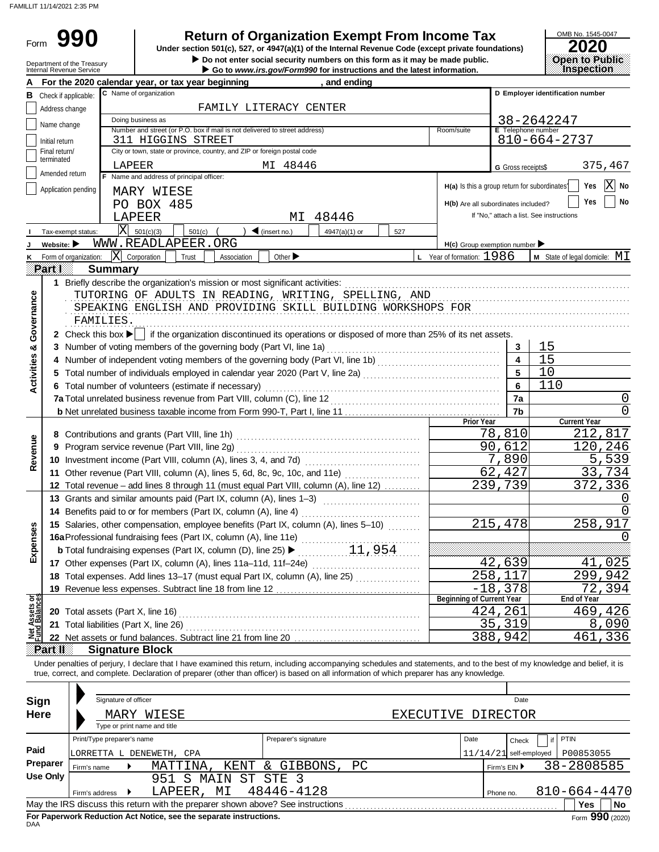Form 990

**990** Return of Organization Exempt From Income Tax <br>
Under section 501(c), 527, or 4947(a)(1) of the Internal Revenue Code (except private foundations) 2020

OMB No. 1545-0047

|                                       |                                | Department of the Treasury<br>Internal Revenue Service | Do not enter social security numbers on this form as it may be made public.<br>Go to www.irs.gov/Form990 for instructions and the latest information.                                                                                                                                                                    |                                    |                   |                                                     |                                               | <b>Open to Public</b><br><b>Inspection</b> |
|---------------------------------------|--------------------------------|--------------------------------------------------------|--------------------------------------------------------------------------------------------------------------------------------------------------------------------------------------------------------------------------------------------------------------------------------------------------------------------------|------------------------------------|-------------------|-----------------------------------------------------|-----------------------------------------------|--------------------------------------------|
|                                       |                                |                                                        | For the 2020 calendar year, or tax year beginning<br>, and ending                                                                                                                                                                                                                                                        |                                    |                   |                                                     |                                               |                                            |
|                                       | <b>B</b> Check if applicable:  |                                                        | C Name of organization                                                                                                                                                                                                                                                                                                   |                                    |                   |                                                     | D Employer identification number              |                                            |
|                                       | Address change                 |                                                        | FAMILY LITERACY CENTER                                                                                                                                                                                                                                                                                                   |                                    |                   |                                                     |                                               |                                            |
|                                       | Name change                    |                                                        | Doing business as                                                                                                                                                                                                                                                                                                        |                                    |                   |                                                     | 38-2642247                                    |                                            |
|                                       |                                |                                                        | Number and street (or P.O. box if mail is not delivered to street address)                                                                                                                                                                                                                                               | Room/suite                         |                   | <b>E</b> Telephone number                           |                                               |                                            |
|                                       | Initial return                 |                                                        | 311 HIGGINS STREET                                                                                                                                                                                                                                                                                                       |                                    |                   |                                                     | 810-664-2737                                  |                                            |
|                                       | Final return/<br>terminated    |                                                        | City or town, state or province, country, and ZIP or foreign postal code                                                                                                                                                                                                                                                 |                                    |                   |                                                     |                                               |                                            |
|                                       | Amended return                 |                                                        | LAPEER<br>MI 48446<br>F Name and address of principal officer:                                                                                                                                                                                                                                                           |                                    |                   | G Gross receipts\$                                  |                                               | 375,467                                    |
|                                       | Application pending            |                                                        |                                                                                                                                                                                                                                                                                                                          |                                    |                   |                                                     | H(a) Is this a group return for subordinates? | $\mathbf{X}$ No<br>Yes                     |
|                                       |                                |                                                        | MARY WIESE                                                                                                                                                                                                                                                                                                               |                                    |                   |                                                     |                                               | Yes<br>No                                  |
|                                       |                                |                                                        | PO BOX 485                                                                                                                                                                                                                                                                                                               |                                    |                   | H(b) Are all subordinates included?                 |                                               |                                            |
|                                       |                                |                                                        | 48446<br>LAPEER<br>MI                                                                                                                                                                                                                                                                                                    |                                    |                   |                                                     | If "No," attach a list. See instructions      |                                            |
|                                       | Tax-exempt status:             |                                                        | X 501(c)(3)<br>501(c)<br>$\triangleleft$ (insert no.)<br>4947(a)(1) or<br>527                                                                                                                                                                                                                                            |                                    |                   |                                                     |                                               |                                            |
| J                                     | Website: $\blacktriangleright$ |                                                        | WWW.READLAPEER.ORG                                                                                                                                                                                                                                                                                                       |                                    |                   | $H(c)$ Group exemption number $\blacktriangleright$ |                                               |                                            |
| κ                                     | Form of organization:          |                                                        | $ \mathbf{X} $ Corporation<br>Other $\blacktriangleright$<br>Trust<br>Association                                                                                                                                                                                                                                        | <b>L</b> Year of formation: $1986$ |                   |                                                     |                                               | <b>M</b> State of legal domicile: $MI$     |
|                                       | Part I                         | <b>Summary</b>                                         |                                                                                                                                                                                                                                                                                                                          |                                    |                   |                                                     |                                               |                                            |
|                                       |                                |                                                        | 1 Briefly describe the organization's mission or most significant activities:                                                                                                                                                                                                                                            |                                    |                   |                                                     |                                               |                                            |
|                                       |                                |                                                        | TUTORING OF ADULTS IN READING, WRITING, SPELLING, AND                                                                                                                                                                                                                                                                    |                                    |                   |                                                     |                                               |                                            |
|                                       |                                |                                                        | SPEAKING ENGLISH AND PROVIDING SKILL BUILDING WORKSHOPS FOR                                                                                                                                                                                                                                                              |                                    |                   |                                                     |                                               |                                            |
|                                       |                                | FAMILIES.                                              |                                                                                                                                                                                                                                                                                                                          |                                    |                   |                                                     |                                               |                                            |
|                                       |                                |                                                        | 2 Check this box $\blacktriangleright$ if the organization discontinued its operations or disposed of more than 25% of its net assets.                                                                                                                                                                                   |                                    |                   |                                                     |                                               |                                            |
|                                       |                                |                                                        |                                                                                                                                                                                                                                                                                                                          |                                    |                   | 3                                                   | 15                                            |                                            |
|                                       |                                |                                                        | Number of independent voting members of the governing body (Part VI, line 1b) [11] [12] [13] [13] [13] [13] [1                                                                                                                                                                                                           |                                    |                   | $\overline{\mathbf{4}}$                             | 15                                            |                                            |
|                                       |                                |                                                        | Total number of individuals employed in calendar year 2020 (Part V, line 2a) [[[[[[[[[[[[[[[[[[[[[[[[[[[[[[[[                                                                                                                                                                                                            |                                    |                   | 5                                                   | 10                                            |                                            |
| Activities & Governance               |                                | 6 Total number of volunteers (estimate if necessary)   |                                                                                                                                                                                                                                                                                                                          | $6\phantom{a}$                     | 110               |                                                     |                                               |                                            |
|                                       |                                |                                                        |                                                                                                                                                                                                                                                                                                                          |                                    |                   | 7a                                                  |                                               | 0                                          |
|                                       |                                |                                                        |                                                                                                                                                                                                                                                                                                                          |                                    |                   | 7b                                                  |                                               | $\Omega$                                   |
|                                       |                                |                                                        |                                                                                                                                                                                                                                                                                                                          |                                    | <b>Prior Year</b> |                                                     |                                               | <b>Current Year</b>                        |
|                                       |                                |                                                        |                                                                                                                                                                                                                                                                                                                          |                                    |                   | 78,810                                              |                                               | 212,817                                    |
| Revenue                               | 9                              |                                                        | Program service revenue (Part VIII, line 2g)                                                                                                                                                                                                                                                                             |                                    |                   | 90,612                                              |                                               | 120,246                                    |
|                                       |                                |                                                        |                                                                                                                                                                                                                                                                                                                          |                                    |                   | 7,890                                               |                                               | 5,539                                      |
|                                       |                                |                                                        | 11 Other revenue (Part VIII, column (A), lines 5, 6d, 8c, 9c, 10c, and 11e)                                                                                                                                                                                                                                              |                                    |                   | 62,427                                              |                                               | 33,734                                     |
|                                       |                                |                                                        | 12 Total revenue - add lines 8 through 11 (must equal Part VIII, column (A), line 12)                                                                                                                                                                                                                                    |                                    |                   | 239,739                                             |                                               | 372, 336                                   |
|                                       |                                |                                                        | 13 Grants and similar amounts paid (Part IX, column (A), lines 1-3)                                                                                                                                                                                                                                                      |                                    |                   |                                                     |                                               |                                            |
|                                       |                                |                                                        | 14 Benefits paid to or for members (Part IX, column (A), line 4)                                                                                                                                                                                                                                                         |                                    |                   |                                                     |                                               | 0                                          |
| <b>ses</b>                            |                                |                                                        | 15 Salaries, other compensation, employee benefits (Part IX, column (A), lines 5-10)                                                                                                                                                                                                                                     |                                    |                   | 215,478                                             |                                               | 258,917                                    |
|                                       |                                |                                                        | 16a Professional fundraising fees (Part IX, column (A), line 11e)                                                                                                                                                                                                                                                        |                                    |                   |                                                     |                                               |                                            |
| Expen                                 |                                |                                                        | 11,954<br><b>b</b> Total fundraising expenses (Part IX, column (D), line 25) $\blacktriangleright$                                                                                                                                                                                                                       |                                    |                   |                                                     |                                               |                                            |
|                                       |                                |                                                        |                                                                                                                                                                                                                                                                                                                          |                                    |                   | 42,639                                              |                                               | ,025<br>41                                 |
|                                       |                                |                                                        | 18 Total expenses. Add lines 13-17 (must equal Part IX, column (A), line 25)                                                                                                                                                                                                                                             |                                    |                   | 258,117                                             |                                               | 299,942                                    |
|                                       |                                |                                                        |                                                                                                                                                                                                                                                                                                                          |                                    |                   | $-18,378$                                           |                                               | 72,394                                     |
| Net Assets or<br><b>Fund Balances</b> |                                |                                                        |                                                                                                                                                                                                                                                                                                                          | <b>Beginning of Current Year</b>   |                   |                                                     |                                               | <b>End of Year</b><br>469,426              |
|                                       |                                |                                                        | 20 Total assets (Part X, line 16)<br>21 Total liabilities (Part X, line 26)                                                                                                                                                                                                                                              |                                    |                   | 424,261<br>35,319                                   |                                               | 8,090                                      |
|                                       |                                |                                                        |                                                                                                                                                                                                                                                                                                                          |                                    |                   | 388,942                                             |                                               | 461,336                                    |
|                                       | Part II                        |                                                        | <b>Signature Block</b>                                                                                                                                                                                                                                                                                                   |                                    |                   |                                                     |                                               |                                            |
|                                       |                                |                                                        |                                                                                                                                                                                                                                                                                                                          |                                    |                   |                                                     |                                               |                                            |
|                                       |                                |                                                        | Under penalties of perjury, I declare that I have examined this return, including accompanying schedules and statements, and to the best of my knowledge and belief, it is<br>true, correct, and complete. Declaration of preparer (other than officer) is based on all information of which preparer has any knowledge. |                                    |                   |                                                     |                                               |                                            |
|                                       |                                |                                                        |                                                                                                                                                                                                                                                                                                                          |                                    |                   |                                                     |                                               |                                            |
|                                       |                                |                                                        | Signature of officer                                                                                                                                                                                                                                                                                                     |                                    |                   | Date                                                |                                               |                                            |
|                                       | Sign                           |                                                        |                                                                                                                                                                                                                                                                                                                          |                                    |                   |                                                     |                                               |                                            |
|                                       | <b>Here</b>                    |                                                        | MARY WIESE<br>Type or print name and title                                                                                                                                                                                                                                                                               | EXECUTIVE DIRECTOR                 |                   |                                                     |                                               |                                            |
|                                       |                                | Print/Type preparer's name                             | Preparer's signature                                                                                                                                                                                                                                                                                                     |                                    | Date              |                                                     | PTIN                                          |                                            |
| Paid                                  |                                |                                                        |                                                                                                                                                                                                                                                                                                                          |                                    |                   | Check                                               | if                                            |                                            |
|                                       | Preparer                       |                                                        | LORRETTA L DENEWETH, CPA                                                                                                                                                                                                                                                                                                 |                                    |                   | $11/14/21$ self-employed                            |                                               | P00853055                                  |
|                                       | <b>Use Only</b>                | Firm's name                                            | KENT & GIBBONS,<br>PC<br>MATTINA,                                                                                                                                                                                                                                                                                        |                                    |                   | Firm's EIN ▶                                        |                                               | 38-2808585                                 |
|                                       |                                |                                                        | 951 S MAIN ST STE<br>-3                                                                                                                                                                                                                                                                                                  |                                    |                   |                                                     |                                               |                                            |
|                                       |                                | Firm's address                                         | 48446-4128<br>LAPEER, MI                                                                                                                                                                                                                                                                                                 |                                    |                   | Phone no.                                           |                                               | $810 - 664 - 4470$                         |
|                                       |                                |                                                        |                                                                                                                                                                                                                                                                                                                          |                                    |                   |                                                     |                                               | <b>Yes</b><br>No                           |

| Sign            |                            | Signature of officer |                                                                    |    |                                                                                 |                    | Date |              |                          |             |                  |  |
|-----------------|----------------------------|----------------------|--------------------------------------------------------------------|----|---------------------------------------------------------------------------------|--------------------|------|--------------|--------------------------|-------------|------------------|--|
| <b>Here</b>     |                            | MARY                 | WIESE<br>Type or print name and title                              |    |                                                                                 | EXECUTIVE DIRECTOR |      |              |                          |             |                  |  |
|                 | Print/Type preparer's name |                      |                                                                    |    | Preparer's signature                                                            |                    | Date |              | Check                    | <b>PTIN</b> |                  |  |
| Paid            | LORRETTA L                 |                      | DENEWETH, CPA                                                      |    |                                                                                 |                    |      |              | $11/14/21$ self-employed | P00853055   |                  |  |
| Preparer        | Firm's name                |                      | MATTINA,                                                           |    | KENT & GIBBONS,                                                                 | PC.                |      | Firm's $EIN$ |                          | 38-2808585  |                  |  |
| <b>Use Only</b> |                            |                      | MATN<br>951 S                                                      |    | ST STE 3                                                                        |                    |      |              |                          |             |                  |  |
|                 | Firm's address             |                      | LAPEER,                                                            | MI | 48446-4128                                                                      |                    |      | Phone no.    |                          |             | 810-664-4470     |  |
|                 |                            |                      |                                                                    |    | May the IRS discuss this return with the preparer shown above? See instructions |                    |      |              |                          | Yes         | No               |  |
|                 |                            |                      | For Paperwork Reduction Act Notice, see the separate instructions. |    |                                                                                 |                    |      |              |                          |             | Form $990(2020)$ |  |

DAA **For Paperwork Reduction Act Notice, see the separate instructions.**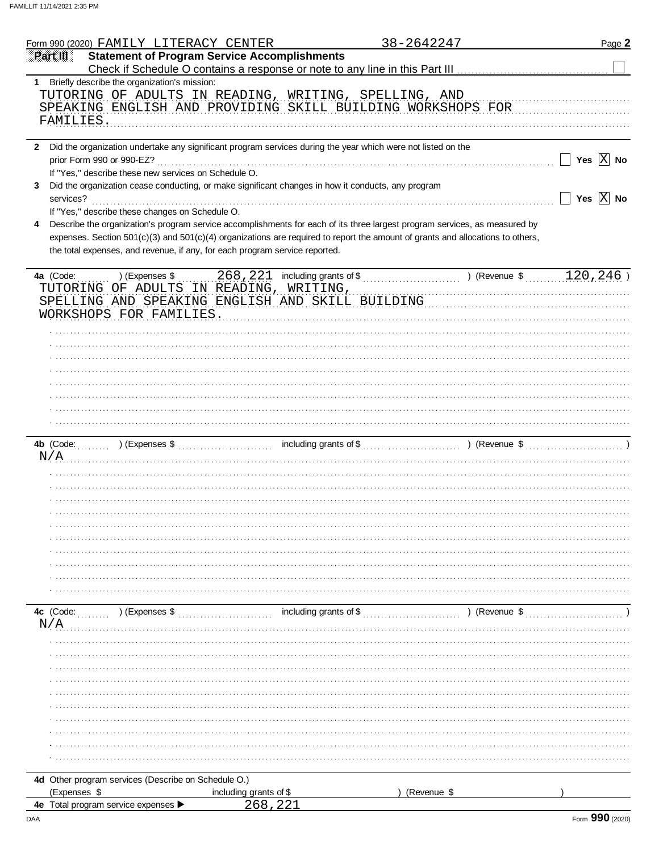|              | Form 990 (2020) FAMILY LITERACY CENTER                                                                                                                                                                                                                                                                                                      |          | <u>38-2642247</u> | Page 2                      |
|--------------|---------------------------------------------------------------------------------------------------------------------------------------------------------------------------------------------------------------------------------------------------------------------------------------------------------------------------------------------|----------|-------------------|-----------------------------|
|              | <b>Statement of Program Service Accomplishments</b><br>Part III                                                                                                                                                                                                                                                                             |          |                   |                             |
| 1.           | Briefly describe the organization's mission:<br>TUTORING OF ADULTS IN READING, WRITING, SPELLING, AND<br>SPEAKING ENGLISH AND PROVIDING SKILL BUILDING WORKSHOPS FOR<br>FAMILIES.                                                                                                                                                           |          |                   |                             |
| $\mathbf{2}$ | Did the organization undertake any significant program services during the year which were not listed on the<br>prior Form 990 or 990-EZ?<br>If "Yes," describe these new services on Schedule O.                                                                                                                                           |          |                   | Yes $\boxed{\text{X}}$ No   |
| 3            | Did the organization cease conducting, or make significant changes in how it conducts, any program<br>services?<br>If "Yes," describe these changes on Schedule O.                                                                                                                                                                          |          |                   | Yes $\boxed{\mathbf{X}}$ No |
| 4            | Describe the organization's program service accomplishments for each of its three largest program services, as measured by<br>expenses. Section 501(c)(3) and 501(c)(4) organizations are required to report the amount of grants and allocations to others,<br>the total expenses, and revenue, if any, for each program service reported. |          |                   |                             |
|              | 4a (Code:<br>TUTORING OF ADULTS IN READING, WRITING,<br>SPELLING AND SPEAKING ENGLISH AND SKILL BUILDING MARIEURE AND SPELLING<br>WORKSHOPS FOR FAMILIES.                                                                                                                                                                                   |          |                   |                             |
|              |                                                                                                                                                                                                                                                                                                                                             |          |                   |                             |
|              | 4b (Code: William Code: 1991) (Expenses \$ \\times \\text{ \\text{ \text{ \text{ \text{ \text{ \text{ \text{ \text{ \text{ \text{ \text{ \text{ \text{ \text{ \text{ \text{ \text{ \text{ \text{ \text{ \text{ \text{ \text{ \t                                                                                                             |          |                   |                             |
|              | N/A                                                                                                                                                                                                                                                                                                                                         |          |                   |                             |
|              |                                                                                                                                                                                                                                                                                                                                             |          |                   |                             |
|              | $\sim$ (Expenses \$<br>4c (Code:<br>N/A                                                                                                                                                                                                                                                                                                     |          |                   |                             |
|              |                                                                                                                                                                                                                                                                                                                                             |          |                   |                             |
|              |                                                                                                                                                                                                                                                                                                                                             |          |                   |                             |
|              | 4d Other program services (Describe on Schedule O.)                                                                                                                                                                                                                                                                                         |          |                   |                             |
|              | (Expenses \$<br>including grants of \$<br>4e Total program service expenses                                                                                                                                                                                                                                                                 | 268, 221 | ) (Revenue \$     |                             |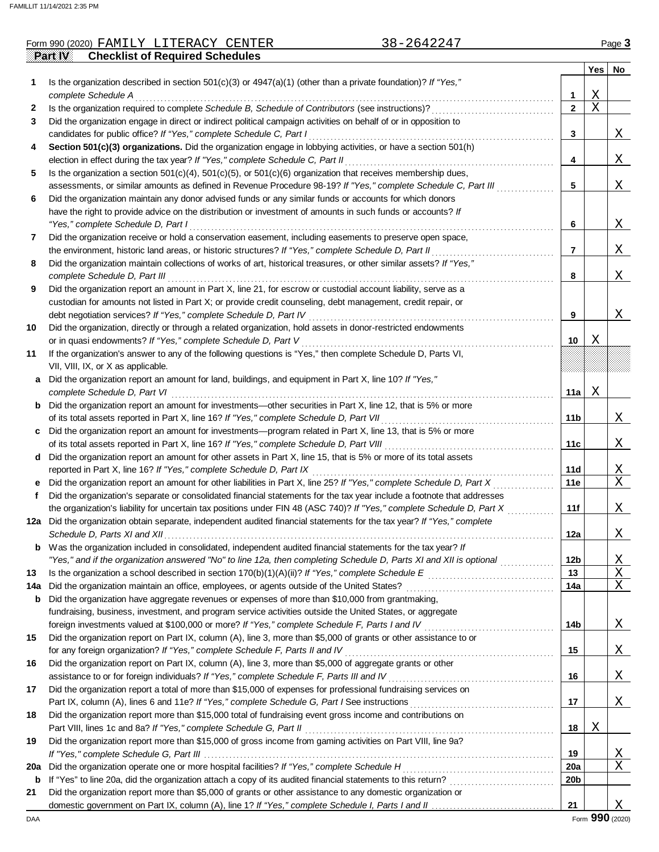|     | <b>Checklist of Required Schedules</b><br>Part IV                                                                       |                 |             |             |
|-----|-------------------------------------------------------------------------------------------------------------------------|-----------------|-------------|-------------|
|     |                                                                                                                         |                 | <b>Yes</b>  | No          |
| 1   | Is the organization described in section $501(c)(3)$ or $4947(a)(1)$ (other than a private foundation)? If "Yes,"       |                 |             |             |
|     | complete Schedule A                                                                                                     | 1               | Χ           |             |
| 2   | Is the organization required to complete Schedule B, Schedule of Contributors (see instructions)?                       | $\mathbf{2}$    | $\mathbf X$ |             |
| 3   | Did the organization engage in direct or indirect political campaign activities on behalf of or in opposition to        |                 |             |             |
|     | candidates for public office? If "Yes," complete Schedule C, Part I                                                     | 3               |             | Χ           |
| 4   | Section 501(c)(3) organizations. Did the organization engage in lobbying activities, or have a section 501(h)           |                 |             |             |
|     | election in effect during the tax year? If "Yes," complete Schedule C, Part II                                          | 4               |             | Χ           |
| 5   | Is the organization a section $501(c)(4)$ , $501(c)(5)$ , or $501(c)(6)$ organization that receives membership dues,    |                 |             |             |
|     | assessments, or similar amounts as defined in Revenue Procedure 98-19? If "Yes," complete Schedule C, Part III          | 5               |             | Χ           |
| 6   | Did the organization maintain any donor advised funds or any similar funds or accounts for which donors                 |                 |             |             |
|     | have the right to provide advice on the distribution or investment of amounts in such funds or accounts? If             |                 |             |             |
|     |                                                                                                                         |                 |             |             |
|     | "Yes," complete Schedule D, Part I                                                                                      | 6               |             | Χ           |
| 7   | Did the organization receive or hold a conservation easement, including easements to preserve open space,               |                 |             |             |
|     | the environment, historic land areas, or historic structures? If "Yes," complete Schedule D, Part II                    | 7               |             | Χ           |
| 8   | Did the organization maintain collections of works of art, historical treasures, or other similar assets? If "Yes,"     |                 |             |             |
|     | complete Schedule D, Part III                                                                                           | 8               |             | Χ           |
| 9   | Did the organization report an amount in Part X, line 21, for escrow or custodial account liability, serve as a         |                 |             |             |
|     | custodian for amounts not listed in Part X; or provide credit counseling, debt management, credit repair, or            |                 |             |             |
|     | debt negotiation services? If "Yes," complete Schedule D, Part IV                                                       | 9               |             | Χ           |
| 10  | Did the organization, directly or through a related organization, hold assets in donor-restricted endowments            |                 |             |             |
|     | or in quasi endowments? If "Yes," complete Schedule D, Part V                                                           | 10              | Χ           |             |
| 11  | If the organization's answer to any of the following questions is "Yes," then complete Schedule D, Parts VI,            |                 |             |             |
|     | VII, VIII, IX, or X as applicable.                                                                                      |                 |             |             |
| a   | Did the organization report an amount for land, buildings, and equipment in Part X, line 10? If "Yes,"                  |                 |             |             |
|     | complete Schedule D, Part VI                                                                                            | 11a             | Χ           |             |
| b   | Did the organization report an amount for investments—other securities in Part X, line 12, that is 5% or more           |                 |             |             |
|     |                                                                                                                         |                 |             |             |
|     | of its total assets reported in Part X, line 16? If "Yes," complete Schedule D, Part VII                                | 11b             |             | Χ           |
| c   | Did the organization report an amount for investments—program related in Part X, line 13, that is 5% or more            |                 |             |             |
|     | of its total assets reported in Part X, line 16? If "Yes," complete Schedule D, Part VIII                               | 11c             |             | Χ           |
| d   | Did the organization report an amount for other assets in Part X, line 15, that is 5% or more of its total assets       |                 |             |             |
|     | reported in Part X, line 16? If "Yes," complete Schedule D, Part IX                                                     | 11d             |             | Χ           |
| е   | Did the organization report an amount for other liabilities in Part X, line 25? If "Yes," complete Schedule D, Part X   | 11e             |             | $\mathbf X$ |
| f   | Did the organization's separate or consolidated financial statements for the tax year include a footnote that addresses |                 |             |             |
|     | the organization's liability for uncertain tax positions under FIN 48 (ASC 740)? If "Yes," complete Schedule D, Part X  | 11f             |             | Χ           |
| 12a | Did the organization obtain separate, independent audited financial statements for the tax year? If "Yes," complete     |                 |             |             |
|     | Schedule D, Parts XI and XII                                                                                            | 12a             |             | Χ           |
| b   | Was the organization included in consolidated, independent audited financial statements for the tax year? If            |                 |             |             |
|     | "Yes," and if the organization answered "No" to line 12a, then completing Schedule D, Parts XI and XII is optional      | 12 <sub>b</sub> |             | Χ           |
| 13  |                                                                                                                         | 13              |             | Χ           |
| 14a | Did the organization maintain an office, employees, or agents outside of the United States?                             | 14a             |             | Χ           |
| b   | Did the organization have aggregate revenues or expenses of more than \$10,000 from grantmaking,                        |                 |             |             |
|     | fundraising, business, investment, and program service activities outside the United States, or aggregate               |                 |             |             |
|     | foreign investments valued at \$100,000 or more? If "Yes," complete Schedule F, Parts I and IV                          | 14b             |             | X           |
|     |                                                                                                                         |                 |             |             |
| 15  | Did the organization report on Part IX, column (A), line 3, more than \$5,000 of grants or other assistance to or       |                 |             |             |
|     | for any foreign organization? If "Yes," complete Schedule F, Parts II and IV                                            | 15              |             | Χ           |
| 16  | Did the organization report on Part IX, column (A), line 3, more than \$5,000 of aggregate grants or other              |                 |             |             |
|     | assistance to or for foreign individuals? If "Yes," complete Schedule F, Parts III and IV                               | 16              |             | Χ           |
| 17  | Did the organization report a total of more than \$15,000 of expenses for professional fundraising services on          |                 |             |             |
|     | Part IX, column (A), lines 6 and 11e? If "Yes," complete Schedule G, Part I See instructions                            | 17              |             | Χ           |
| 18  | Did the organization report more than \$15,000 total of fundraising event gross income and contributions on             |                 |             |             |
|     | Part VIII, lines 1c and 8a? If "Yes," complete Schedule G, Part II                                                      | 18              | Χ           |             |
| 19  | Did the organization report more than \$15,000 of gross income from gaming activities on Part VIII, line 9a?            |                 |             |             |
|     |                                                                                                                         | 19              |             | Χ           |
| 20a | Did the organization operate one or more hospital facilities? If "Yes," complete Schedule H                             | <b>20a</b>      |             | Χ           |
| b   |                                                                                                                         | 20 <sub>b</sub> |             |             |
| 21  | Did the organization report more than \$5,000 of grants or other assistance to any domestic organization or             |                 |             |             |
|     |                                                                                                                         | 21              |             | Χ           |
|     |                                                                                                                         |                 |             |             |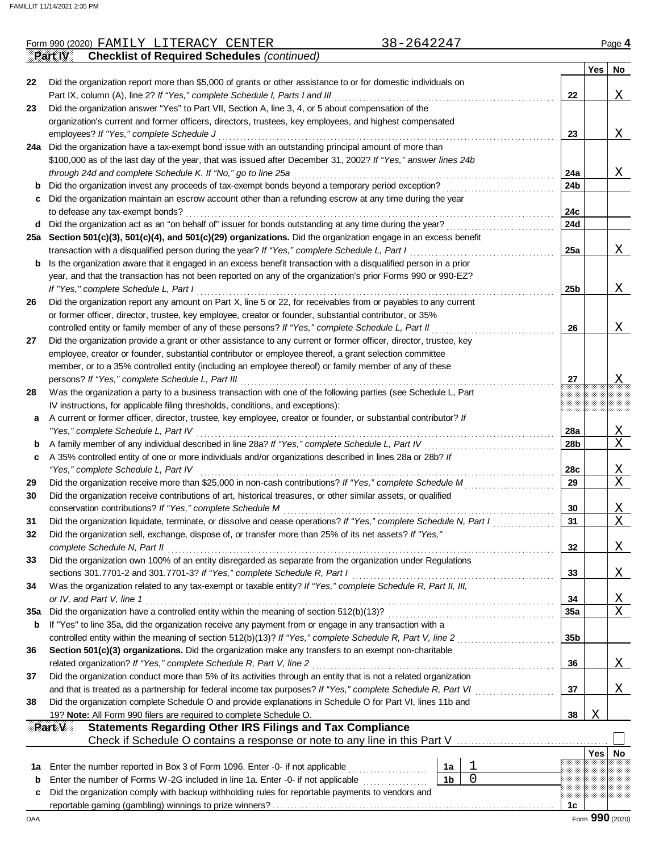|     | 38-2642247<br>Form 990 (2020) FAMILY LITERACY CENTER                                                                                                                                                         |                |   |                        |     | Page 4                  |
|-----|--------------------------------------------------------------------------------------------------------------------------------------------------------------------------------------------------------------|----------------|---|------------------------|-----|-------------------------|
|     | <b>Checklist of Required Schedules (continued)</b><br>Part IV                                                                                                                                                |                |   |                        |     |                         |
|     |                                                                                                                                                                                                              |                |   |                        | Yes | No                      |
| 22  | Did the organization report more than \$5,000 of grants or other assistance to or for domestic individuals on                                                                                                |                |   |                        |     |                         |
|     | Part IX, column (A), line 2? If "Yes," complete Schedule I, Parts I and III                                                                                                                                  |                |   | 22                     |     | Χ                       |
| 23  | Did the organization answer "Yes" to Part VII, Section A, line 3, 4, or 5 about compensation of the                                                                                                          |                |   |                        |     |                         |
|     | organization's current and former officers, directors, trustees, key employees, and highest compensated                                                                                                      |                |   |                        |     |                         |
|     | employees? If "Yes," complete Schedule J                                                                                                                                                                     |                |   | 23                     |     | Χ                       |
|     | 24a Did the organization have a tax-exempt bond issue with an outstanding principal amount of more than                                                                                                      |                |   |                        |     |                         |
|     | \$100,000 as of the last day of the year, that was issued after December 31, 2002? If "Yes," answer lines 24b                                                                                                |                |   |                        |     |                         |
|     | through 24d and complete Schedule K. If "No," go to line 25a                                                                                                                                                 |                |   | 24a                    |     | Χ                       |
| b   | Did the organization invest any proceeds of tax-exempt bonds beyond a temporary period exception?                                                                                                            |                |   | 24b                    |     |                         |
| с   | Did the organization maintain an escrow account other than a refunding escrow at any time during the year                                                                                                    |                |   |                        |     |                         |
|     | to defease any tax-exempt bonds?                                                                                                                                                                             |                |   | 24c                    |     |                         |
| d   | Did the organization act as an "on behalf of" issuer for bonds outstanding at any time during the year?                                                                                                      |                |   | 24d                    |     |                         |
|     | 25a Section 501(c)(3), 501(c)(4), and 501(c)(29) organizations. Did the organization engage in an excess benefit                                                                                             |                |   |                        |     |                         |
|     | transaction with a disqualified person during the year? If "Yes," complete Schedule L, Part I                                                                                                                |                |   | 25a                    |     | Χ                       |
| b   | Is the organization aware that it engaged in an excess benefit transaction with a disqualified person in a prior                                                                                             |                |   |                        |     |                         |
|     | year, and that the transaction has not been reported on any of the organization's prior Forms 990 or 990-EZ?                                                                                                 |                |   |                        |     |                         |
|     | If "Yes," complete Schedule L, Part I                                                                                                                                                                        |                |   | 25 <sub>b</sub>        |     | X                       |
| 26  | Did the organization report any amount on Part X, line 5 or 22, for receivables from or payables to any current                                                                                              |                |   |                        |     |                         |
|     | or former officer, director, trustee, key employee, creator or founder, substantial contributor, or 35%                                                                                                      |                |   |                        |     |                         |
|     | controlled entity or family member of any of these persons? If "Yes," complete Schedule L, Part II                                                                                                           |                |   | 26                     |     | X                       |
| 27  | Did the organization provide a grant or other assistance to any current or former officer, director, trustee, key                                                                                            |                |   |                        |     |                         |
|     | employee, creator or founder, substantial contributor or employee thereof, a grant selection committee                                                                                                       |                |   |                        |     |                         |
|     | member, or to a 35% controlled entity (including an employee thereof) or family member of any of these                                                                                                       |                |   |                        |     |                         |
|     | persons? If "Yes," complete Schedule L, Part III                                                                                                                                                             |                |   | 27                     |     | Χ                       |
| 28  | Was the organization a party to a business transaction with one of the following parties (see Schedule L, Part                                                                                               |                |   |                        |     |                         |
|     | IV instructions, for applicable filing thresholds, conditions, and exceptions):                                                                                                                              |                |   |                        |     |                         |
| а   | A current or former officer, director, trustee, key employee, creator or founder, or substantial contributor? If                                                                                             |                |   |                        |     |                         |
|     | "Yes," complete Schedule L, Part IV                                                                                                                                                                          |                |   | 28a<br>28 <sub>b</sub> |     | <u>X</u><br>$\mathbf X$ |
| b   | A family member of any individual described in line 28a? If "Yes," complete Schedule L, Part IV<br>A 35% controlled entity of one or more individuals and/or organizations described in lines 28a or 28b? If |                |   |                        |     |                         |
| c   | "Yes," complete Schedule L, Part IV                                                                                                                                                                          |                |   | 28c                    |     |                         |
| 29  | Did the organization receive more than \$25,000 in non-cash contributions? If "Yes," complete Schedule M                                                                                                     |                |   | 29                     |     | <u>X</u><br>$\mathbf X$ |
| 30  | Did the organization receive contributions of art, historical treasures, or other similar assets, or qualified                                                                                               |                |   |                        |     |                         |
|     | conservation contributions? If "Yes," complete Schedule M                                                                                                                                                    |                |   | 30                     |     | <u>X</u>                |
| 31  | Did the organization liquidate, terminate, or dissolve and cease operations? If "Yes," complete Schedule N, Part I                                                                                           |                |   | 31                     |     | $\overline{\text{X}}$   |
| 32  | Did the organization sell, exchange, dispose of, or transfer more than 25% of its net assets? If "Yes,"                                                                                                      |                |   |                        |     |                         |
|     | complete Schedule N, Part II                                                                                                                                                                                 |                |   | 32                     |     | Χ                       |
| 33  | Did the organization own 100% of an entity disregarded as separate from the organization under Regulations                                                                                                   |                |   |                        |     |                         |
|     | sections 301.7701-2 and 301.7701-3? If "Yes," complete Schedule R, Part I                                                                                                                                    |                |   | 33                     |     | Χ                       |
| 34  | Was the organization related to any tax-exempt or taxable entity? If "Yes," complete Schedule R, Part II, III,                                                                                               |                |   |                        |     |                         |
|     | or IV, and Part V, line 1                                                                                                                                                                                    |                |   | 34                     |     | <u>X</u>                |
| 35a | Did the organization have a controlled entity within the meaning of section 512(b)(13)?                                                                                                                      |                |   | 35a                    |     | $\mathbf X$             |
| b   | If "Yes" to line 35a, did the organization receive any payment from or engage in any transaction with a                                                                                                      |                |   |                        |     |                         |
|     | controlled entity within the meaning of section 512(b)(13)? If "Yes," complete Schedule R, Part V, line 2                                                                                                    |                |   | 35 <sub>b</sub>        |     |                         |
| 36  | Section 501(c)(3) organizations. Did the organization make any transfers to an exempt non-charitable                                                                                                         |                |   |                        |     |                         |
|     | related organization? If "Yes," complete Schedule R, Part V, line 2                                                                                                                                          |                |   | 36                     |     | Χ                       |
| 37  | Did the organization conduct more than 5% of its activities through an entity that is not a related organization                                                                                             |                |   |                        |     |                         |
|     | and that is treated as a partnership for federal income tax purposes? If "Yes," complete Schedule R, Part VI                                                                                                 |                |   | 37                     |     | Χ                       |
| 38  | Did the organization complete Schedule O and provide explanations in Schedule O for Part VI, lines 11b and                                                                                                   |                |   |                        |     |                         |
|     | 19? Note: All Form 990 filers are required to complete Schedule O.                                                                                                                                           |                |   | 38                     | Χ   |                         |
|     | <b>Statements Regarding Other IRS Filings and Tax Compliance</b><br>Part V                                                                                                                                   |                |   |                        |     |                         |
|     | Check if Schedule O contains a response or note to any line in this Part V                                                                                                                                   |                |   |                        |     |                         |
|     |                                                                                                                                                                                                              |                |   |                        | Yes | No                      |
| 1a  | Enter the number reported in Box 3 of Form 1096. Enter -0- if not applicable                                                                                                                                 | 1a             |   |                        |     |                         |
| b   | Enter the number of Forms W-2G included in line 1a. Enter -0- if not applicable                                                                                                                              | 1 <sub>b</sub> | 0 |                        |     |                         |
| c   | Did the organization comply with backup withholding rules for reportable payments to vendors and                                                                                                             |                |   |                        |     |                         |
|     |                                                                                                                                                                                                              |                |   | 1c                     |     |                         |
| DAA |                                                                                                                                                                                                              |                |   |                        |     | Form 990 (2020)         |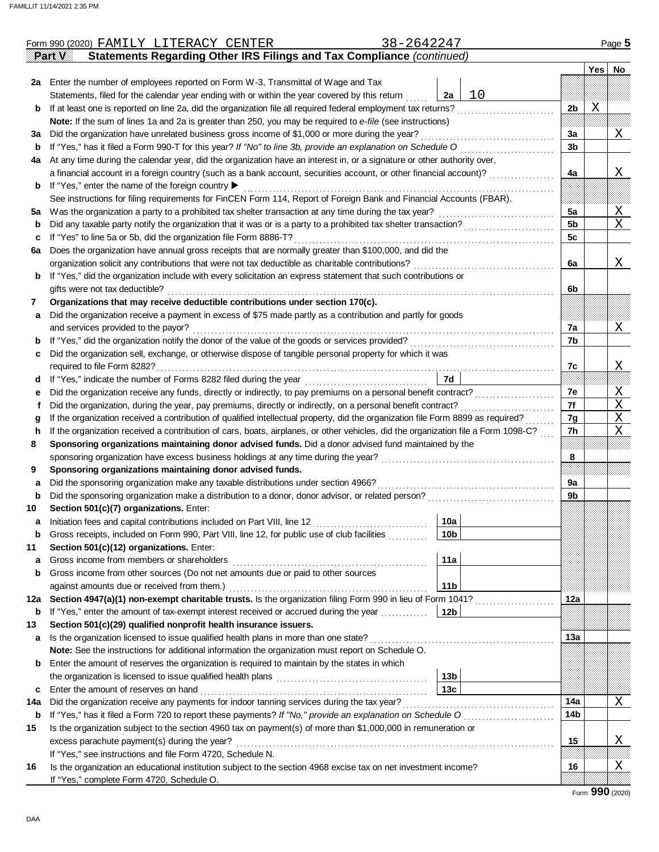| Statements Regarding Other IRS Filings and Tax Compliance (continued)<br>Part V<br><b>Yes</b><br>2a Enter the number of employees reported on Form W-3, Transmittal of Wage and Tax<br>10<br>Statements, filed for the calendar year ending with or within the year covered by this return<br>2a<br>2 <sub>b</sub><br>If at least one is reported on line 2a, did the organization file all required federal employment tax returns?<br>b<br>Note: If the sum of lines 1a and 2a is greater than 250, you may be required to e-file (see instructions)<br>Did the organization have unrelated business gross income of \$1,000 or more during the year?<br>3a<br>За<br>If "Yes," has it filed a Form 990-T for this year? If "No" to line 3b, provide an explanation on Schedule O<br>3 <sub>b</sub><br>b<br>At any time during the calendar year, did the organization have an interest in, or a signature or other authority over,<br>4a<br>a financial account in a foreign country (such as a bank account, securities account, or other financial account)?<br>4a<br>If "Yes," enter the name of the foreign country ▶<br>b<br>See instructions for filing requirements for FinCEN Form 114, Report of Foreign Bank and Financial Accounts (FBAR).<br>Was the organization a party to a prohibited tax shelter transaction at any time during the tax year?<br>5a<br>5а<br>5 <sub>b</sub><br>Did any taxable party notify the organization that it was or is a party to a prohibited tax shelter transaction?<br>b<br>If "Yes" to line 5a or 5b, did the organization file Form 8886-T?<br>5с<br>c<br>Does the organization have annual gross receipts that are normally greater than \$100,000, and did the<br>6a<br>organization solicit any contributions that were not tax deductible as charitable contributions?<br>6a<br>If "Yes," did the organization include with every solicitation an express statement that such contributions or<br>b<br>gifts were not tax deductible?<br>6b<br>Organizations that may receive deductible contributions under section 170(c).<br>7<br>Did the organization receive a payment in excess of \$75 made partly as a contribution and partly for goods<br>a<br>and services provided to the payor?<br>7a<br>7b<br>If "Yes," did the organization notify the donor of the value of the goods or services provided?<br>b<br>Did the organization sell, exchange, or otherwise dispose of tangible personal property for which it was<br>c<br>required to file Form 8282?<br>7c<br>7d<br>d<br>Did the organization receive any funds, directly or indirectly, to pay premiums on a personal benefit contract?<br>7e<br>е<br>7f<br>Did the organization, during the year, pay premiums, directly or indirectly, on a personal benefit contract?<br>Ť.<br>If the organization received a contribution of qualified intellectual property, did the organization file Form 8899 as required?<br>7g<br>g<br>7h<br>If the organization received a contribution of cars, boats, airplanes, or other vehicles, did the organization file a Form 1098-C?<br>h<br>Sponsoring organizations maintaining donor advised funds. Did a donor advised fund maintained by the<br>8<br>sponsoring organization have excess business holdings at any time during the year?<br>8<br>Sponsoring organizations maintaining donor advised funds.<br>9<br>Did the sponsoring organization make any taxable distributions under section 4966?<br>9a<br>a<br>Did the sponsoring organization make a distribution to a donor, donor advisor, or related person?<br>9b<br>b<br>Section 501(c)(7) organizations. Enter:<br>10<br>10a<br>Initiation fees and capital contributions included on Part VIII, line 12<br>10 <sub>b</sub><br>Gross receipts, included on Form 990, Part VIII, line 12, for public use of club facilities<br>b<br>Section 501(c)(12) organizations. Enter:<br>11<br>11a<br>Gross income from members or shareholders<br>a<br>Gross income from other sources (Do not net amounts due or paid to other sources<br>b |
|------------------------------------------------------------------------------------------------------------------------------------------------------------------------------------------------------------------------------------------------------------------------------------------------------------------------------------------------------------------------------------------------------------------------------------------------------------------------------------------------------------------------------------------------------------------------------------------------------------------------------------------------------------------------------------------------------------------------------------------------------------------------------------------------------------------------------------------------------------------------------------------------------------------------------------------------------------------------------------------------------------------------------------------------------------------------------------------------------------------------------------------------------------------------------------------------------------------------------------------------------------------------------------------------------------------------------------------------------------------------------------------------------------------------------------------------------------------------------------------------------------------------------------------------------------------------------------------------------------------------------------------------------------------------------------------------------------------------------------------------------------------------------------------------------------------------------------------------------------------------------------------------------------------------------------------------------------------------------------------------------------------------------------------------------------------------------------------------------------------------------------------------------------------------------------------------------------------------------------------------------------------------------------------------------------------------------------------------------------------------------------------------------------------------------------------------------------------------------------------------------------------------------------------------------------------------------------------------------------------------------------------------------------------------------------------------------------------------------------------------------------------------------------------------------------------------------------------------------------------------------------------------------------------------------------------------------------------------------------------------------------------------------------------------------------------------------------------------------------------------------------------------------------------------------------------------------------------------------------------------------------------------------------------------------------------------------------------------------------------------------------------------------------------------------------------------------------------------------------------------------------------------------------------------------------------------------------------------------------------------------------------------------------------------------------------------------------------------------------------------------------------------------------------------------------------------------------------------------------------------------------------------------------------------------------------------------------------------------------------------------------------------------------------------------------|
|                                                                                                                                                                                                                                                                                                                                                                                                                                                                                                                                                                                                                                                                                                                                                                                                                                                                                                                                                                                                                                                                                                                                                                                                                                                                                                                                                                                                                                                                                                                                                                                                                                                                                                                                                                                                                                                                                                                                                                                                                                                                                                                                                                                                                                                                                                                                                                                                                                                                                                                                                                                                                                                                                                                                                                                                                                                                                                                                                                                                                                                                                                                                                                                                                                                                                                                                                                                                                                                                                                                                                                                                                                                                                                                                                                                                                                                                                                                                                                                                                                                            |
|                                                                                                                                                                                                                                                                                                                                                                                                                                                                                                                                                                                                                                                                                                                                                                                                                                                                                                                                                                                                                                                                                                                                                                                                                                                                                                                                                                                                                                                                                                                                                                                                                                                                                                                                                                                                                                                                                                                                                                                                                                                                                                                                                                                                                                                                                                                                                                                                                                                                                                                                                                                                                                                                                                                                                                                                                                                                                                                                                                                                                                                                                                                                                                                                                                                                                                                                                                                                                                                                                                                                                                                                                                                                                                                                                                                                                                                                                                                                                                                                                                                            |
|                                                                                                                                                                                                                                                                                                                                                                                                                                                                                                                                                                                                                                                                                                                                                                                                                                                                                                                                                                                                                                                                                                                                                                                                                                                                                                                                                                                                                                                                                                                                                                                                                                                                                                                                                                                                                                                                                                                                                                                                                                                                                                                                                                                                                                                                                                                                                                                                                                                                                                                                                                                                                                                                                                                                                                                                                                                                                                                                                                                                                                                                                                                                                                                                                                                                                                                                                                                                                                                                                                                                                                                                                                                                                                                                                                                                                                                                                                                                                                                                                                                            |
|                                                                                                                                                                                                                                                                                                                                                                                                                                                                                                                                                                                                                                                                                                                                                                                                                                                                                                                                                                                                                                                                                                                                                                                                                                                                                                                                                                                                                                                                                                                                                                                                                                                                                                                                                                                                                                                                                                                                                                                                                                                                                                                                                                                                                                                                                                                                                                                                                                                                                                                                                                                                                                                                                                                                                                                                                                                                                                                                                                                                                                                                                                                                                                                                                                                                                                                                                                                                                                                                                                                                                                                                                                                                                                                                                                                                                                                                                                                                                                                                                                                            |
|                                                                                                                                                                                                                                                                                                                                                                                                                                                                                                                                                                                                                                                                                                                                                                                                                                                                                                                                                                                                                                                                                                                                                                                                                                                                                                                                                                                                                                                                                                                                                                                                                                                                                                                                                                                                                                                                                                                                                                                                                                                                                                                                                                                                                                                                                                                                                                                                                                                                                                                                                                                                                                                                                                                                                                                                                                                                                                                                                                                                                                                                                                                                                                                                                                                                                                                                                                                                                                                                                                                                                                                                                                                                                                                                                                                                                                                                                                                                                                                                                                                            |
|                                                                                                                                                                                                                                                                                                                                                                                                                                                                                                                                                                                                                                                                                                                                                                                                                                                                                                                                                                                                                                                                                                                                                                                                                                                                                                                                                                                                                                                                                                                                                                                                                                                                                                                                                                                                                                                                                                                                                                                                                                                                                                                                                                                                                                                                                                                                                                                                                                                                                                                                                                                                                                                                                                                                                                                                                                                                                                                                                                                                                                                                                                                                                                                                                                                                                                                                                                                                                                                                                                                                                                                                                                                                                                                                                                                                                                                                                                                                                                                                                                                            |
|                                                                                                                                                                                                                                                                                                                                                                                                                                                                                                                                                                                                                                                                                                                                                                                                                                                                                                                                                                                                                                                                                                                                                                                                                                                                                                                                                                                                                                                                                                                                                                                                                                                                                                                                                                                                                                                                                                                                                                                                                                                                                                                                                                                                                                                                                                                                                                                                                                                                                                                                                                                                                                                                                                                                                                                                                                                                                                                                                                                                                                                                                                                                                                                                                                                                                                                                                                                                                                                                                                                                                                                                                                                                                                                                                                                                                                                                                                                                                                                                                                                            |
|                                                                                                                                                                                                                                                                                                                                                                                                                                                                                                                                                                                                                                                                                                                                                                                                                                                                                                                                                                                                                                                                                                                                                                                                                                                                                                                                                                                                                                                                                                                                                                                                                                                                                                                                                                                                                                                                                                                                                                                                                                                                                                                                                                                                                                                                                                                                                                                                                                                                                                                                                                                                                                                                                                                                                                                                                                                                                                                                                                                                                                                                                                                                                                                                                                                                                                                                                                                                                                                                                                                                                                                                                                                                                                                                                                                                                                                                                                                                                                                                                                                            |
|                                                                                                                                                                                                                                                                                                                                                                                                                                                                                                                                                                                                                                                                                                                                                                                                                                                                                                                                                                                                                                                                                                                                                                                                                                                                                                                                                                                                                                                                                                                                                                                                                                                                                                                                                                                                                                                                                                                                                                                                                                                                                                                                                                                                                                                                                                                                                                                                                                                                                                                                                                                                                                                                                                                                                                                                                                                                                                                                                                                                                                                                                                                                                                                                                                                                                                                                                                                                                                                                                                                                                                                                                                                                                                                                                                                                                                                                                                                                                                                                                                                            |
|                                                                                                                                                                                                                                                                                                                                                                                                                                                                                                                                                                                                                                                                                                                                                                                                                                                                                                                                                                                                                                                                                                                                                                                                                                                                                                                                                                                                                                                                                                                                                                                                                                                                                                                                                                                                                                                                                                                                                                                                                                                                                                                                                                                                                                                                                                                                                                                                                                                                                                                                                                                                                                                                                                                                                                                                                                                                                                                                                                                                                                                                                                                                                                                                                                                                                                                                                                                                                                                                                                                                                                                                                                                                                                                                                                                                                                                                                                                                                                                                                                                            |
|                                                                                                                                                                                                                                                                                                                                                                                                                                                                                                                                                                                                                                                                                                                                                                                                                                                                                                                                                                                                                                                                                                                                                                                                                                                                                                                                                                                                                                                                                                                                                                                                                                                                                                                                                                                                                                                                                                                                                                                                                                                                                                                                                                                                                                                                                                                                                                                                                                                                                                                                                                                                                                                                                                                                                                                                                                                                                                                                                                                                                                                                                                                                                                                                                                                                                                                                                                                                                                                                                                                                                                                                                                                                                                                                                                                                                                                                                                                                                                                                                                                            |
|                                                                                                                                                                                                                                                                                                                                                                                                                                                                                                                                                                                                                                                                                                                                                                                                                                                                                                                                                                                                                                                                                                                                                                                                                                                                                                                                                                                                                                                                                                                                                                                                                                                                                                                                                                                                                                                                                                                                                                                                                                                                                                                                                                                                                                                                                                                                                                                                                                                                                                                                                                                                                                                                                                                                                                                                                                                                                                                                                                                                                                                                                                                                                                                                                                                                                                                                                                                                                                                                                                                                                                                                                                                                                                                                                                                                                                                                                                                                                                                                                                                            |
|                                                                                                                                                                                                                                                                                                                                                                                                                                                                                                                                                                                                                                                                                                                                                                                                                                                                                                                                                                                                                                                                                                                                                                                                                                                                                                                                                                                                                                                                                                                                                                                                                                                                                                                                                                                                                                                                                                                                                                                                                                                                                                                                                                                                                                                                                                                                                                                                                                                                                                                                                                                                                                                                                                                                                                                                                                                                                                                                                                                                                                                                                                                                                                                                                                                                                                                                                                                                                                                                                                                                                                                                                                                                                                                                                                                                                                                                                                                                                                                                                                                            |
|                                                                                                                                                                                                                                                                                                                                                                                                                                                                                                                                                                                                                                                                                                                                                                                                                                                                                                                                                                                                                                                                                                                                                                                                                                                                                                                                                                                                                                                                                                                                                                                                                                                                                                                                                                                                                                                                                                                                                                                                                                                                                                                                                                                                                                                                                                                                                                                                                                                                                                                                                                                                                                                                                                                                                                                                                                                                                                                                                                                                                                                                                                                                                                                                                                                                                                                                                                                                                                                                                                                                                                                                                                                                                                                                                                                                                                                                                                                                                                                                                                                            |
|                                                                                                                                                                                                                                                                                                                                                                                                                                                                                                                                                                                                                                                                                                                                                                                                                                                                                                                                                                                                                                                                                                                                                                                                                                                                                                                                                                                                                                                                                                                                                                                                                                                                                                                                                                                                                                                                                                                                                                                                                                                                                                                                                                                                                                                                                                                                                                                                                                                                                                                                                                                                                                                                                                                                                                                                                                                                                                                                                                                                                                                                                                                                                                                                                                                                                                                                                                                                                                                                                                                                                                                                                                                                                                                                                                                                                                                                                                                                                                                                                                                            |
|                                                                                                                                                                                                                                                                                                                                                                                                                                                                                                                                                                                                                                                                                                                                                                                                                                                                                                                                                                                                                                                                                                                                                                                                                                                                                                                                                                                                                                                                                                                                                                                                                                                                                                                                                                                                                                                                                                                                                                                                                                                                                                                                                                                                                                                                                                                                                                                                                                                                                                                                                                                                                                                                                                                                                                                                                                                                                                                                                                                                                                                                                                                                                                                                                                                                                                                                                                                                                                                                                                                                                                                                                                                                                                                                                                                                                                                                                                                                                                                                                                                            |
|                                                                                                                                                                                                                                                                                                                                                                                                                                                                                                                                                                                                                                                                                                                                                                                                                                                                                                                                                                                                                                                                                                                                                                                                                                                                                                                                                                                                                                                                                                                                                                                                                                                                                                                                                                                                                                                                                                                                                                                                                                                                                                                                                                                                                                                                                                                                                                                                                                                                                                                                                                                                                                                                                                                                                                                                                                                                                                                                                                                                                                                                                                                                                                                                                                                                                                                                                                                                                                                                                                                                                                                                                                                                                                                                                                                                                                                                                                                                                                                                                                                            |
|                                                                                                                                                                                                                                                                                                                                                                                                                                                                                                                                                                                                                                                                                                                                                                                                                                                                                                                                                                                                                                                                                                                                                                                                                                                                                                                                                                                                                                                                                                                                                                                                                                                                                                                                                                                                                                                                                                                                                                                                                                                                                                                                                                                                                                                                                                                                                                                                                                                                                                                                                                                                                                                                                                                                                                                                                                                                                                                                                                                                                                                                                                                                                                                                                                                                                                                                                                                                                                                                                                                                                                                                                                                                                                                                                                                                                                                                                                                                                                                                                                                            |
|                                                                                                                                                                                                                                                                                                                                                                                                                                                                                                                                                                                                                                                                                                                                                                                                                                                                                                                                                                                                                                                                                                                                                                                                                                                                                                                                                                                                                                                                                                                                                                                                                                                                                                                                                                                                                                                                                                                                                                                                                                                                                                                                                                                                                                                                                                                                                                                                                                                                                                                                                                                                                                                                                                                                                                                                                                                                                                                                                                                                                                                                                                                                                                                                                                                                                                                                                                                                                                                                                                                                                                                                                                                                                                                                                                                                                                                                                                                                                                                                                                                            |
|                                                                                                                                                                                                                                                                                                                                                                                                                                                                                                                                                                                                                                                                                                                                                                                                                                                                                                                                                                                                                                                                                                                                                                                                                                                                                                                                                                                                                                                                                                                                                                                                                                                                                                                                                                                                                                                                                                                                                                                                                                                                                                                                                                                                                                                                                                                                                                                                                                                                                                                                                                                                                                                                                                                                                                                                                                                                                                                                                                                                                                                                                                                                                                                                                                                                                                                                                                                                                                                                                                                                                                                                                                                                                                                                                                                                                                                                                                                                                                                                                                                            |
|                                                                                                                                                                                                                                                                                                                                                                                                                                                                                                                                                                                                                                                                                                                                                                                                                                                                                                                                                                                                                                                                                                                                                                                                                                                                                                                                                                                                                                                                                                                                                                                                                                                                                                                                                                                                                                                                                                                                                                                                                                                                                                                                                                                                                                                                                                                                                                                                                                                                                                                                                                                                                                                                                                                                                                                                                                                                                                                                                                                                                                                                                                                                                                                                                                                                                                                                                                                                                                                                                                                                                                                                                                                                                                                                                                                                                                                                                                                                                                                                                                                            |
|                                                                                                                                                                                                                                                                                                                                                                                                                                                                                                                                                                                                                                                                                                                                                                                                                                                                                                                                                                                                                                                                                                                                                                                                                                                                                                                                                                                                                                                                                                                                                                                                                                                                                                                                                                                                                                                                                                                                                                                                                                                                                                                                                                                                                                                                                                                                                                                                                                                                                                                                                                                                                                                                                                                                                                                                                                                                                                                                                                                                                                                                                                                                                                                                                                                                                                                                                                                                                                                                                                                                                                                                                                                                                                                                                                                                                                                                                                                                                                                                                                                            |
|                                                                                                                                                                                                                                                                                                                                                                                                                                                                                                                                                                                                                                                                                                                                                                                                                                                                                                                                                                                                                                                                                                                                                                                                                                                                                                                                                                                                                                                                                                                                                                                                                                                                                                                                                                                                                                                                                                                                                                                                                                                                                                                                                                                                                                                                                                                                                                                                                                                                                                                                                                                                                                                                                                                                                                                                                                                                                                                                                                                                                                                                                                                                                                                                                                                                                                                                                                                                                                                                                                                                                                                                                                                                                                                                                                                                                                                                                                                                                                                                                                                            |
|                                                                                                                                                                                                                                                                                                                                                                                                                                                                                                                                                                                                                                                                                                                                                                                                                                                                                                                                                                                                                                                                                                                                                                                                                                                                                                                                                                                                                                                                                                                                                                                                                                                                                                                                                                                                                                                                                                                                                                                                                                                                                                                                                                                                                                                                                                                                                                                                                                                                                                                                                                                                                                                                                                                                                                                                                                                                                                                                                                                                                                                                                                                                                                                                                                                                                                                                                                                                                                                                                                                                                                                                                                                                                                                                                                                                                                                                                                                                                                                                                                                            |
|                                                                                                                                                                                                                                                                                                                                                                                                                                                                                                                                                                                                                                                                                                                                                                                                                                                                                                                                                                                                                                                                                                                                                                                                                                                                                                                                                                                                                                                                                                                                                                                                                                                                                                                                                                                                                                                                                                                                                                                                                                                                                                                                                                                                                                                                                                                                                                                                                                                                                                                                                                                                                                                                                                                                                                                                                                                                                                                                                                                                                                                                                                                                                                                                                                                                                                                                                                                                                                                                                                                                                                                                                                                                                                                                                                                                                                                                                                                                                                                                                                                            |
|                                                                                                                                                                                                                                                                                                                                                                                                                                                                                                                                                                                                                                                                                                                                                                                                                                                                                                                                                                                                                                                                                                                                                                                                                                                                                                                                                                                                                                                                                                                                                                                                                                                                                                                                                                                                                                                                                                                                                                                                                                                                                                                                                                                                                                                                                                                                                                                                                                                                                                                                                                                                                                                                                                                                                                                                                                                                                                                                                                                                                                                                                                                                                                                                                                                                                                                                                                                                                                                                                                                                                                                                                                                                                                                                                                                                                                                                                                                                                                                                                                                            |
|                                                                                                                                                                                                                                                                                                                                                                                                                                                                                                                                                                                                                                                                                                                                                                                                                                                                                                                                                                                                                                                                                                                                                                                                                                                                                                                                                                                                                                                                                                                                                                                                                                                                                                                                                                                                                                                                                                                                                                                                                                                                                                                                                                                                                                                                                                                                                                                                                                                                                                                                                                                                                                                                                                                                                                                                                                                                                                                                                                                                                                                                                                                                                                                                                                                                                                                                                                                                                                                                                                                                                                                                                                                                                                                                                                                                                                                                                                                                                                                                                                                            |
|                                                                                                                                                                                                                                                                                                                                                                                                                                                                                                                                                                                                                                                                                                                                                                                                                                                                                                                                                                                                                                                                                                                                                                                                                                                                                                                                                                                                                                                                                                                                                                                                                                                                                                                                                                                                                                                                                                                                                                                                                                                                                                                                                                                                                                                                                                                                                                                                                                                                                                                                                                                                                                                                                                                                                                                                                                                                                                                                                                                                                                                                                                                                                                                                                                                                                                                                                                                                                                                                                                                                                                                                                                                                                                                                                                                                                                                                                                                                                                                                                                                            |
|                                                                                                                                                                                                                                                                                                                                                                                                                                                                                                                                                                                                                                                                                                                                                                                                                                                                                                                                                                                                                                                                                                                                                                                                                                                                                                                                                                                                                                                                                                                                                                                                                                                                                                                                                                                                                                                                                                                                                                                                                                                                                                                                                                                                                                                                                                                                                                                                                                                                                                                                                                                                                                                                                                                                                                                                                                                                                                                                                                                                                                                                                                                                                                                                                                                                                                                                                                                                                                                                                                                                                                                                                                                                                                                                                                                                                                                                                                                                                                                                                                                            |
|                                                                                                                                                                                                                                                                                                                                                                                                                                                                                                                                                                                                                                                                                                                                                                                                                                                                                                                                                                                                                                                                                                                                                                                                                                                                                                                                                                                                                                                                                                                                                                                                                                                                                                                                                                                                                                                                                                                                                                                                                                                                                                                                                                                                                                                                                                                                                                                                                                                                                                                                                                                                                                                                                                                                                                                                                                                                                                                                                                                                                                                                                                                                                                                                                                                                                                                                                                                                                                                                                                                                                                                                                                                                                                                                                                                                                                                                                                                                                                                                                                                            |
|                                                                                                                                                                                                                                                                                                                                                                                                                                                                                                                                                                                                                                                                                                                                                                                                                                                                                                                                                                                                                                                                                                                                                                                                                                                                                                                                                                                                                                                                                                                                                                                                                                                                                                                                                                                                                                                                                                                                                                                                                                                                                                                                                                                                                                                                                                                                                                                                                                                                                                                                                                                                                                                                                                                                                                                                                                                                                                                                                                                                                                                                                                                                                                                                                                                                                                                                                                                                                                                                                                                                                                                                                                                                                                                                                                                                                                                                                                                                                                                                                                                            |
|                                                                                                                                                                                                                                                                                                                                                                                                                                                                                                                                                                                                                                                                                                                                                                                                                                                                                                                                                                                                                                                                                                                                                                                                                                                                                                                                                                                                                                                                                                                                                                                                                                                                                                                                                                                                                                                                                                                                                                                                                                                                                                                                                                                                                                                                                                                                                                                                                                                                                                                                                                                                                                                                                                                                                                                                                                                                                                                                                                                                                                                                                                                                                                                                                                                                                                                                                                                                                                                                                                                                                                                                                                                                                                                                                                                                                                                                                                                                                                                                                                                            |
|                                                                                                                                                                                                                                                                                                                                                                                                                                                                                                                                                                                                                                                                                                                                                                                                                                                                                                                                                                                                                                                                                                                                                                                                                                                                                                                                                                                                                                                                                                                                                                                                                                                                                                                                                                                                                                                                                                                                                                                                                                                                                                                                                                                                                                                                                                                                                                                                                                                                                                                                                                                                                                                                                                                                                                                                                                                                                                                                                                                                                                                                                                                                                                                                                                                                                                                                                                                                                                                                                                                                                                                                                                                                                                                                                                                                                                                                                                                                                                                                                                                            |
|                                                                                                                                                                                                                                                                                                                                                                                                                                                                                                                                                                                                                                                                                                                                                                                                                                                                                                                                                                                                                                                                                                                                                                                                                                                                                                                                                                                                                                                                                                                                                                                                                                                                                                                                                                                                                                                                                                                                                                                                                                                                                                                                                                                                                                                                                                                                                                                                                                                                                                                                                                                                                                                                                                                                                                                                                                                                                                                                                                                                                                                                                                                                                                                                                                                                                                                                                                                                                                                                                                                                                                                                                                                                                                                                                                                                                                                                                                                                                                                                                                                            |
|                                                                                                                                                                                                                                                                                                                                                                                                                                                                                                                                                                                                                                                                                                                                                                                                                                                                                                                                                                                                                                                                                                                                                                                                                                                                                                                                                                                                                                                                                                                                                                                                                                                                                                                                                                                                                                                                                                                                                                                                                                                                                                                                                                                                                                                                                                                                                                                                                                                                                                                                                                                                                                                                                                                                                                                                                                                                                                                                                                                                                                                                                                                                                                                                                                                                                                                                                                                                                                                                                                                                                                                                                                                                                                                                                                                                                                                                                                                                                                                                                                                            |
|                                                                                                                                                                                                                                                                                                                                                                                                                                                                                                                                                                                                                                                                                                                                                                                                                                                                                                                                                                                                                                                                                                                                                                                                                                                                                                                                                                                                                                                                                                                                                                                                                                                                                                                                                                                                                                                                                                                                                                                                                                                                                                                                                                                                                                                                                                                                                                                                                                                                                                                                                                                                                                                                                                                                                                                                                                                                                                                                                                                                                                                                                                                                                                                                                                                                                                                                                                                                                                                                                                                                                                                                                                                                                                                                                                                                                                                                                                                                                                                                                                                            |
|                                                                                                                                                                                                                                                                                                                                                                                                                                                                                                                                                                                                                                                                                                                                                                                                                                                                                                                                                                                                                                                                                                                                                                                                                                                                                                                                                                                                                                                                                                                                                                                                                                                                                                                                                                                                                                                                                                                                                                                                                                                                                                                                                                                                                                                                                                                                                                                                                                                                                                                                                                                                                                                                                                                                                                                                                                                                                                                                                                                                                                                                                                                                                                                                                                                                                                                                                                                                                                                                                                                                                                                                                                                                                                                                                                                                                                                                                                                                                                                                                                                            |
|                                                                                                                                                                                                                                                                                                                                                                                                                                                                                                                                                                                                                                                                                                                                                                                                                                                                                                                                                                                                                                                                                                                                                                                                                                                                                                                                                                                                                                                                                                                                                                                                                                                                                                                                                                                                                                                                                                                                                                                                                                                                                                                                                                                                                                                                                                                                                                                                                                                                                                                                                                                                                                                                                                                                                                                                                                                                                                                                                                                                                                                                                                                                                                                                                                                                                                                                                                                                                                                                                                                                                                                                                                                                                                                                                                                                                                                                                                                                                                                                                                                            |
|                                                                                                                                                                                                                                                                                                                                                                                                                                                                                                                                                                                                                                                                                                                                                                                                                                                                                                                                                                                                                                                                                                                                                                                                                                                                                                                                                                                                                                                                                                                                                                                                                                                                                                                                                                                                                                                                                                                                                                                                                                                                                                                                                                                                                                                                                                                                                                                                                                                                                                                                                                                                                                                                                                                                                                                                                                                                                                                                                                                                                                                                                                                                                                                                                                                                                                                                                                                                                                                                                                                                                                                                                                                                                                                                                                                                                                                                                                                                                                                                                                                            |
|                                                                                                                                                                                                                                                                                                                                                                                                                                                                                                                                                                                                                                                                                                                                                                                                                                                                                                                                                                                                                                                                                                                                                                                                                                                                                                                                                                                                                                                                                                                                                                                                                                                                                                                                                                                                                                                                                                                                                                                                                                                                                                                                                                                                                                                                                                                                                                                                                                                                                                                                                                                                                                                                                                                                                                                                                                                                                                                                                                                                                                                                                                                                                                                                                                                                                                                                                                                                                                                                                                                                                                                                                                                                                                                                                                                                                                                                                                                                                                                                                                                            |
|                                                                                                                                                                                                                                                                                                                                                                                                                                                                                                                                                                                                                                                                                                                                                                                                                                                                                                                                                                                                                                                                                                                                                                                                                                                                                                                                                                                                                                                                                                                                                                                                                                                                                                                                                                                                                                                                                                                                                                                                                                                                                                                                                                                                                                                                                                                                                                                                                                                                                                                                                                                                                                                                                                                                                                                                                                                                                                                                                                                                                                                                                                                                                                                                                                                                                                                                                                                                                                                                                                                                                                                                                                                                                                                                                                                                                                                                                                                                                                                                                                                            |
|                                                                                                                                                                                                                                                                                                                                                                                                                                                                                                                                                                                                                                                                                                                                                                                                                                                                                                                                                                                                                                                                                                                                                                                                                                                                                                                                                                                                                                                                                                                                                                                                                                                                                                                                                                                                                                                                                                                                                                                                                                                                                                                                                                                                                                                                                                                                                                                                                                                                                                                                                                                                                                                                                                                                                                                                                                                                                                                                                                                                                                                                                                                                                                                                                                                                                                                                                                                                                                                                                                                                                                                                                                                                                                                                                                                                                                                                                                                                                                                                                                                            |
|                                                                                                                                                                                                                                                                                                                                                                                                                                                                                                                                                                                                                                                                                                                                                                                                                                                                                                                                                                                                                                                                                                                                                                                                                                                                                                                                                                                                                                                                                                                                                                                                                                                                                                                                                                                                                                                                                                                                                                                                                                                                                                                                                                                                                                                                                                                                                                                                                                                                                                                                                                                                                                                                                                                                                                                                                                                                                                                                                                                                                                                                                                                                                                                                                                                                                                                                                                                                                                                                                                                                                                                                                                                                                                                                                                                                                                                                                                                                                                                                                                                            |
| 11 <sub>b</sub><br>against amounts due or received from them.)                                                                                                                                                                                                                                                                                                                                                                                                                                                                                                                                                                                                                                                                                                                                                                                                                                                                                                                                                                                                                                                                                                                                                                                                                                                                                                                                                                                                                                                                                                                                                                                                                                                                                                                                                                                                                                                                                                                                                                                                                                                                                                                                                                                                                                                                                                                                                                                                                                                                                                                                                                                                                                                                                                                                                                                                                                                                                                                                                                                                                                                                                                                                                                                                                                                                                                                                                                                                                                                                                                                                                                                                                                                                                                                                                                                                                                                                                                                                                                                             |
| Section 4947(a)(1) non-exempt charitable trusts. Is the organization filing Form 990 in lieu of Form 1041?<br>12a<br>12a                                                                                                                                                                                                                                                                                                                                                                                                                                                                                                                                                                                                                                                                                                                                                                                                                                                                                                                                                                                                                                                                                                                                                                                                                                                                                                                                                                                                                                                                                                                                                                                                                                                                                                                                                                                                                                                                                                                                                                                                                                                                                                                                                                                                                                                                                                                                                                                                                                                                                                                                                                                                                                                                                                                                                                                                                                                                                                                                                                                                                                                                                                                                                                                                                                                                                                                                                                                                                                                                                                                                                                                                                                                                                                                                                                                                                                                                                                                                   |
| If "Yes," enter the amount of tax-exempt interest received or accrued during the year<br>b<br>12b                                                                                                                                                                                                                                                                                                                                                                                                                                                                                                                                                                                                                                                                                                                                                                                                                                                                                                                                                                                                                                                                                                                                                                                                                                                                                                                                                                                                                                                                                                                                                                                                                                                                                                                                                                                                                                                                                                                                                                                                                                                                                                                                                                                                                                                                                                                                                                                                                                                                                                                                                                                                                                                                                                                                                                                                                                                                                                                                                                                                                                                                                                                                                                                                                                                                                                                                                                                                                                                                                                                                                                                                                                                                                                                                                                                                                                                                                                                                                          |
| Section 501(c)(29) qualified nonprofit health insurance issuers.<br>13                                                                                                                                                                                                                                                                                                                                                                                                                                                                                                                                                                                                                                                                                                                                                                                                                                                                                                                                                                                                                                                                                                                                                                                                                                                                                                                                                                                                                                                                                                                                                                                                                                                                                                                                                                                                                                                                                                                                                                                                                                                                                                                                                                                                                                                                                                                                                                                                                                                                                                                                                                                                                                                                                                                                                                                                                                                                                                                                                                                                                                                                                                                                                                                                                                                                                                                                                                                                                                                                                                                                                                                                                                                                                                                                                                                                                                                                                                                                                                                     |
| Is the organization licensed to issue qualified health plans in more than one state?<br>13a<br>a                                                                                                                                                                                                                                                                                                                                                                                                                                                                                                                                                                                                                                                                                                                                                                                                                                                                                                                                                                                                                                                                                                                                                                                                                                                                                                                                                                                                                                                                                                                                                                                                                                                                                                                                                                                                                                                                                                                                                                                                                                                                                                                                                                                                                                                                                                                                                                                                                                                                                                                                                                                                                                                                                                                                                                                                                                                                                                                                                                                                                                                                                                                                                                                                                                                                                                                                                                                                                                                                                                                                                                                                                                                                                                                                                                                                                                                                                                                                                           |
| Note: See the instructions for additional information the organization must report on Schedule O.                                                                                                                                                                                                                                                                                                                                                                                                                                                                                                                                                                                                                                                                                                                                                                                                                                                                                                                                                                                                                                                                                                                                                                                                                                                                                                                                                                                                                                                                                                                                                                                                                                                                                                                                                                                                                                                                                                                                                                                                                                                                                                                                                                                                                                                                                                                                                                                                                                                                                                                                                                                                                                                                                                                                                                                                                                                                                                                                                                                                                                                                                                                                                                                                                                                                                                                                                                                                                                                                                                                                                                                                                                                                                                                                                                                                                                                                                                                                                          |
|                                                                                                                                                                                                                                                                                                                                                                                                                                                                                                                                                                                                                                                                                                                                                                                                                                                                                                                                                                                                                                                                                                                                                                                                                                                                                                                                                                                                                                                                                                                                                                                                                                                                                                                                                                                                                                                                                                                                                                                                                                                                                                                                                                                                                                                                                                                                                                                                                                                                                                                                                                                                                                                                                                                                                                                                                                                                                                                                                                                                                                                                                                                                                                                                                                                                                                                                                                                                                                                                                                                                                                                                                                                                                                                                                                                                                                                                                                                                                                                                                                                            |
| Enter the amount of reserves the organization is required to maintain by the states in which<br>b                                                                                                                                                                                                                                                                                                                                                                                                                                                                                                                                                                                                                                                                                                                                                                                                                                                                                                                                                                                                                                                                                                                                                                                                                                                                                                                                                                                                                                                                                                                                                                                                                                                                                                                                                                                                                                                                                                                                                                                                                                                                                                                                                                                                                                                                                                                                                                                                                                                                                                                                                                                                                                                                                                                                                                                                                                                                                                                                                                                                                                                                                                                                                                                                                                                                                                                                                                                                                                                                                                                                                                                                                                                                                                                                                                                                                                                                                                                                                          |
| 13b                                                                                                                                                                                                                                                                                                                                                                                                                                                                                                                                                                                                                                                                                                                                                                                                                                                                                                                                                                                                                                                                                                                                                                                                                                                                                                                                                                                                                                                                                                                                                                                                                                                                                                                                                                                                                                                                                                                                                                                                                                                                                                                                                                                                                                                                                                                                                                                                                                                                                                                                                                                                                                                                                                                                                                                                                                                                                                                                                                                                                                                                                                                                                                                                                                                                                                                                                                                                                                                                                                                                                                                                                                                                                                                                                                                                                                                                                                                                                                                                                                                        |
| 13 <sub>c</sub><br>Enter the amount of reserves on hand<br>c                                                                                                                                                                                                                                                                                                                                                                                                                                                                                                                                                                                                                                                                                                                                                                                                                                                                                                                                                                                                                                                                                                                                                                                                                                                                                                                                                                                                                                                                                                                                                                                                                                                                                                                                                                                                                                                                                                                                                                                                                                                                                                                                                                                                                                                                                                                                                                                                                                                                                                                                                                                                                                                                                                                                                                                                                                                                                                                                                                                                                                                                                                                                                                                                                                                                                                                                                                                                                                                                                                                                                                                                                                                                                                                                                                                                                                                                                                                                                                                               |
| Did the organization receive any payments for indoor tanning services during the tax year?<br>14a<br>14a                                                                                                                                                                                                                                                                                                                                                                                                                                                                                                                                                                                                                                                                                                                                                                                                                                                                                                                                                                                                                                                                                                                                                                                                                                                                                                                                                                                                                                                                                                                                                                                                                                                                                                                                                                                                                                                                                                                                                                                                                                                                                                                                                                                                                                                                                                                                                                                                                                                                                                                                                                                                                                                                                                                                                                                                                                                                                                                                                                                                                                                                                                                                                                                                                                                                                                                                                                                                                                                                                                                                                                                                                                                                                                                                                                                                                                                                                                                                                   |
| 14b<br>If "Yes," has it filed a Form 720 to report these payments? If "No," provide an explanation on Schedule O<br>b                                                                                                                                                                                                                                                                                                                                                                                                                                                                                                                                                                                                                                                                                                                                                                                                                                                                                                                                                                                                                                                                                                                                                                                                                                                                                                                                                                                                                                                                                                                                                                                                                                                                                                                                                                                                                                                                                                                                                                                                                                                                                                                                                                                                                                                                                                                                                                                                                                                                                                                                                                                                                                                                                                                                                                                                                                                                                                                                                                                                                                                                                                                                                                                                                                                                                                                                                                                                                                                                                                                                                                                                                                                                                                                                                                                                                                                                                                                                      |
| Is the organization subject to the section 4960 tax on payment(s) of more than \$1,000,000 in remuneration or<br>15                                                                                                                                                                                                                                                                                                                                                                                                                                                                                                                                                                                                                                                                                                                                                                                                                                                                                                                                                                                                                                                                                                                                                                                                                                                                                                                                                                                                                                                                                                                                                                                                                                                                                                                                                                                                                                                                                                                                                                                                                                                                                                                                                                                                                                                                                                                                                                                                                                                                                                                                                                                                                                                                                                                                                                                                                                                                                                                                                                                                                                                                                                                                                                                                                                                                                                                                                                                                                                                                                                                                                                                                                                                                                                                                                                                                                                                                                                                                        |
| excess parachute payment(s) during the year?<br>15                                                                                                                                                                                                                                                                                                                                                                                                                                                                                                                                                                                                                                                                                                                                                                                                                                                                                                                                                                                                                                                                                                                                                                                                                                                                                                                                                                                                                                                                                                                                                                                                                                                                                                                                                                                                                                                                                                                                                                                                                                                                                                                                                                                                                                                                                                                                                                                                                                                                                                                                                                                                                                                                                                                                                                                                                                                                                                                                                                                                                                                                                                                                                                                                                                                                                                                                                                                                                                                                                                                                                                                                                                                                                                                                                                                                                                                                                                                                                                                                         |
| If "Yes," see instructions and file Form 4720, Schedule N.                                                                                                                                                                                                                                                                                                                                                                                                                                                                                                                                                                                                                                                                                                                                                                                                                                                                                                                                                                                                                                                                                                                                                                                                                                                                                                                                                                                                                                                                                                                                                                                                                                                                                                                                                                                                                                                                                                                                                                                                                                                                                                                                                                                                                                                                                                                                                                                                                                                                                                                                                                                                                                                                                                                                                                                                                                                                                                                                                                                                                                                                                                                                                                                                                                                                                                                                                                                                                                                                                                                                                                                                                                                                                                                                                                                                                                                                                                                                                                                                 |
| Is the organization an educational institution subject to the section 4968 excise tax on net investment income?<br>16<br>16                                                                                                                                                                                                                                                                                                                                                                                                                                                                                                                                                                                                                                                                                                                                                                                                                                                                                                                                                                                                                                                                                                                                                                                                                                                                                                                                                                                                                                                                                                                                                                                                                                                                                                                                                                                                                                                                                                                                                                                                                                                                                                                                                                                                                                                                                                                                                                                                                                                                                                                                                                                                                                                                                                                                                                                                                                                                                                                                                                                                                                                                                                                                                                                                                                                                                                                                                                                                                                                                                                                                                                                                                                                                                                                                                                                                                                                                                                                                |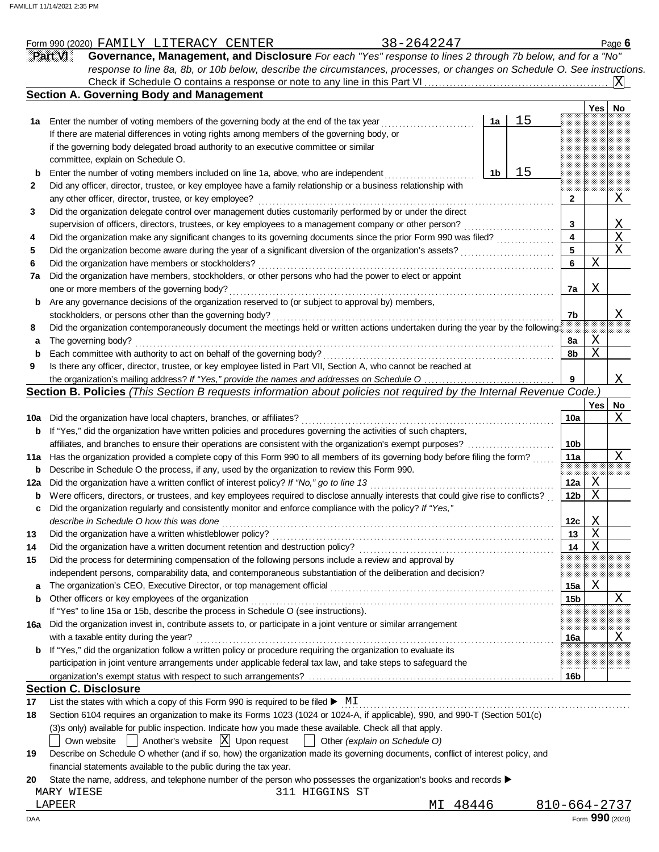|              | 38-2642247<br>Form 990 (2020) FAMILY LITERACY CENTER                                                                                                                                             |                         |                 | Page 6        |
|--------------|--------------------------------------------------------------------------------------------------------------------------------------------------------------------------------------------------|-------------------------|-----------------|---------------|
|              | Governance, Management, and Disclosure For each "Yes" response to lines 2 through 7b below, and for a "No"<br>Part VI                                                                            |                         |                 |               |
|              | response to line 8a, 8b, or 10b below, describe the circumstances, processes, or changes on Schedule O. See instructions.                                                                        |                         |                 |               |
|              |                                                                                                                                                                                                  |                         |                 | IXI           |
|              | <b>Section A. Governing Body and Management</b>                                                                                                                                                  |                         |                 |               |
|              |                                                                                                                                                                                                  |                         | <b>Yes</b>      | No            |
| 1а           | 15<br>Enter the number of voting members of the governing body at the end of the tax year<br>1a                                                                                                  |                         |                 |               |
|              | If there are material differences in voting rights among members of the governing body, or                                                                                                       |                         |                 |               |
|              | if the governing body delegated broad authority to an executive committee or similar                                                                                                             |                         |                 |               |
|              | committee, explain on Schedule O.                                                                                                                                                                |                         |                 |               |
|              | 15                                                                                                                                                                                               |                         |                 |               |
| b            | Enter the number of voting members included on line 1a, above, who are independent<br>1b                                                                                                         |                         |                 |               |
| $\mathbf{2}$ | Did any officer, director, trustee, or key employee have a family relationship or a business relationship with                                                                                   |                         |                 |               |
|              | any other officer, director, trustee, or key employee?                                                                                                                                           | 2                       |                 | Χ             |
| 3            | Did the organization delegate control over management duties customarily performed by or under the direct                                                                                        |                         |                 |               |
|              | supervision of officers, directors, trustees, or key employees to a management company or other person?                                                                                          | 3                       |                 | $\frac{X}{X}$ |
| 4            | Did the organization make any significant changes to its governing documents since the prior Form 990 was filed?                                                                                 | $\overline{\mathbf{4}}$ |                 |               |
| 5            | Did the organization become aware during the year of a significant diversion of the organization's assets?                                                                                       | 5                       |                 | $\mathbf X$   |
| 6            | Did the organization have members or stockholders?                                                                                                                                               | 6                       | X               |               |
| 7a           | Did the organization have members, stockholders, or other persons who had the power to elect or appoint                                                                                          |                         |                 |               |
|              | one or more members of the governing body?                                                                                                                                                       | 7a                      | Χ               |               |
| b            | Are any governance decisions of the organization reserved to (or subject to approval by) members,                                                                                                |                         |                 |               |
|              | stockholders, or persons other than the governing body?                                                                                                                                          | 7b                      |                 | Χ             |
| 8            | Did the organization contemporaneously document the meetings held or written actions undertaken during the year by the following:                                                                |                         |                 |               |
| a            | The governing body?                                                                                                                                                                              | 8a                      | <u>X</u>        |               |
|              | Each committee with authority to act on behalf of the governing body?                                                                                                                            | 8b                      | X               |               |
| b            |                                                                                                                                                                                                  |                         |                 |               |
| 9            | Is there any officer, director, trustee, or key employee listed in Part VII, Section A, who cannot be reached at                                                                                 |                         |                 |               |
|              | the organization's mailing address? If "Yes," provide the names and addresses on Schedule O                                                                                                      | 9                       |                 | Χ             |
|              | Section B. Policies (This Section B requests information about policies not required by the Internal Revenue Code.)                                                                              |                         |                 |               |
|              |                                                                                                                                                                                                  |                         | Yes             | No            |
| 10a          | Did the organization have local chapters, branches, or affiliates?                                                                                                                               | 10a                     |                 | Χ             |
| b            | If "Yes," did the organization have written policies and procedures governing the activities of such chapters,                                                                                   |                         |                 |               |
|              | affiliates, and branches to ensure their operations are consistent with the organization's exempt purposes?                                                                                      | 10 <sub>b</sub>         |                 |               |
| 11a          | Has the organization provided a complete copy of this Form 990 to all members of its governing body before filing the form?                                                                      | 11a                     |                 | Х             |
| b            | Describe in Schedule O the process, if any, used by the organization to review this Form 990.                                                                                                    |                         |                 |               |
| 12a          | Did the organization have a written conflict of interest policy? If "No," go to line 13                                                                                                          | 12a                     | Χ               |               |
| b            | Were officers, directors, or trustees, and key employees required to disclose annually interests that could give rise to conflicts?                                                              | 12 <sub>b</sub>         | X               |               |
|              | Did the organization regularly and consistently monitor and enforce compliance with the policy? If "Yes,"                                                                                        |                         |                 |               |
|              | describe in Schedule O how this was done                                                                                                                                                         | 12c                     | Χ               |               |
| 13           | Did the organization have a written whistleblower policy?                                                                                                                                        | 13                      | X               |               |
| 14           | Did the organization have a written document retention and destruction policy?                                                                                                                   | 14                      | X               |               |
|              |                                                                                                                                                                                                  |                         |                 |               |
| 15           | Did the process for determining compensation of the following persons include a review and approval by                                                                                           |                         |                 |               |
|              | independent persons, comparability data, and contemporaneous substantiation of the deliberation and decision?                                                                                    |                         |                 |               |
| a            | The organization's CEO, Executive Director, or top management official<br><u> 1986 - Jan Berlin Berlin Berlin Berlin Berlin Berlin Berlin Berlin Berlin Berlin Berlin Berlin Berlin Berlin B</u> | 15a                     | Χ               |               |
| b            | Other officers or key employees of the organization                                                                                                                                              | 15 <sub>b</sub>         |                 | Х             |
|              | If "Yes" to line 15a or 15b, describe the process in Schedule O (see instructions).                                                                                                              |                         |                 |               |
|              | 16a Did the organization invest in, contribute assets to, or participate in a joint venture or similar arrangement                                                                               |                         |                 |               |
|              | with a taxable entity during the year?                                                                                                                                                           | 16a                     |                 | Χ             |
| b            | If "Yes," did the organization follow a written policy or procedure requiring the organization to evaluate its                                                                                   |                         |                 |               |
|              | participation in joint venture arrangements under applicable federal tax law, and take steps to safeguard the                                                                                    |                         |                 |               |
|              |                                                                                                                                                                                                  | 16b                     |                 |               |
|              | <b>Section C. Disclosure</b>                                                                                                                                                                     |                         |                 |               |
| 17           | List the states with which a copy of this Form 990 is required to be filed > MI                                                                                                                  |                         |                 |               |
| 18           | Section 6104 requires an organization to make its Forms 1023 (1024 or 1024-A, if applicable), 990, and 990-T (Section 501(c)                                                                     |                         |                 |               |
|              | (3)s only) available for public inspection. Indicate how you made these available. Check all that apply.                                                                                         |                         |                 |               |
|              |                                                                                                                                                                                                  |                         |                 |               |
|              | Another's website $ X $ Upon request<br>Other (explain on Schedule O)<br>Own website                                                                                                             |                         |                 |               |
| 19           | Describe on Schedule O whether (and if so, how) the organization made its governing documents, conflict of interest policy, and                                                                  |                         |                 |               |
|              | financial statements available to the public during the tax year.                                                                                                                                |                         |                 |               |
| 20           | State the name, address, and telephone number of the person who possesses the organization's books and records ▶                                                                                 |                         |                 |               |
|              | 311 HIGGINS ST<br>MARY WIESE                                                                                                                                                                     |                         |                 |               |
|              | 48446<br>LAPEER<br>МI                                                                                                                                                                            | 810-664-2737            |                 |               |
| DAA          |                                                                                                                                                                                                  |                         | Form 990 (2020) |               |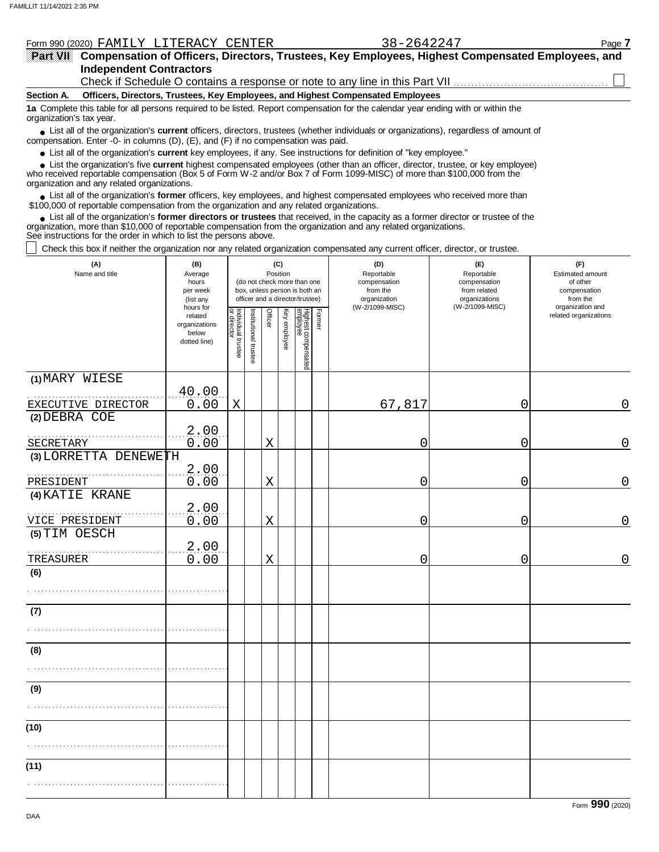|                          | Form 990 (2020) FAMILY LITERACY CENTER                                                                                                                                                                                                                      | 38-2642247 | Page 7 |
|--------------------------|-------------------------------------------------------------------------------------------------------------------------------------------------------------------------------------------------------------------------------------------------------------|------------|--------|
| Part VII                 | Compensation of Officers, Directors, Trustees, Key Employees, Highest Compensated Employees, and                                                                                                                                                            |            |        |
|                          | <b>Independent Contractors</b>                                                                                                                                                                                                                              |            |        |
|                          | Check if Schedule O contains a response or note to any line in this Part VII                                                                                                                                                                                |            |        |
| Section A.               | Officers, Directors, Trustees, Key Employees, and Highest Compensated Employees                                                                                                                                                                             |            |        |
| organization's tax year. | 1a Complete this table for all persons required to be listed. Report compensation for the calendar year ending with or within the                                                                                                                           |            |        |
|                          | • List all of the organization's <b>current</b> officers, directors, trustees (whether individuals or organizations), regardless of amount of<br>compensation. Enter -0- in columns $(D)$ , $(E)$ , and $(F)$ if no compensation was paid.                  |            |        |
|                          | • List all of the organization's current key employees, if any. See instructions for definition of "key employee."                                                                                                                                          |            |        |
|                          | • List the organization's five current highest compensated employees (other than an officer, director, trustee, or key employee)<br>who received reportable compensation (Roy 5 of Form W-2 and/or Roy 7 of Form 1000-MISC) of more than \$100,000 from the |            |        |

who received reportable compensation (Box 5 of Form W-2 and/or Box 7 of Form 1099-MISC) of more than \$100,000 from the organization and any related organizations.

List all of the organization's **former** officers, key employees, and highest compensated employees who received more than • List all of the organization's former officers, key employees, and highest compensation \$100,000 of reportable compensation from the organization and any related organizations.

List all of the organization's **former directors or trustees** that received, in the capacity as a former director or trustee of the organization, more than \$10,000 of reportable compensation from the organization and any related organizations. See instructions for the order in which to list the persons above. **•**

Check this box if neither the organization nor any related organization compensated any current officer, director, or trustee.

| (A)<br>Name and title | (B)<br>Average<br>hours<br>per week<br>(list any               | (C)<br>Position<br>(do not check more than one<br>box, unless person is both an<br>officer and a director/trustee) |                       |             |              |                                 |        | (D)<br>Reportable<br>compensation<br>from the<br>organization<br>(W-2/1099-MISC) | (E)<br>Reportable<br>compensation<br>from related<br>organizations<br>(W-2/1099-MISC) | (F)<br>Estimated amount<br>of other<br>compensation<br>from the<br>organization and |  |
|-----------------------|----------------------------------------------------------------|--------------------------------------------------------------------------------------------------------------------|-----------------------|-------------|--------------|---------------------------------|--------|----------------------------------------------------------------------------------|---------------------------------------------------------------------------------------|-------------------------------------------------------------------------------------|--|
|                       | hours for<br>related<br>organizations<br>below<br>dotted line) | Individual trustee<br>or director                                                                                  | Institutional trustee | Officer     | Key employee | Highest compensated<br>employee | Former |                                                                                  |                                                                                       | related organizations                                                               |  |
| (1) MARY WIESE        |                                                                |                                                                                                                    |                       |             |              |                                 |        |                                                                                  |                                                                                       |                                                                                     |  |
| EXECUTIVE DIRECTOR    | 40.00<br>0.00                                                  | $\mathbf X$                                                                                                        |                       |             |              |                                 |        | 67,817                                                                           | 0                                                                                     | 0                                                                                   |  |
| (2) DEBRA COE         |                                                                |                                                                                                                    |                       |             |              |                                 |        |                                                                                  |                                                                                       |                                                                                     |  |
| SECRETARY             | 2.00<br>0.00                                                   |                                                                                                                    |                       | $\mathbf X$ |              |                                 |        | 0                                                                                | $\overline{0}$                                                                        | $\mathsf{O}\xspace$                                                                 |  |
| (3) LORRETTA DENEWETH |                                                                |                                                                                                                    |                       |             |              |                                 |        |                                                                                  |                                                                                       |                                                                                     |  |
| PRESIDENT             | 2.00<br>0.00                                                   |                                                                                                                    |                       | Χ           |              |                                 |        | 0                                                                                | 0                                                                                     | 0                                                                                   |  |
| (4) KATIE KRANE       |                                                                |                                                                                                                    |                       |             |              |                                 |        |                                                                                  |                                                                                       |                                                                                     |  |
| VICE PRESIDENT        | 2.00<br>0.00                                                   |                                                                                                                    |                       | X           |              |                                 |        | 0                                                                                | 0                                                                                     | $\mathbf 0$                                                                         |  |
| (5) TIM OESCH         |                                                                |                                                                                                                    |                       |             |              |                                 |        |                                                                                  |                                                                                       |                                                                                     |  |
| TREASURER             | 2.00<br>0.00                                                   |                                                                                                                    |                       | $\rm X$     |              |                                 |        | 0                                                                                | 0                                                                                     | $\mathbf 0$                                                                         |  |
| (6)                   |                                                                |                                                                                                                    |                       |             |              |                                 |        |                                                                                  |                                                                                       |                                                                                     |  |
|                       |                                                                |                                                                                                                    |                       |             |              |                                 |        |                                                                                  |                                                                                       |                                                                                     |  |
| (7)                   |                                                                |                                                                                                                    |                       |             |              |                                 |        |                                                                                  |                                                                                       |                                                                                     |  |
|                       |                                                                |                                                                                                                    |                       |             |              |                                 |        |                                                                                  |                                                                                       |                                                                                     |  |
| (8)                   |                                                                |                                                                                                                    |                       |             |              |                                 |        |                                                                                  |                                                                                       |                                                                                     |  |
|                       |                                                                |                                                                                                                    |                       |             |              |                                 |        |                                                                                  |                                                                                       |                                                                                     |  |
| (9)                   |                                                                |                                                                                                                    |                       |             |              |                                 |        |                                                                                  |                                                                                       |                                                                                     |  |
|                       |                                                                |                                                                                                                    |                       |             |              |                                 |        |                                                                                  |                                                                                       |                                                                                     |  |
| (10)                  |                                                                |                                                                                                                    |                       |             |              |                                 |        |                                                                                  |                                                                                       |                                                                                     |  |
|                       |                                                                |                                                                                                                    |                       |             |              |                                 |        |                                                                                  |                                                                                       |                                                                                     |  |
| (11)                  |                                                                |                                                                                                                    |                       |             |              |                                 |        |                                                                                  |                                                                                       |                                                                                     |  |
|                       |                                                                |                                                                                                                    |                       |             |              |                                 |        |                                                                                  |                                                                                       |                                                                                     |  |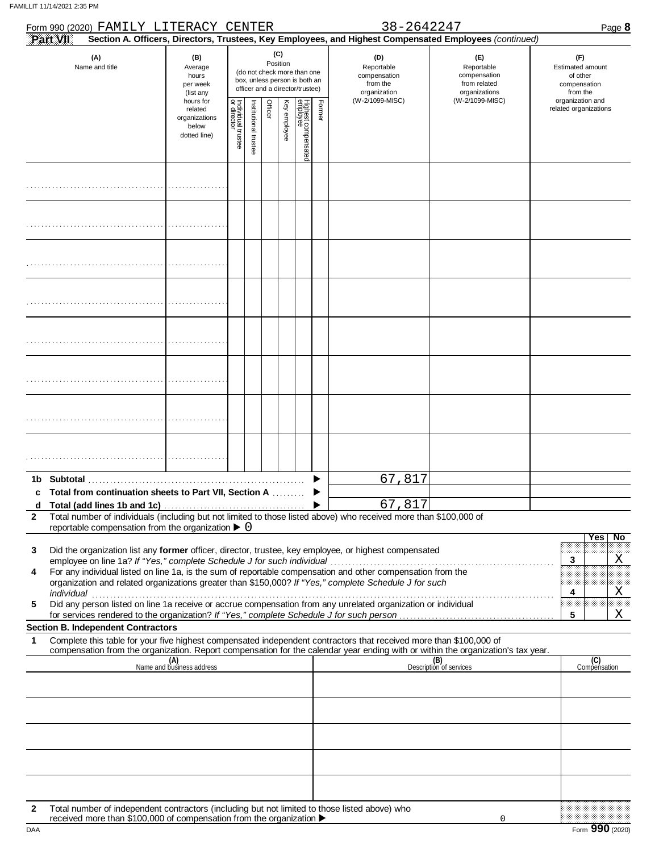|              | Form 990 (2020) FAMILY LITERACY CENTER                                                                                                                                                                                                                                                                                                                                                                 |                                                                                                                                                                        |                                   |                      |         |                                                               |                                                                    |                                                                        | 38-2642247      |                                                                                                        | Page 8                                    |
|--------------|--------------------------------------------------------------------------------------------------------------------------------------------------------------------------------------------------------------------------------------------------------------------------------------------------------------------------------------------------------------------------------------------------------|------------------------------------------------------------------------------------------------------------------------------------------------------------------------|-----------------------------------|----------------------|---------|---------------------------------------------------------------|--------------------------------------------------------------------|------------------------------------------------------------------------|-----------------|--------------------------------------------------------------------------------------------------------|-------------------------------------------|
|              | <b>Part VIII</b>                                                                                                                                                                                                                                                                                                                                                                                       |                                                                                                                                                                        |                                   |                      |         |                                                               |                                                                    |                                                                        |                 | Section A. Officers, Directors, Trustees, Key Employees, and Highest Compensated Employees (continued) |                                           |
|              | (A)<br>Name and title                                                                                                                                                                                                                                                                                                                                                                                  | (C)<br>(B)<br>Position<br>Average<br>(do not check more than one<br>hours<br>box, unless person is both an<br>per week<br>officer and a director/trustee)<br>(list any |                                   |                      |         | (D)<br>Reportable<br>compensation<br>from the<br>organization | (E)<br>Reportable<br>compensation<br>from related<br>organizations | (F)<br><b>Estimated amount</b><br>of other<br>compensation<br>from the |                 |                                                                                                        |                                           |
|              |                                                                                                                                                                                                                                                                                                                                                                                                        | hours for<br>related<br>organizations<br>below<br>dotted line)                                                                                                         | Individual trustee<br>or director | nstitutional trustee | Officer | Key employee                                                  | Highest compensated<br>employee                                    | Former                                                                 | (W-2/1099-MISC) | (W-2/1099-MISC)                                                                                        | organization and<br>related organizations |
|              |                                                                                                                                                                                                                                                                                                                                                                                                        |                                                                                                                                                                        |                                   |                      |         |                                                               |                                                                    |                                                                        |                 |                                                                                                        |                                           |
|              |                                                                                                                                                                                                                                                                                                                                                                                                        |                                                                                                                                                                        |                                   |                      |         |                                                               |                                                                    |                                                                        |                 |                                                                                                        |                                           |
|              |                                                                                                                                                                                                                                                                                                                                                                                                        |                                                                                                                                                                        |                                   |                      |         |                                                               |                                                                    |                                                                        |                 |                                                                                                        |                                           |
|              |                                                                                                                                                                                                                                                                                                                                                                                                        |                                                                                                                                                                        |                                   |                      |         |                                                               |                                                                    |                                                                        |                 |                                                                                                        |                                           |
|              |                                                                                                                                                                                                                                                                                                                                                                                                        |                                                                                                                                                                        |                                   |                      |         |                                                               |                                                                    |                                                                        |                 |                                                                                                        |                                           |
|              |                                                                                                                                                                                                                                                                                                                                                                                                        |                                                                                                                                                                        |                                   |                      |         |                                                               |                                                                    |                                                                        |                 |                                                                                                        |                                           |
|              |                                                                                                                                                                                                                                                                                                                                                                                                        |                                                                                                                                                                        |                                   |                      |         |                                                               |                                                                    |                                                                        |                 |                                                                                                        |                                           |
|              |                                                                                                                                                                                                                                                                                                                                                                                                        |                                                                                                                                                                        |                                   |                      |         |                                                               |                                                                    |                                                                        |                 |                                                                                                        |                                           |
|              |                                                                                                                                                                                                                                                                                                                                                                                                        |                                                                                                                                                                        |                                   |                      |         |                                                               |                                                                    |                                                                        | 67,817          |                                                                                                        |                                           |
|              | <b>Total from continuation sheets to Part VII, Section A </b><br>Total (add lines 1b and 1c) $\ldots$ $\ldots$ $\ldots$ $\ldots$ $\ldots$ $\ldots$                                                                                                                                                                                                                                                     |                                                                                                                                                                        |                                   |                      |         |                                                               |                                                                    |                                                                        | 67,817          |                                                                                                        |                                           |
| $\mathbf{2}$ | Total number of individuals (including but not limited to those listed above) who received more than \$100,000 of                                                                                                                                                                                                                                                                                      |                                                                                                                                                                        |                                   |                      |         |                                                               |                                                                    |                                                                        |                 |                                                                                                        |                                           |
| 3<br>4       | reportable compensation from the organization $\blacktriangleright$ 0<br>Did the organization list any former officer, director, trustee, key employee, or highest compensated<br>For any individual listed on line 1a, is the sum of reportable compensation and other compensation from the<br>organization and related organizations greater than \$150,000? If "Yes," complete Schedule J for such |                                                                                                                                                                        |                                   |                      |         |                                                               |                                                                    |                                                                        |                 |                                                                                                        | Yes<br>$\overline{N}$<br>Χ<br>3<br>Χ<br>4 |
| 5            | Did any person listed on line 1a receive or accrue compensation from any unrelated organization or individual<br><b>Section B. Independent Contractors</b>                                                                                                                                                                                                                                             |                                                                                                                                                                        |                                   |                      |         |                                                               |                                                                    |                                                                        |                 |                                                                                                        | Χ<br>5                                    |
| 1            | Complete this table for your five highest compensated independent contractors that received more than \$100,000 of                                                                                                                                                                                                                                                                                     |                                                                                                                                                                        |                                   |                      |         |                                                               |                                                                    |                                                                        |                 |                                                                                                        |                                           |
|              | compensation from the organization. Report compensation for the calendar year ending with or within the organization's tax year.                                                                                                                                                                                                                                                                       | (A)<br>Name and business address                                                                                                                                       |                                   |                      |         |                                                               |                                                                    |                                                                        |                 | (B)<br>Description of services                                                                         | (C)<br>Compensation                       |
|              |                                                                                                                                                                                                                                                                                                                                                                                                        |                                                                                                                                                                        |                                   |                      |         |                                                               |                                                                    |                                                                        |                 |                                                                                                        |                                           |
|              |                                                                                                                                                                                                                                                                                                                                                                                                        |                                                                                                                                                                        |                                   |                      |         |                                                               |                                                                    |                                                                        |                 |                                                                                                        |                                           |
|              |                                                                                                                                                                                                                                                                                                                                                                                                        |                                                                                                                                                                        |                                   |                      |         |                                                               |                                                                    |                                                                        |                 |                                                                                                        |                                           |
|              |                                                                                                                                                                                                                                                                                                                                                                                                        |                                                                                                                                                                        |                                   |                      |         |                                                               |                                                                    |                                                                        |                 |                                                                                                        |                                           |
| 2<br>DAA     | Total number of independent contractors (including but not limited to those listed above) who<br>received more than \$100,000 of compensation from the organization ▶                                                                                                                                                                                                                                  |                                                                                                                                                                        |                                   |                      |         |                                                               |                                                                    |                                                                        |                 | 0                                                                                                      | Form 990 (2020)                           |
|              |                                                                                                                                                                                                                                                                                                                                                                                                        |                                                                                                                                                                        |                                   |                      |         |                                                               |                                                                    |                                                                        |                 |                                                                                                        |                                           |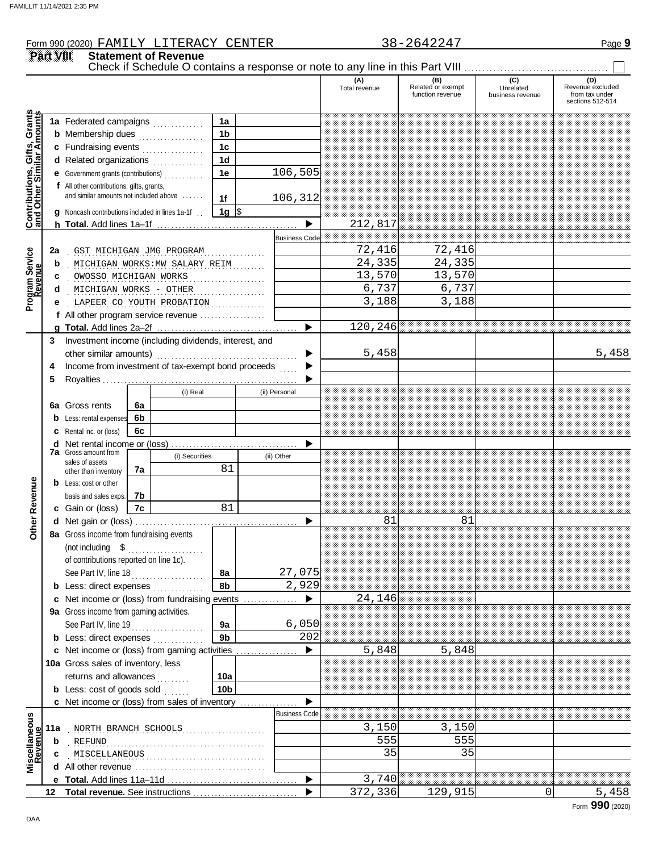**Part VIII Statement of Revenue**

# Form 990 (2020) Page **9** FAMILY LITERACY CENTER 38-2642247

#### **(A) (B) (C) (D)** Total revenue Related or exempt Unrelated Revenue excluded function revenue business revenue from tax under sections 512-514 **Contributions, Gifts, Grants** Gifts, Grant<br>ilar Amounts **and Other Similar Amounts 1a 1a** Federated campaigns **. . . . . . . . . . .** . **1b b** Membership dues  $\ldots$  . . . . . . . . . . . . . **1c c** Fundraising events . . . . . . . . . . . . . . . **1d d** Related organizations . . . . . . . . . . . . **Contributions,<br>and Other Simi 1e** 106,505 **e** Government grants (contributions) . . . . . . . . . . . **f** All other contributions, gifts, grants, and similar amounts not included above ...... **1f** 106,312 **1g g** Noncash contributions included in lines 1a-1f . .  $\frac{1}{2}$  $\blacktriangleright$ 212,817 **h Total.** Add lines 1a–1f . . . . . . . . . . . . . . . . . . . . . . . . . . . . . . . . . . . . . . . **Business Code** Program Service<br>Revenue 2a GST MICHIGAN JMG PROGRAM **1989 120 12,416** 72,416 **Program Service b** MICHIGAN WORKS:MW SALARY REIM 24,335 24,335 . . . . . . . . . . . . . . . . . . . . . . . . . . . . . . . . . . . . . . . . . . . . . . . . . . . . . . **c** OWOSSO MICHIGAN WORKS 13,570 13,570 . . . . . . . . . . . . . . . . . . . . . . . . . . . . . . . . . . . . . . . . . . . . . . . . . . . . . . MICHIGAN WORKS - OTHER 6,737 6,737 **d** . . . . . . . . . . . . . . . . . . . . . . . . . . . . . . . . . . . . . . . . . . . . . . . . . . . . . . LAPEER CO YOUTH PROBATION 3,188 3,188 **e** f All other program service revenue . . . . . . . . . . . . . . . 120,246 **g Total.** Add lines 2a–2f . . . . . . . . . . . . . . . . . . . . . . . . . . . . . . . . . . . . . . . **3** Investment income (including dividends, interest, and ь 5,458 5,458 other similar amounts) . . . . . . . . . . . . . . . . . . . . . . . . . . . . . . . . . . . . . . . ▶ **4** Income from investment of tax-exempt bond proceeds  $\ldots$ **5** Royalties . . . . . . . . . . . . . . . . . . . . . . . . . . . . . . . . . . . . . . . . . . . . . . . . . . . . . . ▶ (i) Real (ii) Personal **6a 6a** Gross rents **6b b** Less: rental expenses **6c c** Rental inc. or (loss) **d** Net rental income or (loss) . . . . . . . . . . . . . . . . . . . . . . . . . . . . . . . . . . . ▶ **7a** Gross amount from (i) Securities (ii) Other sales of assets 81 **7a** other than inventory **Other Revenue Other Revenue b** Less: cost or other basis and sales exps. **7b** 81 **7c c** Gain or (loss) 81 81 **d** Net gain or (loss) . . . . . . . . . . . . . . . . . . . . . . . . . . . . . . . . . . . . . . . . . . . . . **8a** Gross income from fundraising events (not including \$ . . . . . . . . . . . . . . . . . . . . . of contributions reported on line 1c). See Part IV, line 18 . . . . . . . . . . . . . . . . . . . . **8a** 27,075 **8b** 2,929 **b** Less: direct expenses **. . . . . . . . . . .** . 24,146 ▶ **c** Net income or (loss) from fundraising events . . . . . . . . . . . . . . . **9a** Gross income from gaming activities. See Part IV, line 19 . . . . . . . . . . . . . . . . . . . . 6,050 **9a 9b** 202 **b** Less: direct expenses **. . . . . . . . . . .** . . 5,848 5,848  $\blacktriangleright$ Net income or (loss) from gaming activities . . . . . . . . . . . . . . . . . **c** 10a Gross sales of inventory, less returns and allowances . . . . . . . . **10a 10b b** Less:  $\cosh$  of goods  $\sinh$ ь Net income or (loss) from sales of inventory . . . . . . . . . . . . . . . . **c** Business Code **Miscellaneous**<br>Revenue **Miscellaneous 11a** . . . . . . . . . . . . . . . . . . . . . . . . . . . . . . . . . . . . . . . . . . . . . . . . . . . . . . NORTH BRANCH SCHOOLS 3,150 3,150 . . . . . . . . . . . . . . . . . . . . . . . . . . . . . . . . . . . . . . . . . . . . . . . . . . . . . . REFUND 555 555 **b** . . . . . . . . . . . . . . . . . . . . . . . . . . . . . . . . . . . . . . . . . . . . . . . . . . . . . . MISCELLANEOUS 35 35 **c d** All other revenue . . . . . . . . . . . . . . . . . . . . . . . . . . . . . . . . . . . . 3,740 ь **e Total.** Add lines 11a–11d . . . . . . . . . . . . . . . . . . . . . . . . . . . . . . . . . . . . **Total revenue.** See instructions  $\blacktriangleright$ 372,336 129,915 0 5,458 **12**

Check if Schedule O contains a response or note to any line in this Part VIII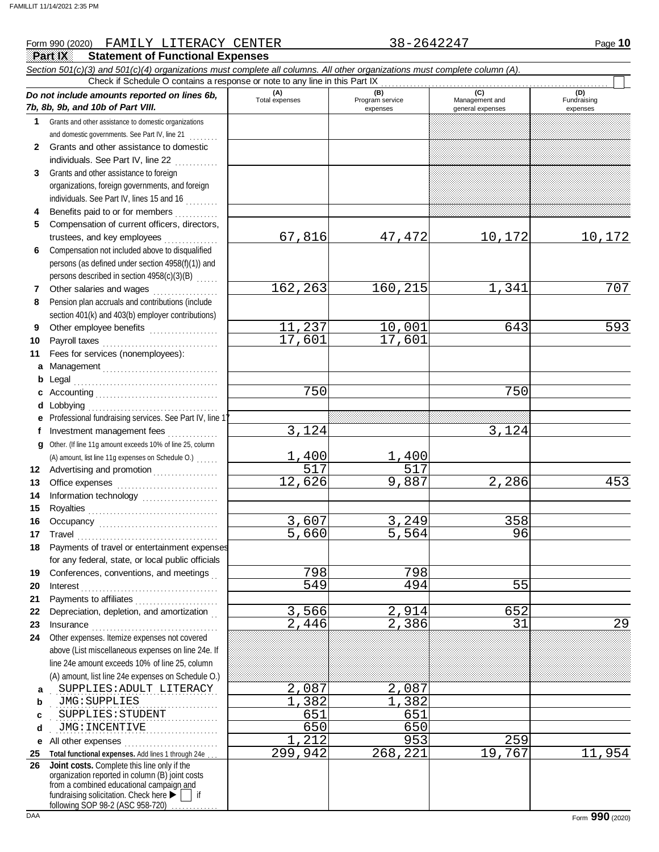### **Part IX Statement of Functional Expenses** Form 990 (2020) Page **10** FAMILY LITERACY CENTER 38-2642247 *Section 501(c)(3) and 501(c)(4) organizations must complete all columns. All other organizations must complete column (A). Do not include amounts reported on lines 6b, 7b, 8b, 9b, and 10b of Part VIII.* **1 2 3 4 5 6 7 8 9 10 11 a** Management . . . . . . . . . . . . . . . . . . . . . . . . . . . . . . . . **b** Legal . . . . . . . . . . . . . . . . . . . . . . . . . . . . . . . . . . . . . . . . **c** Accounting . . . . . . . . . . . . . . . . . . . . . . . . . . . . . . . . . . **d** Lobbying . . . . . . . . . . . . . . . . . . . . . . . . . . . . . . . . . . . . **e f g** Other. (If line 11g amount exceeds 10% of line 25, column **12** Advertising and promotion . . . . . . . . . . . . . . . . **13 14 15 16 17 18 19 20 21 22 23 24 a** SUPPLIES:ADULT LITERACY 2,087 2,087 **b c d e** All other expenses . . . . . . . . . . . . . . . . . . . . . . . . . . **25 Total functional expenses.** Add lines 1 through 24e . . . **26** Grants and other assistance to domestic organizations and domestic governments. See Part IV, line 21 Grants and other assistance to domestic individuals. See Part IV, line 22 Grants and other assistance to foreign organizations, foreign governments, and foreign individuals. See Part IV, lines 15 and 16 Benefits paid to or for members . . . . . . . . . . . . . Compensation of current officers, directors, trustees, and key employees . . . . . . . . . . . . . Compensation not included above to disqualified persons (as defined under section 4958(f)(1)) and persons described in section 4958(c)(3)(B) . . . . . . Other salaries and wages .................. Pension plan accruals and contributions (include section 401(k) and 403(b) employer contributions) Other employee benefits ................... Payroll taxes . . . . . . . . . . . . . . . . . . . . . . . . . . . . . . . . Fees for services (nonemployees): Professional fundraising services. See Part IV, line 17 Investment management fees ............... Office expenses . . . . . . . . . . . . . . . . . . . . . . . . . . . . Information technology ..................... Royalties . . . . . . . . . . . . . . . . . . . . . . . . . . . . . . . . . . . . Occupancy . . . . . . . . . . . . . . . . . . . . . . . . . . . . . . . . . Travel . . . . . . . . . . . . . . . . . . . . . . . . . . . . . . . . . . . . . . . Payments of travel or entertainment expenses for any federal, state, or local public officials Conferences, conventions, and meetings Interest . . . . . . . . . . . . . . . . . . . . . . . . . . . . . . . . . . . . . . Payments to affiliates . . . . . . . . . . . . . . . . . . . . . . . Depreciation, depletion, and amortization Insurance . . . . . . . . . . . . . . . . . . . . . . . . . . . . . . . . . . . Other expenses. Itemize expenses not covered above (List miscellaneous expenses on line 24e. If line 24e amount exceeds 10% of line 25, column (A) amount, list line 24e expenses on Schedule O.) organization reported in column (B) joint costs from a combined educational campaign and **(A) (B) (C) (D)** Total expenses<br>
expenses<br>
Program service<br>
Program service<br>  $\frac{1}{2}$ <br>
Management and<br>
general expenses expenses general expenses (D)<br>Fundraising expenses . . . . . . . . . . . . . . . . . . . . . . . . . . . . . . . . . . . . . . . . . . . . . . JMG:SUPPLIES 1,382 1,382 . . . . . . . . . . . . . . . . . . . . . . . . . . . . . . . . . . . . . . . . . . . . . . SUPPLIES:STUDENT 651 651 . . . . . . . . . . . . . . . . . . . . . . . . . . . . . . . . . . . . . . . . . . . . . . JMG:INCENTIVE 650 650 Check if Schedule O contains a response or note to any line in this Part IX **Joint costs.** Complete this line only if the (A) amount, list line 11g expenses on Schedule O.) . . . . . . 67,816 47,472 10,172 10,172 <u>162,263 160,215 1,341 707</u> <u>11,237 10,001 643 593</u> 17,601 17,601 750 750 3,124 3,124 1,400 1,400 517 517 12,626 9,887 2,286 453 3,607 3,249 358 5,660 5,564 96 <mark>798</mark> 798<br>549 494 <u>549 494 55</u> 3,566 2,914 652 2,446 2,386 31 29 1,212 953 259 299,942 268,221 19,767 11,954

fundraising solicitation. Check here  $\blacktriangleright$   $\mid$  if

following SOP 98-2 (ASC 958-720)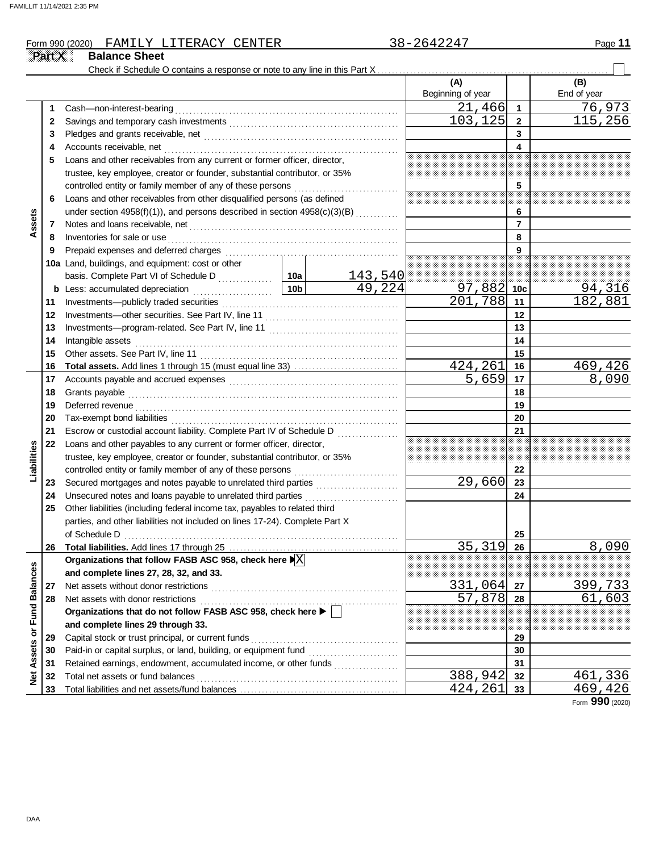**Part X Balance Sheet**

### Form 990 (2020) Page **11** FAMILY LITERACY CENTER 38-2642247

|                             |    |                                                                                                                                          |                 |               | (A)<br>Beginning of year |                         | (B)<br>End of year |  |  |  |  |  |  |  |
|-----------------------------|----|------------------------------------------------------------------------------------------------------------------------------------------|-----------------|---------------|--------------------------|-------------------------|--------------------|--|--|--|--|--|--|--|
|                             | 1  | Cash-non-interest-bearing                                                                                                                |                 |               | 21,466                   | $\mathbf{1}$            | 76,973             |  |  |  |  |  |  |  |
|                             | 2  |                                                                                                                                          |                 |               | 103,125                  | $\overline{\mathbf{2}}$ | 115,256            |  |  |  |  |  |  |  |
|                             | 3  |                                                                                                                                          |                 |               |                          | 3                       |                    |  |  |  |  |  |  |  |
|                             | 4  | Accounts receivable, net                                                                                                                 |                 |               |                          | 4                       |                    |  |  |  |  |  |  |  |
|                             | 5  | Loans and other receivables from any current or former officer, director,                                                                |                 |               |                          |                         |                    |  |  |  |  |  |  |  |
|                             |    | trustee, key employee, creator or founder, substantial contributor, or 35%                                                               |                 |               |                          |                         |                    |  |  |  |  |  |  |  |
|                             |    | controlled entity or family member of any of these persons                                                                               |                 |               |                          | 5                       |                    |  |  |  |  |  |  |  |
|                             | 6  | Loans and other receivables from other disqualified persons (as defined                                                                  |                 |               |                          |                         |                    |  |  |  |  |  |  |  |
|                             |    | under section $4958(f)(1)$ , and persons described in section $4958(c)(3)(B)$                                                            |                 |               |                          | 6                       |                    |  |  |  |  |  |  |  |
| Assets                      | 7  |                                                                                                                                          |                 |               | $\overline{7}$           |                         |                    |  |  |  |  |  |  |  |
|                             | 8  | Inventories for sale or use                                                                                                              |                 |               |                          | 8                       |                    |  |  |  |  |  |  |  |
|                             | 9  | Prepaid expenses and deferred charges                                                                                                    |                 |               |                          | 9                       |                    |  |  |  |  |  |  |  |
|                             |    | 10a Land, buildings, and equipment: cost or other                                                                                        |                 |               |                          |                         |                    |  |  |  |  |  |  |  |
|                             |    |                                                                                                                                          |                 | 143,540       |                          |                         |                    |  |  |  |  |  |  |  |
|                             |    | <b>b</b> Less: accumulated depreciation<br>.                                                                                             | 10 <sub>b</sub> | 49,224        | 97,882<br>201,788        | 10 <sub>c</sub><br>11   | 94,316<br>182,881  |  |  |  |  |  |  |  |
|                             | 11 | Investments-publicly traded securities                                                                                                   |                 |               |                          |                         |                    |  |  |  |  |  |  |  |
|                             | 12 |                                                                                                                                          |                 | $12 \,$<br>13 |                          |                         |                    |  |  |  |  |  |  |  |
|                             | 13 |                                                                                                                                          |                 |               |                          |                         |                    |  |  |  |  |  |  |  |
|                             | 14 | Intangible assets                                                                                                                        |                 |               |                          | 14                      |                    |  |  |  |  |  |  |  |
|                             | 15 | Other assets. See Part IV, line 11                                                                                                       |                 |               |                          | 15                      |                    |  |  |  |  |  |  |  |
|                             | 16 |                                                                                                                                          |                 |               | 424,261                  | 16                      | 469,426            |  |  |  |  |  |  |  |
| Liabilities                 | 17 |                                                                                                                                          |                 |               | 5,659                    | 17                      | 8,090              |  |  |  |  |  |  |  |
|                             | 18 | Grants payable                                                                                                                           |                 |               |                          | 18                      |                    |  |  |  |  |  |  |  |
|                             | 19 | Deferred revenue                                                                                                                         |                 | 19            |                          |                         |                    |  |  |  |  |  |  |  |
|                             | 20 |                                                                                                                                          |                 | 20<br>21      |                          |                         |                    |  |  |  |  |  |  |  |
|                             | 21 | Escrow or custodial account liability. Complete Part IV of Schedule D                                                                    |                 |               |                          |                         |                    |  |  |  |  |  |  |  |
|                             | 22 | Loans and other payables to any current or former officer, director,                                                                     |                 |               |                          |                         |                    |  |  |  |  |  |  |  |
|                             |    | trustee, key employee, creator or founder, substantial contributor, or 35%<br>controlled entity or family member of any of these persons |                 |               |                          | 22                      |                    |  |  |  |  |  |  |  |
|                             | 23 |                                                                                                                                          |                 |               | 29,660                   | 23                      |                    |  |  |  |  |  |  |  |
|                             | 24 | Unsecured notes and loans payable to unrelated third parties                                                                             |                 |               | 24                       |                         |                    |  |  |  |  |  |  |  |
|                             | 25 | Other liabilities (including federal income tax, payables to related third                                                               |                 |               |                          |                         |                    |  |  |  |  |  |  |  |
|                             |    | parties, and other liabilities not included on lines 17-24). Complete Part X                                                             |                 |               |                          |                         |                    |  |  |  |  |  |  |  |
|                             |    |                                                                                                                                          |                 |               |                          | 25                      |                    |  |  |  |  |  |  |  |
|                             | 26 | Total liabilities. Add lines 17 through 25                                                                                               | <u>35,319</u>   | 26            | 8,090                    |                         |                    |  |  |  |  |  |  |  |
|                             |    | Organizations that follow FASB ASC 958, check here $\blacktriangleright$ $\mathbb{X}$                                                    |                 |               |                          |                         |                    |  |  |  |  |  |  |  |
|                             |    | and complete lines 27, 28, 32, and 33.                                                                                                   |                 |               |                          |                         |                    |  |  |  |  |  |  |  |
|                             | 27 | Net assets without donor restrictions                                                                                                    |                 |               | 331,064                  | 27                      | <u>399,733</u>     |  |  |  |  |  |  |  |
|                             | 28 | Net assets with donor restrictions                                                                                                       |                 |               | 57,878                   | 28                      | 61,603             |  |  |  |  |  |  |  |
|                             |    | Organizations that do not follow FASB ASC 958, check here ▶                                                                              |                 |               |                          |                         |                    |  |  |  |  |  |  |  |
|                             |    | and complete lines 29 through 33.                                                                                                        |                 |               |                          |                         |                    |  |  |  |  |  |  |  |
|                             | 29 | Capital stock or trust principal, or current funds                                                                                       |                 |               |                          | 29                      |                    |  |  |  |  |  |  |  |
|                             | 30 | Paid-in or capital surplus, or land, building, or equipment fund                                                                         |                 |               |                          | 30                      |                    |  |  |  |  |  |  |  |
|                             | 31 | Retained earnings, endowment, accumulated income, or other funds                                                                         |                 |               |                          | 31                      |                    |  |  |  |  |  |  |  |
| Net Assets or Fund Balances | 32 | Total net assets or fund balances                                                                                                        |                 |               | 388,942                  | 32                      | 461,336            |  |  |  |  |  |  |  |
|                             | 33 |                                                                                                                                          |                 |               | 424,261                  | 33                      | 469,426            |  |  |  |  |  |  |  |

Form **990** (2020)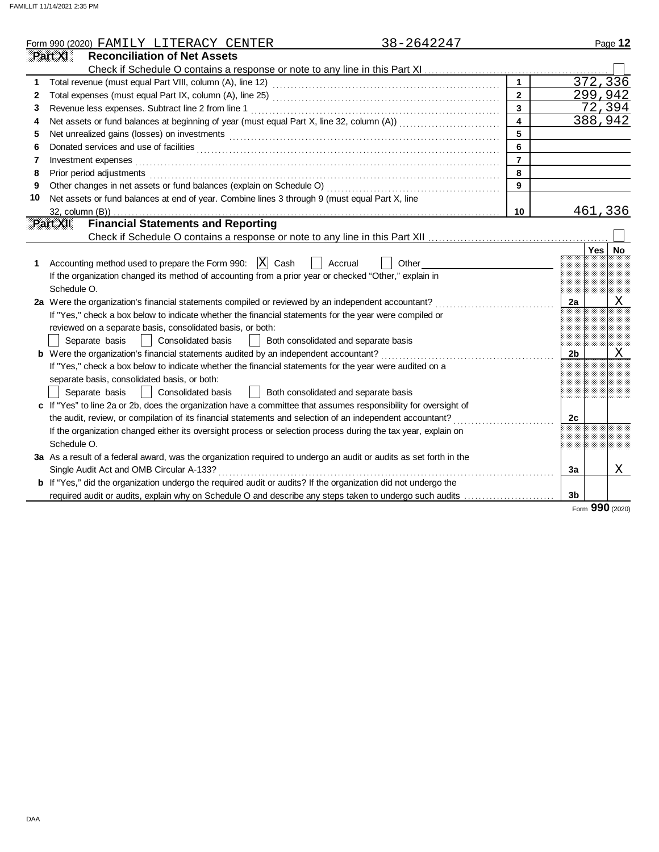|              | 38-2642247<br>Form 990 (2020) FAMILY LITERACY CENTER                                                               |                         |                | Page 12          |
|--------------|--------------------------------------------------------------------------------------------------------------------|-------------------------|----------------|------------------|
|              | <b>Reconciliation of Net Assets</b><br>Part XI                                                                     |                         |                |                  |
|              |                                                                                                                    |                         |                |                  |
| 1            |                                                                                                                    |                         |                | 372,336          |
| $\mathbf{2}$ |                                                                                                                    | $\overline{2}$          |                | 299,942          |
| 3            | Revenue less expenses. Subtract line 2 from line 1                                                                 | $\mathbf{3}$            |                | 72,394           |
| 4            |                                                                                                                    | $\overline{\mathbf{4}}$ |                | 388,942          |
| 5            | Net unrealized gains (losses) on investments                                                                       | 5                       |                |                  |
| 6            |                                                                                                                    | 6                       |                |                  |
| 7            | Investment expenses                                                                                                | $\overline{7}$          |                |                  |
| 8            | Prior period adjustments                                                                                           | 8                       |                |                  |
| 9            | Other changes in net assets or fund balances (explain on Schedule O)                                               | 9                       |                |                  |
| 10           | Net assets or fund balances at end of year. Combine lines 3 through 9 (must equal Part X, line                     |                         |                |                  |
|              | 32, column (B))                                                                                                    | 10                      |                | 461,336          |
|              | <b>Financial Statements and Reporting</b><br>Part XII                                                              |                         |                |                  |
|              |                                                                                                                    |                         |                |                  |
|              |                                                                                                                    |                         |                | <b>Yes</b><br>No |
| 1            | $ X $ Cash<br>Accounting method used to prepare the Form 990:<br>Accrual<br>Other                                  |                         |                |                  |
|              | If the organization changed its method of accounting from a prior year or checked "Other," explain in              |                         |                |                  |
|              | Schedule O.                                                                                                        |                         |                |                  |
|              | 2a Were the organization's financial statements compiled or reviewed by an independent accountant?                 |                         | 2a             | Χ                |
|              | If "Yes," check a box below to indicate whether the financial statements for the year were compiled or             |                         |                |                  |
|              | reviewed on a separate basis, consolidated basis, or both:                                                         |                         |                |                  |
|              | Separate basis<br>Consolidated basis<br>Both consolidated and separate basis                                       |                         |                |                  |
|              | <b>b</b> Were the organization's financial statements audited by an independent accountant?                        |                         | 2 <sub>b</sub> | Χ                |
|              | If "Yes," check a box below to indicate whether the financial statements for the year were audited on a            |                         |                |                  |
|              | separate basis, consolidated basis, or both:                                                                       |                         |                |                  |
|              | Separate basis<br>Consolidated basis<br>Both consolidated and separate basis                                       |                         |                |                  |
|              | c If "Yes" to line 2a or 2b, does the organization have a committee that assumes responsibility for oversight of   |                         |                |                  |
|              | the audit, review, or compilation of its financial statements and selection of an independent accountant?          |                         | 2c             |                  |
|              | If the organization changed either its oversight process or selection process during the tax year, explain on      |                         |                |                  |
|              | Schedule O.                                                                                                        |                         |                |                  |
|              | 3a As a result of a federal award, was the organization required to undergo an audit or audits as set forth in the |                         |                |                  |
|              | Single Audit Act and OMB Circular A-133?                                                                           |                         | 3a             | Χ                |
|              | b If "Yes," did the organization undergo the required audit or audits? If the organization did not undergo the     |                         |                |                  |
|              | required audit or audits, explain why on Schedule O and describe any steps taken to undergo such audits            |                         | 3 <sub>b</sub> |                  |

Form **990** (2020)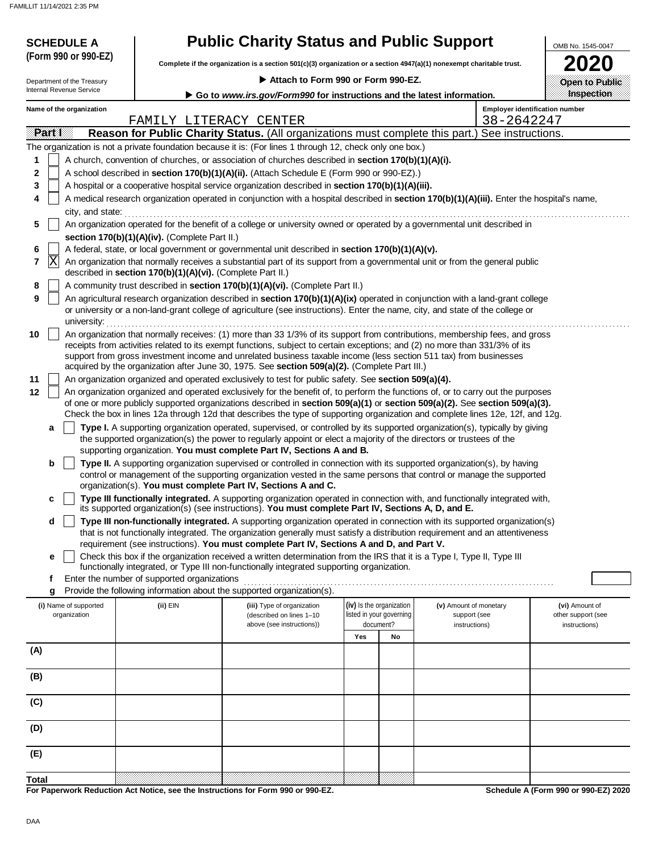| <b>SCHEDULE A</b>          |                                                            | <b>Public Charity Status and Public Support</b>                                                                                                                                                                                                                 |                          |           |                               | OMB No. 1545-0047                   |
|----------------------------|------------------------------------------------------------|-----------------------------------------------------------------------------------------------------------------------------------------------------------------------------------------------------------------------------------------------------------------|--------------------------|-----------|-------------------------------|-------------------------------------|
| (Form 990 or 990-EZ)       |                                                            | Complete if the organization is a section 501(c)(3) organization or a section 4947(a)(1) nonexempt charitable trust.                                                                                                                                            |                          |           |                               |                                     |
| Department of the Treasury |                                                            | Attach to Form 990 or Form 990-EZ.                                                                                                                                                                                                                              |                          |           |                               | <b>Open to Public</b>               |
| Internal Revenue Service   |                                                            | Go to www.irs.gov/Form990 for instructions and the latest information.                                                                                                                                                                                          |                          |           |                               | <b>Inspection</b>                   |
| Name of the organization   |                                                            |                                                                                                                                                                                                                                                                 |                          |           |                               | Employer identification number      |
|                            | FAMILY LITERACY CENTER                                     |                                                                                                                                                                                                                                                                 |                          |           | 38-2642247                    |                                     |
| Part 1                     |                                                            | Reason for Public Charity Status. (All organizations must complete this part.) See instructions.                                                                                                                                                                |                          |           |                               |                                     |
|                            |                                                            | The organization is not a private foundation because it is: (For lines 1 through 12, check only one box.)                                                                                                                                                       |                          |           |                               |                                     |
| 1                          |                                                            | A church, convention of churches, or association of churches described in section 170(b)(1)(A)(i).                                                                                                                                                              |                          |           |                               |                                     |
| 2                          |                                                            | A school described in section 170(b)(1)(A)(ii). (Attach Schedule E (Form 990 or 990-EZ).)                                                                                                                                                                       |                          |           |                               |                                     |
| 3                          |                                                            | A hospital or a cooperative hospital service organization described in section 170(b)(1)(A)(iii).                                                                                                                                                               |                          |           |                               |                                     |
| 4                          |                                                            | A medical research organization operated in conjunction with a hospital described in section 170(b)(1)(A)(iii). Enter the hospital's name,                                                                                                                      |                          |           |                               |                                     |
| city, and state:<br>5      |                                                            | An organization operated for the benefit of a college or university owned or operated by a governmental unit described in                                                                                                                                       |                          |           |                               |                                     |
|                            | section 170(b)(1)(A)(iv). (Complete Part II.)              |                                                                                                                                                                                                                                                                 |                          |           |                               |                                     |
| 6                          |                                                            | A federal, state, or local government or governmental unit described in section 170(b)(1)(A)(v).                                                                                                                                                                |                          |           |                               |                                     |
| $\vert$ X<br>7             |                                                            | An organization that normally receives a substantial part of its support from a governmental unit or from the general public                                                                                                                                    |                          |           |                               |                                     |
|                            | described in section 170(b)(1)(A)(vi). (Complete Part II.) |                                                                                                                                                                                                                                                                 |                          |           |                               |                                     |
| 8                          |                                                            | A community trust described in section 170(b)(1)(A)(vi). (Complete Part II.)                                                                                                                                                                                    |                          |           |                               |                                     |
| 9                          |                                                            | An agricultural research organization described in section 170(b)(1)(A)(ix) operated in conjunction with a land-grant college<br>or university or a non-land-grant college of agriculture (see instructions). Enter the name, city, and state of the college or |                          |           |                               |                                     |
| university:<br>10          |                                                            | An organization that normally receives: (1) more than 33 1/3% of its support from contributions, membership fees, and gross                                                                                                                                     |                          |           |                               |                                     |
|                            |                                                            | receipts from activities related to its exempt functions, subject to certain exceptions; and (2) no more than 331/3% of its                                                                                                                                     |                          |           |                               |                                     |
|                            |                                                            | support from gross investment income and unrelated business taxable income (less section 511 tax) from businesses                                                                                                                                               |                          |           |                               |                                     |
|                            |                                                            | acquired by the organization after June 30, 1975. See section 509(a)(2). (Complete Part III.)                                                                                                                                                                   |                          |           |                               |                                     |
| 11                         |                                                            | An organization organized and operated exclusively to test for public safety. See section 509(a)(4).                                                                                                                                                            |                          |           |                               |                                     |
| 12                         |                                                            | An organization organized and operated exclusively for the benefit of, to perform the functions of, or to carry out the purposes<br>of one or more publicly supported organizations described in section 509(a)(1) or section 509(a)(2). See section 509(a)(3). |                          |           |                               |                                     |
|                            |                                                            | Check the box in lines 12a through 12d that describes the type of supporting organization and complete lines 12e, 12f, and 12g.                                                                                                                                 |                          |           |                               |                                     |
| a                          |                                                            | Type I. A supporting organization operated, supervised, or controlled by its supported organization(s), typically by giving                                                                                                                                     |                          |           |                               |                                     |
|                            |                                                            | the supported organization(s) the power to regularly appoint or elect a majority of the directors or trustees of the                                                                                                                                            |                          |           |                               |                                     |
|                            |                                                            | supporting organization. You must complete Part IV, Sections A and B.                                                                                                                                                                                           |                          |           |                               |                                     |
| b                          |                                                            | Type II. A supporting organization supervised or controlled in connection with its supported organization(s), by having                                                                                                                                         |                          |           |                               |                                     |
|                            |                                                            | control or management of the supporting organization vested in the same persons that control or manage the supported<br>organization(s). You must complete Part IV, Sections A and C.                                                                           |                          |           |                               |                                     |
| c                          |                                                            | Type III functionally integrated. A supporting organization operated in connection with, and functionally integrated with,                                                                                                                                      |                          |           |                               |                                     |
|                            |                                                            | its supported organization(s) (see instructions). You must complete Part IV, Sections A, D, and E.                                                                                                                                                              |                          |           |                               |                                     |
| d                          |                                                            | Type III non-functionally integrated. A supporting organization operated in connection with its supported organization(s)                                                                                                                                       |                          |           |                               |                                     |
|                            |                                                            | that is not functionally integrated. The organization generally must satisfy a distribution requirement and an attentiveness                                                                                                                                    |                          |           |                               |                                     |
| е                          |                                                            | requirement (see instructions). You must complete Part IV, Sections A and D, and Part V.<br>Check this box if the organization received a written determination from the IRS that it is a Type I, Type II, Type III                                             |                          |           |                               |                                     |
|                            |                                                            | functionally integrated, or Type III non-functionally integrated supporting organization.                                                                                                                                                                       |                          |           |                               |                                     |
| f                          | Enter the number of supported organizations                |                                                                                                                                                                                                                                                                 |                          |           |                               |                                     |
| g                          |                                                            | Provide the following information about the supported organization(s).                                                                                                                                                                                          |                          |           |                               |                                     |
| (i) Name of supported      | (ii) EIN                                                   | (iii) Type of organization                                                                                                                                                                                                                                      | (iv) Is the organization |           | (v) Amount of monetary        | (vi) Amount of                      |
| organization               |                                                            | (described on lines 1-10<br>above (see instructions))                                                                                                                                                                                                           | listed in your governing | document? | support (see<br>instructions) | other support (see<br>instructions) |
|                            |                                                            |                                                                                                                                                                                                                                                                 | Yes                      | No        |                               |                                     |
| (A)                        |                                                            |                                                                                                                                                                                                                                                                 |                          |           |                               |                                     |
|                            |                                                            |                                                                                                                                                                                                                                                                 |                          |           |                               |                                     |
| (B)                        |                                                            |                                                                                                                                                                                                                                                                 |                          |           |                               |                                     |
|                            |                                                            |                                                                                                                                                                                                                                                                 |                          |           |                               |                                     |
| (C)                        |                                                            |                                                                                                                                                                                                                                                                 |                          |           |                               |                                     |
|                            |                                                            |                                                                                                                                                                                                                                                                 |                          |           |                               |                                     |
| (D)                        |                                                            |                                                                                                                                                                                                                                                                 |                          |           |                               |                                     |
|                            |                                                            |                                                                                                                                                                                                                                                                 |                          |           |                               |                                     |
| (E)                        |                                                            |                                                                                                                                                                                                                                                                 |                          |           |                               |                                     |
| <b>Total</b>               |                                                            |                                                                                                                                                                                                                                                                 |                          |           |                               |                                     |
|                            |                                                            |                                                                                                                                                                                                                                                                 |                          |           |                               |                                     |

**For Paperwork Reduction Act Notice, see the Instructions for Form 990 or 990-EZ.**

**Schedule A (Form 990 or 990-EZ) 2020**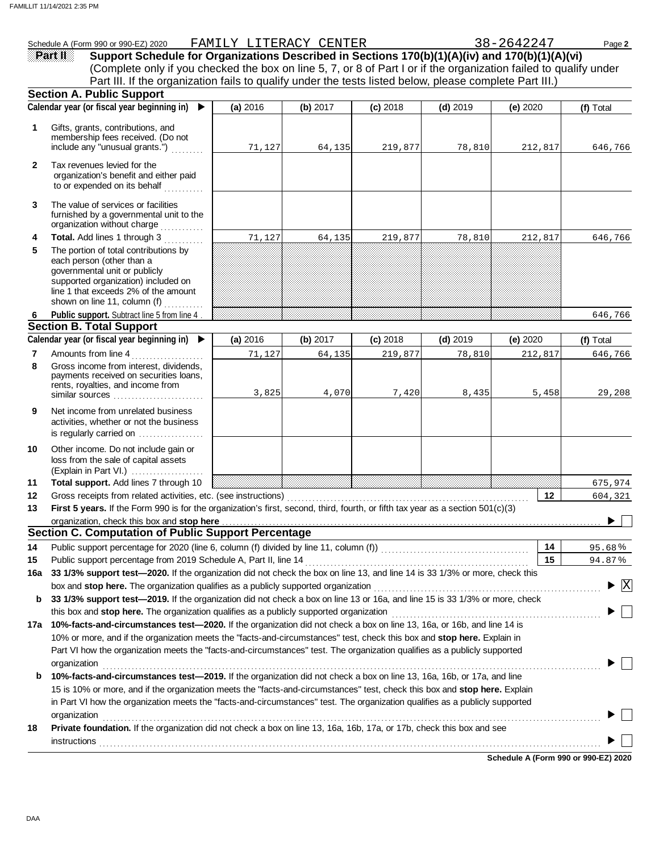|              | Schedule A (Form 990 or 990-EZ) 2020                                                                                                                                                                              | FAMILY LITERACY CENTER |          |            |            | 38-2642247        | Page 2    |
|--------------|-------------------------------------------------------------------------------------------------------------------------------------------------------------------------------------------------------------------|------------------------|----------|------------|------------|-------------------|-----------|
|              | Support Schedule for Organizations Described in Sections 170(b)(1)(A)(iv) and 170(b)(1)(A)(vi)<br>Part II                                                                                                         |                        |          |            |            |                   |           |
|              | (Complete only if you checked the box on line 5, 7, or 8 of Part I or if the organization failed to qualify under                                                                                                 |                        |          |            |            |                   |           |
|              | Part III. If the organization fails to qualify under the tests listed below, please complete Part III.)                                                                                                           |                        |          |            |            |                   |           |
|              | <b>Section A. Public Support</b>                                                                                                                                                                                  |                        |          |            |            |                   |           |
|              | Calendar year (or fiscal year beginning in) $\blacktriangleright$                                                                                                                                                 | (a) 2016               | (b) 2017 | $(c)$ 2018 | $(d)$ 2019 | (e) 2020          | (f) Total |
| 1            | Gifts, grants, contributions, and                                                                                                                                                                                 |                        |          |            |            |                   |           |
|              | membership fees received. (Do not                                                                                                                                                                                 |                        |          |            |            |                   |           |
|              | include any "unusual grants.")                                                                                                                                                                                    | 71,127                 | 64,135   | 219,877    | 78,810     | 212,817           | 646,766   |
| $\mathbf{2}$ | Tax revenues levied for the                                                                                                                                                                                       |                        |          |            |            |                   |           |
|              | organization's benefit and either paid                                                                                                                                                                            |                        |          |            |            |                   |           |
|              | to or expended on its behalf                                                                                                                                                                                      |                        |          |            |            |                   |           |
| 3            | The value of services or facilities                                                                                                                                                                               |                        |          |            |            |                   |           |
|              | furnished by a governmental unit to the                                                                                                                                                                           |                        |          |            |            |                   |           |
|              | organization without charge                                                                                                                                                                                       |                        |          |            |            |                   |           |
| 4            | Total. Add lines 1 through 3                                                                                                                                                                                      | 71,127                 | 64,135   | 219,877    | 78,810     | 212,817           | 646,766   |
| 5            | The portion of total contributions by<br>each person (other than a                                                                                                                                                |                        |          |            |            |                   |           |
|              | governmental unit or publicly                                                                                                                                                                                     |                        |          |            |            |                   |           |
|              | supported organization) included on                                                                                                                                                                               |                        |          |            |            |                   |           |
|              | line 1 that exceeds 2% of the amount<br>shown on line 11, column (f)                                                                                                                                              |                        |          |            |            |                   |           |
|              | Public support. Subtract line 5 from line 4                                                                                                                                                                       |                        |          |            |            |                   | 646,766   |
|              | <b>Section B. Total Support</b>                                                                                                                                                                                   |                        |          |            |            |                   |           |
|              | Calendar year (or fiscal year beginning in)                                                                                                                                                                       | (a) 2016               | (b) 2017 | $(c)$ 2018 | $(d)$ 2019 | (e) 2020          | (f) Total |
| 7            | Amounts from line 4                                                                                                                                                                                               | 71,127                 | 64,135   | 219,877    | 78,810     | 212,817           | 646,766   |
| 8            | Gross income from interest, dividends,                                                                                                                                                                            |                        |          |            |            |                   |           |
|              | payments received on securities loans,                                                                                                                                                                            |                        |          |            |            |                   |           |
|              | rents, royalties, and income from<br>similar sources                                                                                                                                                              | 3,825                  | 4,070    | 7,420      | 8,435      | 5,458             | 29,208    |
|              | Net income from unrelated business                                                                                                                                                                                |                        |          |            |            |                   |           |
| 9            | activities, whether or not the business                                                                                                                                                                           |                        |          |            |            |                   |           |
|              | is regularly carried on                                                                                                                                                                                           |                        |          |            |            |                   |           |
| 10           | Other income. Do not include gain or                                                                                                                                                                              |                        |          |            |            |                   |           |
|              | loss from the sale of capital assets                                                                                                                                                                              |                        |          |            |            |                   |           |
|              | (Explain in Part VI.)                                                                                                                                                                                             |                        |          |            |            |                   |           |
| 11           | Total support. Add lines 7 through 10                                                                                                                                                                             |                        |          |            |            |                   | 675,974   |
| 12           | Gross receipts from related activities, etc. (see instructions)                                                                                                                                                   |                        |          |            |            | $12 \overline{ }$ | 604,321   |
| 13           | First 5 years. If the Form 990 is for the organization's first, second, third, fourth, or fifth tax year as a section 501(c)(3)                                                                                   |                        |          |            |            |                   |           |
|              |                                                                                                                                                                                                                   |                        |          |            |            |                   |           |
|              | <b>Section C. Computation of Public Support Percentage</b>                                                                                                                                                        |                        |          |            |            |                   |           |
| 14           |                                                                                                                                                                                                                   |                        |          |            |            | 14                | 95.68%    |
| 15           | Public support percentage from 2019 Schedule A, Part II, line 14                                                                                                                                                  |                        |          |            |            | 15                | 94.87%    |
| 16a          | 33 1/3% support test-2020. If the organization did not check the box on line 13, and line 14 is 33 1/3% or more, check this<br>box and stop here. The organization qualifies as a publicly supported organization |                        |          |            |            |                   | $\vert$ X |
| b            | 33 1/3% support test-2019. If the organization did not check a box on line 13 or 16a, and line 15 is 33 1/3% or more, check                                                                                       |                        |          |            |            |                   |           |
|              | this box and stop here. The organization qualifies as a publicly supported organization                                                                                                                           |                        |          |            |            |                   |           |
|              | 17a 10%-facts-and-circumstances test-2020. If the organization did not check a box on line 13, 16a, or 16b, and line 14 is                                                                                        |                        |          |            |            |                   |           |
|              | 10% or more, and if the organization meets the "facts-and-circumstances" test, check this box and stop here. Explain in                                                                                           |                        |          |            |            |                   |           |
|              | Part VI how the organization meets the "facts-and-circumstances" test. The organization qualifies as a publicly supported                                                                                         |                        |          |            |            |                   |           |
|              | organization                                                                                                                                                                                                      |                        |          |            |            |                   |           |
| b            | 10%-facts-and-circumstances test-2019. If the organization did not check a box on line 13, 16a, 16b, or 17a, and line                                                                                             |                        |          |            |            |                   |           |
|              | 15 is 10% or more, and if the organization meets the "facts-and-circumstances" test, check this box and stop here. Explain                                                                                        |                        |          |            |            |                   |           |
|              | in Part VI how the organization meets the "facts-and-circumstances" test. The organization qualifies as a publicly supported                                                                                      |                        |          |            |            |                   |           |
|              | organization                                                                                                                                                                                                      |                        |          |            |            |                   |           |
| 18           | Private foundation. If the organization did not check a box on line 13, 16a, 16b, 17a, or 17b, check this box and see                                                                                             |                        |          |            |            |                   |           |
|              | instructions                                                                                                                                                                                                      |                        |          |            |            |                   |           |
|              |                                                                                                                                                                                                                   |                        |          |            |            |                   |           |

**Schedule A (Form 990 or 990-EZ) 2020**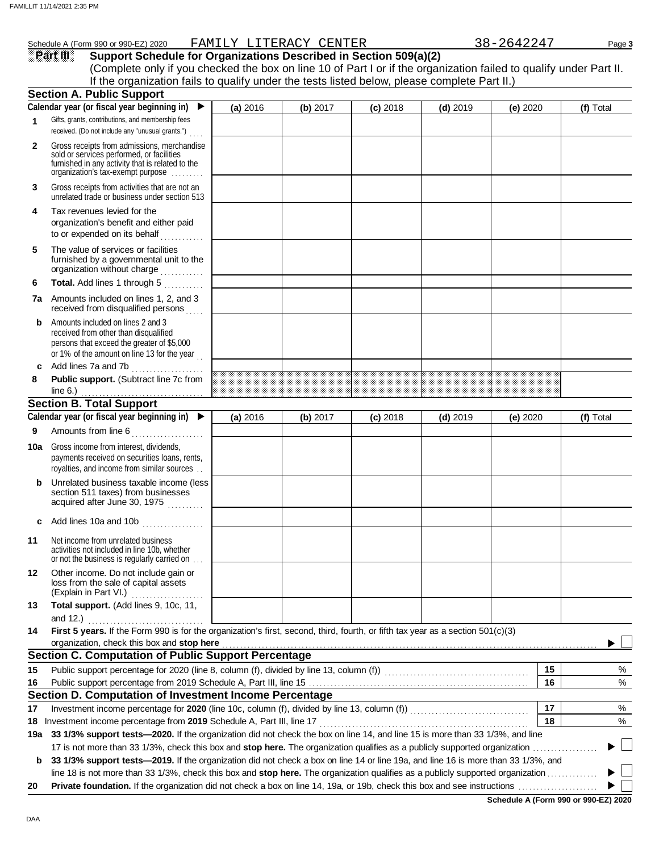|              | Schedule A (Form 990 or 990-EZ) 2020                                                                                                                                              |          | FAMILY LITERACY CENTER |            |            | 38-2642247 | Page 3    |
|--------------|-----------------------------------------------------------------------------------------------------------------------------------------------------------------------------------|----------|------------------------|------------|------------|------------|-----------|
|              | Part III<br>Support Schedule for Organizations Described in Section 509(a)(2)                                                                                                     |          |                        |            |            |            |           |
|              | (Complete only if you checked the box on line 10 of Part I or if the organization failed to qualify under Part II.                                                                |          |                        |            |            |            |           |
|              | If the organization fails to qualify under the tests listed below, please complete Part II.)                                                                                      |          |                        |            |            |            |           |
|              | <b>Section A. Public Support</b>                                                                                                                                                  |          |                        |            |            |            |           |
|              | Calendar year (or fiscal year beginning in) $\blacktriangleright$                                                                                                                 | (a) 2016 | (b) 2017               | $(c)$ 2018 | $(d)$ 2019 | (e) 2020   | (f) Total |
| 1            | Gifts, grants, contributions, and membership fees<br>received. (Do not include any "unusual grants.")                                                                             |          |                        |            |            |            |           |
| $\mathbf{2}$ | Gross receipts from admissions, merchandise<br>sold or services performed, or facilities<br>furnished in any activity that is related to the<br>organization's tax-exempt purpose |          |                        |            |            |            |           |
| 3            | Gross receipts from activities that are not an<br>unrelated trade or business under section 513                                                                                   |          |                        |            |            |            |           |
| 4            | Tax revenues levied for the<br>organization's benefit and either paid<br>to or expended on its behalf                                                                             |          |                        |            |            |            |           |
| 5            | The value of services or facilities<br>furnished by a governmental unit to the<br>organization without charge                                                                     |          |                        |            |            |            |           |
| 6            | Total. Add lines 1 through 5                                                                                                                                                      |          |                        |            |            |            |           |
| 7a           | Amounts included on lines 1, 2, and 3<br>received from disqualified persons                                                                                                       |          |                        |            |            |            |           |
| b            | Amounts included on lines 2 and 3<br>received from other than disqualified<br>persons that exceed the greater of \$5,000<br>or 1% of the amount on line 13 for the year           |          |                        |            |            |            |           |
| c            | Add lines 7a and 7b<br>.                                                                                                                                                          |          |                        |            |            |            |           |
| 8            | Public support. (Subtract line 7c from                                                                                                                                            |          |                        |            |            |            |           |
|              | line 6.) $\ldots$ $\ldots$ $\ldots$ $\ldots$                                                                                                                                      |          |                        |            |            |            |           |
|              | <b>Section B. Total Support</b>                                                                                                                                                   |          |                        |            |            |            |           |
|              | Calendar year (or fiscal year beginning in) $\blacktriangleright$                                                                                                                 | (a) 2016 | (b) 2017               | $(c)$ 2018 | $(d)$ 2019 | (e) 2020   | (f) Total |
| 9            | Amounts from line 6                                                                                                                                                               |          |                        |            |            |            |           |
| 10a          | Gross income from interest, dividends,<br>payments received on securities loans, rents,<br>royalties, and income from similar sources                                             |          |                        |            |            |            |           |
| b            | Unrelated business taxable income (less<br>section 511 taxes) from businesses<br>acquired after June 30, 1975                                                                     |          |                        |            |            |            |           |
|              | Add lines 10a and 10b                                                                                                                                                             |          |                        |            |            |            |           |
| 11           | Net income from unrelated business<br>activities not included in line 10b, whether<br>or not the business is regularly carried on                                                 |          |                        |            |            |            |           |
| 12           | Other income. Do not include gain or<br>loss from the sale of capital assets<br>(Explain in Part VI.)<br>.                                                                        |          |                        |            |            |            |           |
| 13           | Total support. (Add lines 9, 10c, 11,                                                                                                                                             |          |                        |            |            |            |           |
|              | and 12.)                                                                                                                                                                          |          |                        |            |            |            |           |
| 14           | First 5 years. If the Form 990 is for the organization's first, second, third, fourth, or fifth tax year as a section 501(c)(3)                                                   |          |                        |            |            |            |           |
|              | organization, check this box and stop here                                                                                                                                        |          |                        |            |            |            |           |
|              | <b>Section C. Computation of Public Support Percentage</b>                                                                                                                        |          |                        |            |            |            |           |
| 15           |                                                                                                                                                                                   |          |                        |            |            | 15<br>16   | %         |
| 16           | Section D. Computation of Investment Income Percentage                                                                                                                            |          |                        |            |            |            | $\%$      |
| 17           |                                                                                                                                                                                   |          |                        |            |            | 17         | $\%$      |
| 18           |                                                                                                                                                                                   |          |                        |            |            | 18         | %         |
|              |                                                                                                                                                                                   |          |                        |            |            |            |           |

**19a 33 1/3% support tests—2020.** If the organization did not check the box on line 14, and line 15 is more than 33 1/3%, and line  $\blacktriangleright$   $\Box$ 17 is not more than 33 1/3%, check this box and **stop here.** The organization qualifies as a publicly supported organization . . . . . . . . . . . . . . . . . . **b 33 1/3% support tests—2019.** If the organization did not check a box on line 14 or line 19a, and line 16 is more than 33 1/3%, and

line 18 is not more than 33 1/3%, check this box and **stop here.** The organization qualifies as a publicly supported organization . . . . . . . . . . . . . .

**20 Private foundation.** If the organization did not check a box on line 14, 19a, or 19b, check this box and see instructions . . . . . . . . . . . . . . . . . . . . . .

**Schedule A (Form 990 or 990-EZ) 2020**

 $\sqrt{2}$  $\blacktriangleright$  $\blacktriangleright$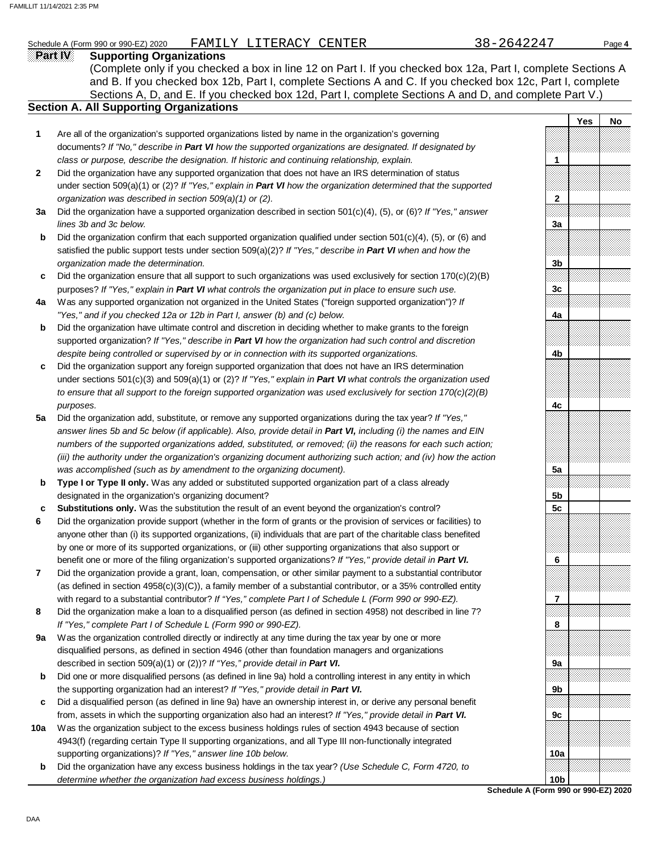### **Part IV** Supporting Organizations Sections A, D, and E. If you checked box 12d, Part I, complete Sections A and D, and complete Part V.) Schedule A (Form 990 or 990-EZ) 2020 FAMILY LITERACY CENTER 38-2642247 Page 4 **Section A. All Supporting Organizations** (Complete only if you checked a box in line 12 on Part I. If you checked box 12a, Part I, complete Sections A and B. If you checked box 12b, Part I, complete Sections A and C. If you checked box 12c, Part I, complete Are all of the organization's supported organizations listed by name in the organization's governing documents? *If "No," describe in Part VI how the supported organizations are designated. If designated by class or purpose, describe the designation. If historic and continuing relationship, explain.* Did the organization have any supported organization that does not have an IRS determination of status under section 509(a)(1) or (2)? *If "Yes," explain in Part VI how the organization determined that the supported organization was described in section 509(a)(1) or (2).* **1 2 3a** Did the organization have a supported organization described in section 501(c)(4), (5), or (6)? *If "Yes," answer* **b c 4a b c 5a b c 6 7 8 9a** *lines 3b and 3c below.* Did the organization confirm that each supported organization qualified under section 501(c)(4), (5), or (6) and satisfied the public support tests under section 509(a)(2)? *If "Yes," describe in Part VI when and how the organization made the determination.* Did the organization ensure that all support to such organizations was used exclusively for section  $170(c)(2)(B)$ purposes? *If "Yes," explain in Part VI what controls the organization put in place to ensure such use.* Was any supported organization not organized in the United States ("foreign supported organization")? *If "Yes," and if you checked 12a or 12b in Part I, answer (b) and (c) below.* Did the organization have ultimate control and discretion in deciding whether to make grants to the foreign supported organization? *If "Yes," describe in Part VI how the organization had such control and discretion despite being controlled or supervised by or in connection with its supported organizations.* Did the organization support any foreign supported organization that does not have an IRS determination under sections 501(c)(3) and 509(a)(1) or (2)? *If "Yes," explain in Part VI what controls the organization used to ensure that all support to the foreign supported organization was used exclusively for section 170(c)(2)(B) purposes.* Did the organization add, substitute, or remove any supported organizations during the tax year? *If "Yes," answer lines 5b and 5c below (if applicable). Also, provide detail in Part VI, including (i) the names and EIN numbers of the supported organizations added, substituted, or removed; (ii) the reasons for each such action; (iii) the authority under the organization's organizing document authorizing such action; and (iv) how the action was accomplished (such as by amendment to the organizing document).* **Type I or Type II only.** Was any added or substituted supported organization part of a class already designated in the organization's organizing document? **Substitutions only.** Was the substitution the result of an event beyond the organization's control? Did the organization provide support (whether in the form of grants or the provision of services or facilities) to anyone other than (i) its supported organizations, (ii) individuals that are part of the charitable class benefited by one or more of its supported organizations, or (iii) other supporting organizations that also support or benefit one or more of the filing organization's supported organizations? *If "Yes," provide detail in Part VI.* Did the organization provide a grant, loan, compensation, or other similar payment to a substantial contributor (as defined in section 4958(c)(3)(C)), a family member of a substantial contributor, or a 35% controlled entity with regard to a substantial contributor? *If "Yes," complete Part I of Schedule L (Form 990 or 990-EZ).* Did the organization make a loan to a disqualified person (as defined in section 4958) not described in line 7? *If "Yes," complete Part I of Schedule L (Form 990 or 990-EZ).* Was the organization controlled directly or indirectly at any time during the tax year by one or more **Yes No 1 2 3a 3b 3c 4a 4b 4c 5a 5b 5c 6 7 8**

- disqualified persons, as defined in section 4946 (other than foundation managers and organizations described in section 509(a)(1) or (2))? *If "Yes," provide detail in Part VI.*
- **b** Did one or more disqualified persons (as defined in line 9a) hold a controlling interest in any entity in which the supporting organization had an interest? *If "Yes," provide detail in Part VI.*
- **c** Did a disqualified person (as defined in line 9a) have an ownership interest in, or derive any personal benefit from, assets in which the supporting organization also had an interest? *If "Yes," provide detail in Part VI.*
- **10a** Was the organization subject to the excess business holdings rules of section 4943 because of section 4943(f) (regarding certain Type II supporting organizations, and all Type III non-functionally integrated supporting organizations)? *If "Yes," answer line 10b below.*
- **b** Did the organization have any excess business holdings in the tax year? *(Use Schedule C, Form 4720, to determine whether the organization had excess business holdings.)*

**Schedule A (Form 990 or 990-EZ) 2020 10b**

**9a**

**9b**

**9c**

**10a**

DAA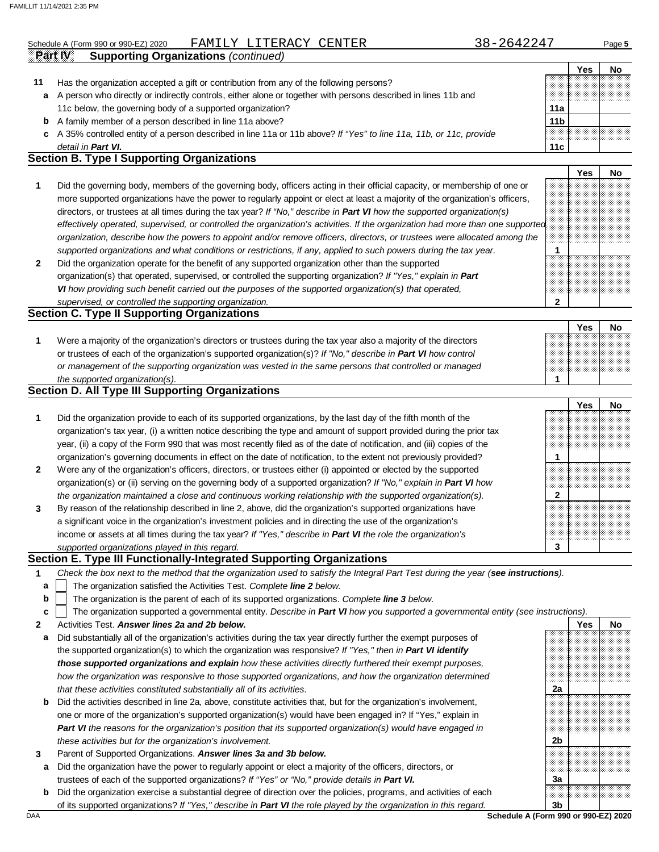|              | 38-2642247<br>FAMILY LITERACY CENTER<br>Schedule A (Form 990 or 990-EZ) 2020                                                      |                 |            | Page 5 |
|--------------|-----------------------------------------------------------------------------------------------------------------------------------|-----------------|------------|--------|
|              | <b>Supporting Organizations (continued)</b><br>Part IV                                                                            |                 |            |        |
|              |                                                                                                                                   |                 | Yes        | No     |
| 11           | Has the organization accepted a gift or contribution from any of the following persons?                                           |                 |            |        |
| а            | A person who directly or indirectly controls, either alone or together with persons described in lines 11b and                    |                 |            |        |
|              | 11c below, the governing body of a supported organization?                                                                        | 11a             |            |        |
| b            | A family member of a person described in line 11a above?                                                                          | 11 <sub>b</sub> |            |        |
| C            | A 35% controlled entity of a person described in line 11a or 11b above? If "Yes" to line 11a, 11b, or 11c, provide                |                 |            |        |
|              | detail in Part VI.                                                                                                                | 11c             |            |        |
|              | <b>Section B. Type I Supporting Organizations</b>                                                                                 |                 |            |        |
|              |                                                                                                                                   |                 | <b>Yes</b> | No     |
| 1            | Did the governing body, members of the governing body, officers acting in their official capacity, or membership of one or        |                 |            |        |
|              | more supported organizations have the power to regularly appoint or elect at least a majority of the organization's officers,     |                 |            |        |
|              | directors, or trustees at all times during the tax year? If "No," describe in <b>Part VI</b> how the supported organization(s)    |                 |            |        |
|              | effectively operated, supervised, or controlled the organization's activities. If the organization had more than one supported    |                 |            |        |
|              | organization, describe how the powers to appoint and/or remove officers, directors, or trustees were allocated among the          |                 |            |        |
|              | supported organizations and what conditions or restrictions, if any, applied to such powers during the tax year.                  | 1               |            |        |
| $\mathbf{2}$ | Did the organization operate for the benefit of any supported organization other than the supported                               |                 |            |        |
|              | organization(s) that operated, supervised, or controlled the supporting organization? If "Yes," explain in Part                   |                 |            |        |
|              | VI how providing such benefit carried out the purposes of the supported organization(s) that operated,                            |                 |            |        |
|              | supervised, or controlled the supporting organization.                                                                            | 2               |            |        |
|              | <b>Section C. Type II Supporting Organizations</b>                                                                                |                 |            |        |
|              |                                                                                                                                   |                 | Yes        | No     |
| 1            | Were a majority of the organization's directors or trustees during the tax year also a majority of the directors                  |                 |            |        |
|              | or trustees of each of the organization's supported organization(s)? If "No," describe in Part VI how control                     |                 |            |        |
|              | or management of the supporting organization was vested in the same persons that controlled or managed                            |                 |            |        |
|              | the supported organization(s).                                                                                                    | 1               |            |        |
|              | <b>Section D. All Type III Supporting Organizations</b>                                                                           |                 |            |        |
|              |                                                                                                                                   |                 | Yes        | No     |
| 1            | Did the organization provide to each of its supported organizations, by the last day of the fifth month of the                    |                 |            |        |
|              | organization's tax year, (i) a written notice describing the type and amount of support provided during the prior tax             |                 |            |        |
|              | year, (ii) a copy of the Form 990 that was most recently filed as of the date of notification, and (iii) copies of the            |                 |            |        |
|              | organization's governing documents in effect on the date of notification, to the extent not previously provided?                  | 1               |            |        |
| $\mathbf{2}$ | Were any of the organization's officers, directors, or trustees either (i) appointed or elected by the supported                  |                 |            |        |
|              | organization(s) or (ii) serving on the governing body of a supported organization? If "No," explain in Part VI how                |                 |            |        |
|              | the organization maintained a close and continuous working relationship with the supported organization(s).                       | 2               |            |        |
| 3            | By reason of the relationship described in line 2, above, did the organization's supported organizations have                     |                 |            |        |
|              | a significant voice in the organization's investment policies and in directing the use of the organization's                      |                 |            |        |
|              | income or assets at all times during the tax year? If "Yes," describe in Part VI the role the organization's                      |                 |            |        |
|              | supported organizations played in this regard.                                                                                    | 3               |            |        |
|              | Section E. Type III Functionally-Integrated Supporting Organizations                                                              |                 |            |        |
| 1            | Check the box next to the method that the organization used to satisfy the Integral Part Test during the year (see instructions). |                 |            |        |
| а            | The organization satisfied the Activities Test. Complete line 2 below.                                                            |                 |            |        |
| b            | The organization is the parent of each of its supported organizations. Complete line 3 below.                                     |                 |            |        |
| c            | The organization supported a governmental entity. Describe in Part VI how you supported a governmental entity (see instructions). |                 |            |        |
| 2            | Activities Test. Answer lines 2a and 2b below.                                                                                    |                 | Yes        | No     |
| а            | Did substantially all of the organization's activities during the tax year directly further the exempt purposes of                |                 |            |        |
|              | the supported organization(s) to which the organization was responsive? If "Yes," then in Part VI identify                        |                 |            |        |
|              | those supported organizations and explain how these activities directly furthered their exempt purposes,                          |                 |            |        |
|              | how the organization was responsive to those supported organizations, and how the organization determined                         |                 |            |        |
|              | that these activities constituted substantially all of its activities.                                                            | 2a              |            |        |
| b            | Did the activities described in line 2a, above, constitute activities that, but for the organization's involvement,               |                 |            |        |
|              | one or more of the organization's supported organization(s) would have been engaged in? If "Yes," explain in                      |                 |            |        |
|              | Part VI the reasons for the organization's position that its supported organization(s) would have engaged in                      |                 |            |        |

- **3** *these activities but for the organization's involvement.* Parent of Supported Organizations. *Answer lines 3a and 3b below.*
- **a** Did the organization have the power to regularly appoint or elect a majority of the officers, directors, or trustees of each of the supported organizations? *If "Yes" or "No," provide details in Part VI.*
- **b** Did the organization exercise a substantial degree of direction over the policies, programs, and activities of each of its supported organizations? *If "Yes," describe in Part VI the role played by the organization in this regard.*

DAA **Schedule A (Form 990 or 990-EZ) 2020 3b**

**2b**

**3a**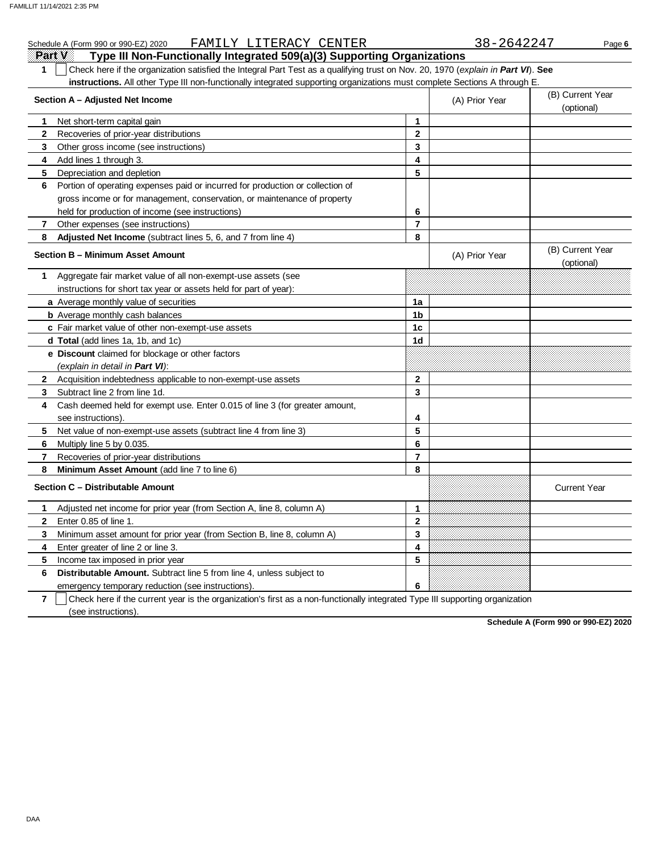|              | FAMILY LITERACY CENTER<br>Schedule A (Form 990 or 990-EZ) 2020                                                                   |                         | 38-2642247     | Page 6                         |
|--------------|----------------------------------------------------------------------------------------------------------------------------------|-------------------------|----------------|--------------------------------|
|              | I Patri W<br>Type III Non-Functionally Integrated 509(a)(3) Supporting Organizations                                             |                         |                |                                |
| 1            | Check here if the organization satisfied the Integral Part Test as a qualifying trust on Nov. 20, 1970 (explain in Part VI). See |                         |                |                                |
|              | instructions. All other Type III non-functionally integrated supporting organizations must complete Sections A through E.        |                         |                |                                |
|              | Section A - Adjusted Net Income                                                                                                  |                         | (A) Prior Year | (B) Current Year<br>(optional) |
| 1            | Net short-term capital gain                                                                                                      | $\mathbf{1}$            |                |                                |
| $\mathbf{2}$ | Recoveries of prior-year distributions                                                                                           | $\mathbf{2}$            |                |                                |
| 3            | Other gross income (see instructions)                                                                                            | 3                       |                |                                |
| 4            | Add lines 1 through 3.                                                                                                           | $\overline{\mathbf{A}}$ |                |                                |
| 5            | Depreciation and depletion                                                                                                       | 5                       |                |                                |
| 6            | Portion of operating expenses paid or incurred for production or collection of                                                   |                         |                |                                |
|              | gross income or for management, conservation, or maintenance of property                                                         |                         |                |                                |
|              | held for production of income (see instructions)                                                                                 | 6                       |                |                                |
| 7            | Other expenses (see instructions)                                                                                                | $\overline{7}$          |                |                                |
| 8            | Adjusted Net Income (subtract lines 5, 6, and 7 from line 4)                                                                     | 8                       |                |                                |
|              | Section B - Minimum Asset Amount                                                                                                 |                         | (A) Prior Year | (B) Current Year<br>(optional) |
|              | 1 Aggregate fair market value of all non-exempt-use assets (see                                                                  |                         |                |                                |
|              | instructions for short tax year or assets held for part of year):                                                                |                         |                |                                |
|              | a Average monthly value of securities                                                                                            | 1a                      |                |                                |
|              | <b>b</b> Average monthly cash balances                                                                                           | 1 <sub>b</sub>          |                |                                |
|              | c Fair market value of other non-exempt-use assets                                                                               | 1 <sub>c</sub>          |                |                                |
|              | d Total (add lines 1a, 1b, and 1c)                                                                                               | 1d                      |                |                                |
|              | e Discount claimed for blockage or other factors                                                                                 |                         |                |                                |
|              | (explain in detail in Part VI):                                                                                                  |                         |                |                                |
| $\mathbf{2}$ | Acquisition indebtedness applicable to non-exempt-use assets                                                                     | $\mathbf{2}$            |                |                                |
| 3            | Subtract line 2 from line 1d.                                                                                                    | 3                       |                |                                |
| 4            | Cash deemed held for exempt use. Enter 0.015 of line 3 (for greater amount,                                                      |                         |                |                                |
|              | see instructions).                                                                                                               | 4                       |                |                                |
| 5            | Net value of non-exempt-use assets (subtract line 4 from line 3)                                                                 | 5                       |                |                                |
| 6            | Multiply line 5 by 0.035.                                                                                                        | 6                       |                |                                |
| 7            | Recoveries of prior-year distributions                                                                                           | $\overline{7}$          |                |                                |
| 8            | Minimum Asset Amount (add line 7 to line 6)                                                                                      | 8                       |                |                                |
|              | Section C - Distributable Amount                                                                                                 |                         |                | <b>Current Year</b>            |
| $\mathbf 1$  | Adjusted net income for prior year (from Section A, line 8, column A)                                                            | $\mathbf 1$             |                |                                |
| $\mathbf{2}$ | Enter 0.85 of line 1.                                                                                                            | $\bf 2$                 |                |                                |
| 3            | Minimum asset amount for prior year (from Section B, line 8, column A)                                                           | 3                       |                |                                |
| 4            | Enter greater of line 2 or line 3.                                                                                               | 4                       |                |                                |
| 5            | Income tax imposed in prior year                                                                                                 | 5                       |                |                                |
| 6            | <b>Distributable Amount.</b> Subtract line 5 from line 4, unless subject to                                                      |                         |                |                                |
|              | emergency temporary reduction (see instructions).                                                                                | 6                       |                |                                |
|              |                                                                                                                                  |                         |                |                                |

**7** Check here if the current year is the organization's first as a non-functionally integrated Type III supporting organization (see instructions).

**Schedule A (Form 990 or 990-EZ) 2020**

DAA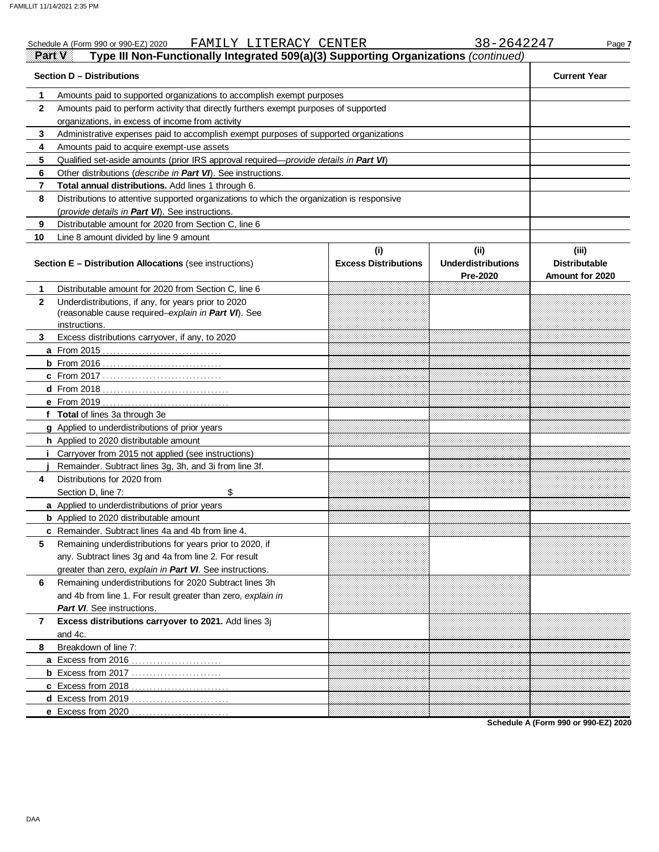|              | FAMILY LITERACY CENTER<br>Schedule A (Form 990 or 990-EZ) 2020                                             |                                    | 38-2642247                                    | Page 7                                           |
|--------------|------------------------------------------------------------------------------------------------------------|------------------------------------|-----------------------------------------------|--------------------------------------------------|
| Part V       | Type III Non-Functionally Integrated 509(a)(3) Supporting Organizations (continued)                        |                                    |                                               |                                                  |
|              | <b>Section D - Distributions</b>                                                                           |                                    |                                               | <b>Current Year</b>                              |
| 1            | Amounts paid to supported organizations to accomplish exempt purposes                                      |                                    |                                               |                                                  |
| 2            | Amounts paid to perform activity that directly furthers exempt purposes of supported                       |                                    |                                               |                                                  |
|              | organizations, in excess of income from activity                                                           |                                    |                                               |                                                  |
| 3            | Administrative expenses paid to accomplish exempt purposes of supported organizations                      |                                    |                                               |                                                  |
| 4            | Amounts paid to acquire exempt-use assets                                                                  |                                    |                                               |                                                  |
| 5            | Qualified set-aside amounts (prior IRS approval required-provide details in Part VI)                       |                                    |                                               |                                                  |
| 6            | Other distributions (describe in Part VI). See instructions.                                               |                                    |                                               |                                                  |
| 7            | Total annual distributions. Add lines 1 through 6.                                                         |                                    |                                               |                                                  |
| 8            | Distributions to attentive supported organizations to which the organization is responsive                 |                                    |                                               |                                                  |
|              | (provide details in Part VI). See instructions.                                                            |                                    |                                               |                                                  |
| 9            | Distributable amount for 2020 from Section C, line 6                                                       |                                    |                                               |                                                  |
| 10           | Line 8 amount divided by line 9 amount                                                                     |                                    |                                               |                                                  |
|              | <b>Section E - Distribution Allocations (see instructions)</b>                                             | (i)<br><b>Excess Distributions</b> | (ii)<br><b>Underdistributions</b><br>Pre-2020 | (iii)<br><b>Distributable</b><br>Amount for 2020 |
| 1            | Distributable amount for 2020 from Section C, line 6                                                       |                                    |                                               |                                                  |
| $\mathbf{2}$ | Underdistributions, if any, for years prior to 2020<br>(reasonable cause required-explain in Part VI). See |                                    |                                               |                                                  |
|              | instructions.                                                                                              |                                    |                                               |                                                  |
| 3            | Excess distributions carryover, if any, to 2020                                                            |                                    |                                               |                                                  |
|              |                                                                                                            |                                    |                                               |                                                  |
|              |                                                                                                            |                                    |                                               |                                                  |
|              |                                                                                                            |                                    |                                               |                                                  |
|              |                                                                                                            |                                    |                                               |                                                  |
|              |                                                                                                            |                                    |                                               |                                                  |
|              | f Total of lines 3a through 3e                                                                             |                                    |                                               |                                                  |
|              | g Applied to underdistributions of prior years                                                             |                                    |                                               |                                                  |
|              | h Applied to 2020 distributable amount                                                                     |                                    |                                               |                                                  |
| i.           | Carryover from 2015 not applied (see instructions)                                                         |                                    |                                               |                                                  |
|              | Remainder. Subtract lines 3g, 3h, and 3i from line 3f.                                                     |                                    |                                               |                                                  |
| 4            | Distributions for 2020 from                                                                                |                                    |                                               |                                                  |
|              | \$<br>Section D. line 7:                                                                                   |                                    |                                               |                                                  |
|              | a Applied to underdistributions of prior years                                                             |                                    |                                               |                                                  |
|              | <b>b</b> Applied to 2020 distributable amount                                                              |                                    |                                               |                                                  |
|              | c Remainder. Subtract lines 4a and 4b from line 4.                                                         |                                    |                                               |                                                  |
| 5            | Remaining underdistributions for years prior to 2020, if                                                   |                                    |                                               |                                                  |
|              | any. Subtract lines 3g and 4a from line 2. For result                                                      |                                    |                                               |                                                  |
|              | greater than zero, explain in Part VI. See instructions.                                                   |                                    |                                               |                                                  |
| 6            | Remaining underdistributions for 2020 Subtract lines 3h                                                    |                                    |                                               |                                                  |
|              | and 4b from line 1. For result greater than zero, explain in                                               |                                    |                                               |                                                  |
|              | Part VI. See instructions.                                                                                 |                                    |                                               |                                                  |
| 7            | Excess distributions carryover to 2021. Add lines 3j                                                       |                                    |                                               |                                                  |
|              | and 4c.                                                                                                    |                                    |                                               |                                                  |
| 8            | Breakdown of line 7:                                                                                       |                                    |                                               |                                                  |
|              |                                                                                                            |                                    |                                               |                                                  |
|              |                                                                                                            |                                    |                                               |                                                  |
|              |                                                                                                            |                                    |                                               |                                                  |
|              |                                                                                                            |                                    |                                               |                                                  |
|              |                                                                                                            |                                    |                                               |                                                  |
|              |                                                                                                            |                                    |                                               |                                                  |

**Schedule A (Form 990 or 990-EZ) 2020**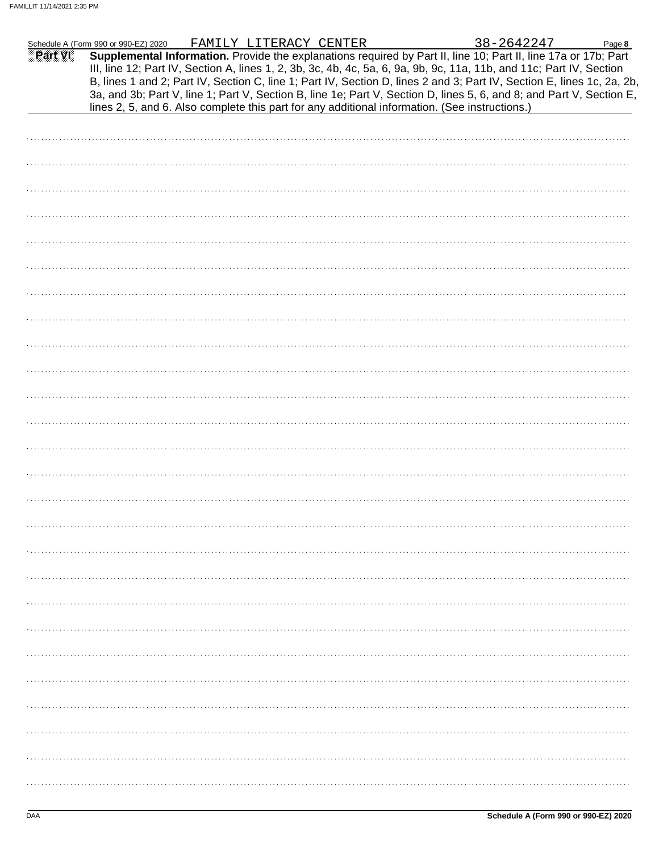|         | Schedule A (Form 990 or 990-EZ) 2020 | FAMILY LITERACY CENTER |                                                                                                | 38-2642247                                                                                                                                                                                                                                                                                                                                                                                                                                                                                | Page 8 |
|---------|--------------------------------------|------------------------|------------------------------------------------------------------------------------------------|-------------------------------------------------------------------------------------------------------------------------------------------------------------------------------------------------------------------------------------------------------------------------------------------------------------------------------------------------------------------------------------------------------------------------------------------------------------------------------------------|--------|
| Part VI |                                      |                        |                                                                                                | Supplemental Information. Provide the explanations required by Part II, line 10; Part II, line 17a or 17b; Part<br>III, line 12; Part IV, Section A, lines 1, 2, 3b, 3c, 4b, 4c, 5a, 6, 9a, 9b, 9c, 11a, 11b, and 11c; Part IV, Section<br>B, lines 1 and 2; Part IV, Section C, line 1; Part IV, Section D, lines 2 and 3; Part IV, Section E, lines 1c, 2a, 2b,<br>3a, and 3b; Part V, line 1; Part V, Section B, line 1e; Part V, Section D, lines 5, 6, and 8; and Part V, Section E, |        |
|         |                                      |                        | lines 2, 5, and 6. Also complete this part for any additional information. (See instructions.) |                                                                                                                                                                                                                                                                                                                                                                                                                                                                                           |        |
|         |                                      |                        |                                                                                                |                                                                                                                                                                                                                                                                                                                                                                                                                                                                                           |        |
|         |                                      |                        |                                                                                                |                                                                                                                                                                                                                                                                                                                                                                                                                                                                                           |        |
|         |                                      |                        |                                                                                                |                                                                                                                                                                                                                                                                                                                                                                                                                                                                                           |        |
|         |                                      |                        |                                                                                                |                                                                                                                                                                                                                                                                                                                                                                                                                                                                                           |        |
|         |                                      |                        |                                                                                                |                                                                                                                                                                                                                                                                                                                                                                                                                                                                                           |        |
|         |                                      |                        |                                                                                                |                                                                                                                                                                                                                                                                                                                                                                                                                                                                                           |        |
|         |                                      |                        |                                                                                                |                                                                                                                                                                                                                                                                                                                                                                                                                                                                                           |        |
|         |                                      |                        |                                                                                                |                                                                                                                                                                                                                                                                                                                                                                                                                                                                                           |        |
|         |                                      |                        |                                                                                                |                                                                                                                                                                                                                                                                                                                                                                                                                                                                                           |        |
|         |                                      |                        |                                                                                                |                                                                                                                                                                                                                                                                                                                                                                                                                                                                                           |        |
|         |                                      |                        |                                                                                                |                                                                                                                                                                                                                                                                                                                                                                                                                                                                                           |        |
|         |                                      |                        |                                                                                                |                                                                                                                                                                                                                                                                                                                                                                                                                                                                                           |        |
|         |                                      |                        |                                                                                                |                                                                                                                                                                                                                                                                                                                                                                                                                                                                                           |        |
|         |                                      |                        |                                                                                                |                                                                                                                                                                                                                                                                                                                                                                                                                                                                                           |        |
|         |                                      |                        |                                                                                                |                                                                                                                                                                                                                                                                                                                                                                                                                                                                                           |        |
|         |                                      |                        |                                                                                                |                                                                                                                                                                                                                                                                                                                                                                                                                                                                                           |        |
|         |                                      |                        |                                                                                                |                                                                                                                                                                                                                                                                                                                                                                                                                                                                                           |        |
|         |                                      |                        |                                                                                                |                                                                                                                                                                                                                                                                                                                                                                                                                                                                                           |        |
|         |                                      |                        |                                                                                                |                                                                                                                                                                                                                                                                                                                                                                                                                                                                                           |        |
|         |                                      |                        |                                                                                                |                                                                                                                                                                                                                                                                                                                                                                                                                                                                                           |        |
|         |                                      |                        |                                                                                                |                                                                                                                                                                                                                                                                                                                                                                                                                                                                                           |        |
|         |                                      |                        |                                                                                                |                                                                                                                                                                                                                                                                                                                                                                                                                                                                                           |        |
|         |                                      |                        |                                                                                                |                                                                                                                                                                                                                                                                                                                                                                                                                                                                                           |        |
|         |                                      |                        |                                                                                                |                                                                                                                                                                                                                                                                                                                                                                                                                                                                                           |        |
|         |                                      |                        |                                                                                                |                                                                                                                                                                                                                                                                                                                                                                                                                                                                                           |        |
|         |                                      |                        |                                                                                                |                                                                                                                                                                                                                                                                                                                                                                                                                                                                                           |        |
|         |                                      |                        |                                                                                                |                                                                                                                                                                                                                                                                                                                                                                                                                                                                                           |        |
|         |                                      |                        |                                                                                                |                                                                                                                                                                                                                                                                                                                                                                                                                                                                                           |        |
|         |                                      |                        |                                                                                                |                                                                                                                                                                                                                                                                                                                                                                                                                                                                                           |        |
|         |                                      |                        |                                                                                                |                                                                                                                                                                                                                                                                                                                                                                                                                                                                                           |        |
|         |                                      |                        |                                                                                                |                                                                                                                                                                                                                                                                                                                                                                                                                                                                                           |        |
|         |                                      |                        |                                                                                                |                                                                                                                                                                                                                                                                                                                                                                                                                                                                                           |        |
|         |                                      |                        |                                                                                                |                                                                                                                                                                                                                                                                                                                                                                                                                                                                                           |        |
|         |                                      |                        |                                                                                                |                                                                                                                                                                                                                                                                                                                                                                                                                                                                                           |        |
|         |                                      |                        |                                                                                                |                                                                                                                                                                                                                                                                                                                                                                                                                                                                                           |        |
|         |                                      |                        |                                                                                                |                                                                                                                                                                                                                                                                                                                                                                                                                                                                                           |        |
|         |                                      |                        |                                                                                                |                                                                                                                                                                                                                                                                                                                                                                                                                                                                                           |        |
|         |                                      |                        |                                                                                                |                                                                                                                                                                                                                                                                                                                                                                                                                                                                                           |        |
|         |                                      |                        |                                                                                                |                                                                                                                                                                                                                                                                                                                                                                                                                                                                                           |        |
|         |                                      |                        |                                                                                                |                                                                                                                                                                                                                                                                                                                                                                                                                                                                                           |        |
|         |                                      |                        |                                                                                                |                                                                                                                                                                                                                                                                                                                                                                                                                                                                                           |        |
|         |                                      |                        |                                                                                                |                                                                                                                                                                                                                                                                                                                                                                                                                                                                                           |        |
|         |                                      |                        |                                                                                                |                                                                                                                                                                                                                                                                                                                                                                                                                                                                                           |        |
|         |                                      |                        |                                                                                                |                                                                                                                                                                                                                                                                                                                                                                                                                                                                                           |        |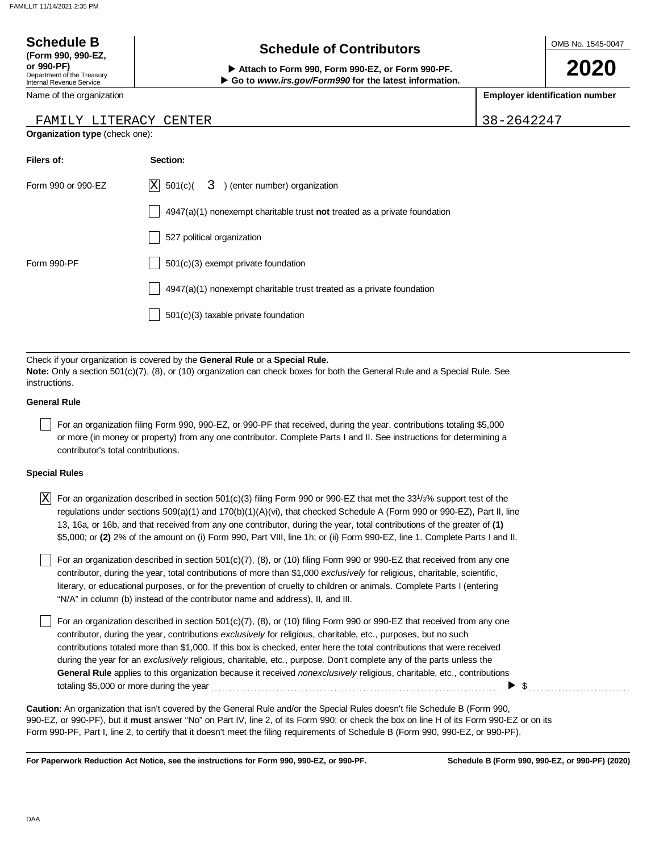| <b>Schedule B</b><br><b>Schedule of Contributors</b><br>(Form 990, 990-EZ,<br>or 990-PF)<br>Attach to Form 990, Form 990-EZ, or Form 990-PF.<br>Department of the Treasury<br>Go to www.irs.gov/Form990 for the latest information.<br>Internal Revenue Service |                                             |            |  |
|-----------------------------------------------------------------------------------------------------------------------------------------------------------------------------------------------------------------------------------------------------------------|---------------------------------------------|------------|--|
| <b>Employer identification number</b><br>Name of the organization                                                                                                                                                                                               |                                             |            |  |
| FAMILY LITERACY<br>Organization type (check one):                                                                                                                                                                                                               | CENTER                                      | 38-2642247 |  |
| Filers of:                                                                                                                                                                                                                                                      | Section:                                    |            |  |
| Form 990 or 990-EZ                                                                                                                                                                                                                                              | ΙX<br>501(c)<br>(enter number) organization |            |  |

4947(a)(1) nonexempt charitable trust **not** treated as a private foundation

4947(a)(1) nonexempt charitable trust treated as a private foundation

| Check if your organization is covered by the General Rule or a Special Rule.                                                                 |
|----------------------------------------------------------------------------------------------------------------------------------------------|
| Note: Only a section 501(c)(7), (8), or (10) organization can check boxes for both the General Rule and a Special Rule. See<br>instructions. |
|                                                                                                                                              |

527 political organization

501(c)(3) taxable private foundation

Form 990-PF 1501(c)(3) exempt private foundation

### **General Rule**

For an organization filing Form 990, 990-EZ, or 990-PF that received, during the year, contributions totaling \$5,000 or more (in money or property) from any one contributor. Complete Parts I and II. See instructions for determining a contributor's total contributions.

### **Special Rules**

| $X$ For an organization described in section 501(c)(3) filing Form 990 or 990-EZ that met the 33 <sup>1</sup> /3% support test of the |
|---------------------------------------------------------------------------------------------------------------------------------------|
| regulations under sections $509(a)(1)$ and $170(b)(1)(A)(vi)$ , that checked Schedule A (Form 990 or 990-EZ), Part II, line           |
| 13, 16a, or 16b, and that received from any one contributor, during the year, total contributions of the greater of (1)               |
| \$5,000; or (2) 2% of the amount on (i) Form 990, Part VIII, line 1h; or (ii) Form 990-EZ, line 1. Complete Parts I and II.           |

literary, or educational purposes, or for the prevention of cruelty to children or animals. Complete Parts I (entering For an organization described in section 501(c)(7), (8), or (10) filing Form 990 or 990-EZ that received from any one contributor, during the year, total contributions of more than \$1,000 *exclusively* for religious, charitable, scientific, "N/A" in column (b) instead of the contributor name and address), II, and III.

For an organization described in section  $501(c)(7)$ ,  $(8)$ , or  $(10)$  filing Form 990 or 990-EZ that received from any one contributor, during the year, contributions *exclusively* for religious, charitable, etc., purposes, but no such contributions totaled more than \$1,000. If this box is checked, enter here the total contributions that were received during the year for an *exclusively* religious, charitable, etc., purpose. Don't complete any of the parts unless the **General Rule** applies to this organization because it received *nonexclusively* religious, charitable, etc., contributions totaling \$5,000 or more during the year . . . . . . . . . . . . . . . . . . . . . . . . . . . . . . . . . . . . . . . . . . . . . . . . . . . . . . . . . . . . . . . . . . . . . . . . . . . . . . . . \$ . . . . . . . . . . . . . . . . . . . . . . . . . . . .

990-EZ, or 990-PF), but it **must** answer "No" on Part IV, line 2, of its Form 990; or check the box on line H of its Form 990-EZ or on its Form 990-PF, Part I, line 2, to certify that it doesn't meet the filing requirements of Schedule B (Form 990, 990-EZ, or 990-PF). **Caution:** An organization that isn't covered by the General Rule and/or the Special Rules doesn't file Schedule B (Form 990,

**For Paperwork Reduction Act Notice, see the instructions for Form 990, 990-EZ, or 990-PF.**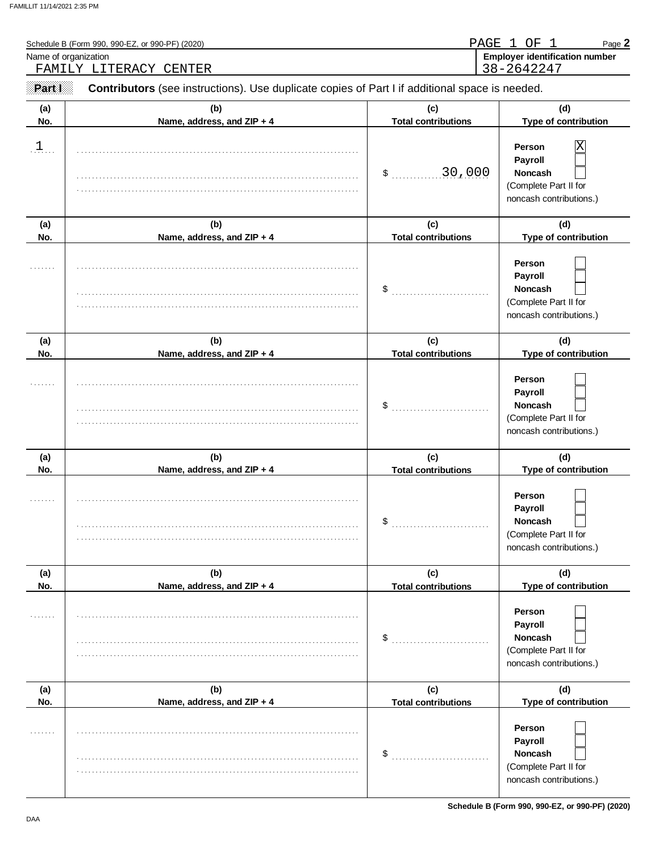| Name of organization | Schedule B (Form 990, 990-EZ, or 990-PF) (2020)<br>FAMILY LITERACY CENTER                      |                                   | PAGE 1 OF 1<br>Page 2<br><b>Employer identification number</b><br>38-2642247                 |
|----------------------|------------------------------------------------------------------------------------------------|-----------------------------------|----------------------------------------------------------------------------------------------|
| Part I               | Contributors (see instructions). Use duplicate copies of Part I if additional space is needed. |                                   |                                                                                              |
| (a)<br>No.           | (b)<br>Name, address, and ZIP + 4                                                              | (c)<br><b>Total contributions</b> | (d)<br>Type of contribution                                                                  |
| $\cdot$ .1.          |                                                                                                | .30,000<br>$\mathsf{\$}$          | Χ<br>Person<br>Payroll<br><b>Noncash</b><br>(Complete Part II for<br>noncash contributions.) |
| (a)<br>No.           | (b)<br>Name, address, and ZIP + 4                                                              | (c)<br><b>Total contributions</b> | (d)<br>Type of contribution                                                                  |
|                      |                                                                                                | \$                                | Person<br>Payroll<br><b>Noncash</b><br>(Complete Part II for<br>noncash contributions.)      |
| (a)<br>No.           | (b)<br>Name, address, and ZIP + 4                                                              | (c)<br><b>Total contributions</b> | (d)<br>Type of contribution                                                                  |
|                      |                                                                                                | \$                                | Person<br>Payroll<br><b>Noncash</b><br>(Complete Part II for<br>noncash contributions.)      |
| (a)<br>No.           | (b)<br>Name, address, and ZIP + 4                                                              | (c)<br><b>Total contributions</b> | (d)<br>Type of contribution                                                                  |
|                      |                                                                                                | \$                                | Person<br>Payroll<br>Noncash<br>(Complete Part II for<br>noncash contributions.)             |
| (a)<br>No.           | (b)<br>Name, address, and ZIP + 4                                                              | (c)<br><b>Total contributions</b> | (d)<br>Type of contribution                                                                  |
| . <b>.</b> .         |                                                                                                | \$                                | Person<br>Payroll<br>Noncash<br>(Complete Part II for<br>noncash contributions.)             |
| (a)<br>No.           | (b)<br>Name, address, and ZIP + 4                                                              | (c)<br><b>Total contributions</b> | (d)<br>Type of contribution                                                                  |
| .                    |                                                                                                | \$                                | Person<br>Payroll<br>Noncash<br>(Complete Part II for<br>noncash contributions.)             |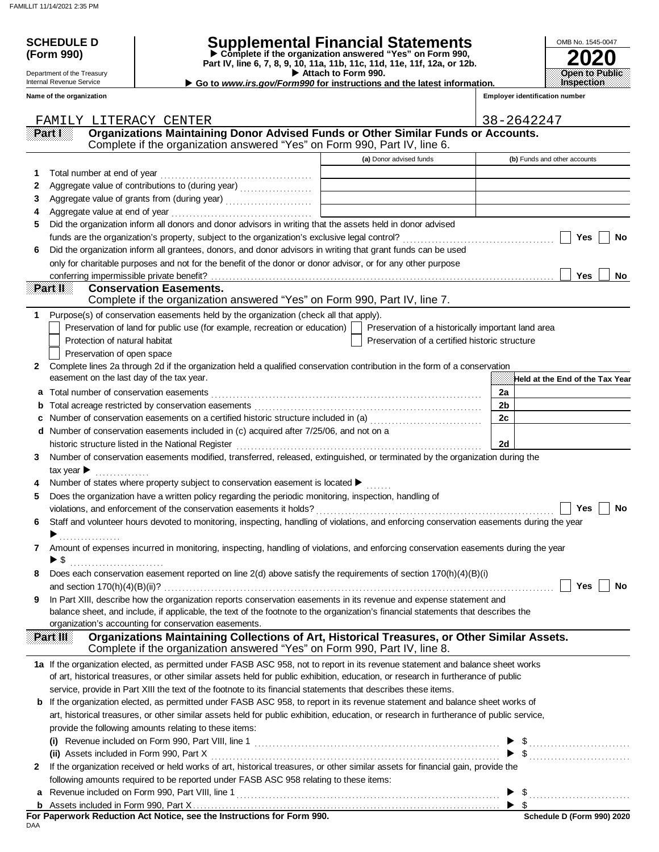**(Form 990)**

# **SCHEDULE D Supplemental Financial Statements Part IV, line 6, 7, 8, 9, 10, 11a, 11b, 11c, 11d, 11e, 11f, 12a, or 12b. Complete if the organization answered "Yes" on Form 990,**

 **Attach to Form 990.** 

| OMB No. 1545-0047 |
|-------------------|
| <b>2020</b>       |
|                   |

**Employer identification number**

 **Go to** *[www.irs.gov/Form990](http://www.irs.gov/Form990)* **for instructions and the latest information.**

Internal Revenue Service **Name of the organization**

Department of the Treasury

|              | FAMILY LITERACY CENTER                                                                                                                                                                                                                                   |                                                    | 38-2642247                      |
|--------------|----------------------------------------------------------------------------------------------------------------------------------------------------------------------------------------------------------------------------------------------------------|----------------------------------------------------|---------------------------------|
|              | Organizations Maintaining Donor Advised Funds or Other Similar Funds or Accounts.<br>Part I                                                                                                                                                              |                                                    |                                 |
|              | Complete if the organization answered "Yes" on Form 990, Part IV, line 6.                                                                                                                                                                                |                                                    |                                 |
|              |                                                                                                                                                                                                                                                          | (a) Donor advised funds                            | (b) Funds and other accounts    |
| 1.           |                                                                                                                                                                                                                                                          |                                                    |                                 |
| 2            |                                                                                                                                                                                                                                                          |                                                    |                                 |
| 3            |                                                                                                                                                                                                                                                          |                                                    |                                 |
| 4            | Aggregate value at end of year                                                                                                                                                                                                                           |                                                    |                                 |
| 5.           | Did the organization inform all donors and donor advisors in writing that the assets held in donor advised                                                                                                                                               |                                                    |                                 |
|              | funds are the organization's property, subject to the organization's exclusive legal control?                                                                                                                                                            |                                                    | Yes<br><b>No</b>                |
| 6            | Did the organization inform all grantees, donors, and donor advisors in writing that grant funds can be used                                                                                                                                             |                                                    |                                 |
|              | only for charitable purposes and not for the benefit of the donor or donor advisor, or for any other purpose                                                                                                                                             |                                                    |                                 |
|              |                                                                                                                                                                                                                                                          |                                                    | Yes<br><b>No</b>                |
|              | Part II<br><b>Conservation Easements.</b>                                                                                                                                                                                                                |                                                    |                                 |
|              | Complete if the organization answered "Yes" on Form 990, Part IV, line 7.                                                                                                                                                                                |                                                    |                                 |
| 1            | Purpose(s) of conservation easements held by the organization (check all that apply).                                                                                                                                                                    |                                                    |                                 |
|              | Preservation of land for public use (for example, recreation or education)                                                                                                                                                                               | Preservation of a historically important land area |                                 |
|              | Protection of natural habitat                                                                                                                                                                                                                            | Preservation of a certified historic structure     |                                 |
|              | Preservation of open space                                                                                                                                                                                                                               |                                                    |                                 |
| $\mathbf{2}$ | Complete lines 2a through 2d if the organization held a qualified conservation contribution in the form of a conservation                                                                                                                                |                                                    |                                 |
|              | easement on the last day of the tax year.                                                                                                                                                                                                                |                                                    | Held at the End of the Tax Year |
| a            |                                                                                                                                                                                                                                                          |                                                    | 2a                              |
| b            | Total acreage restricted by conservation easements                                                                                                                                                                                                       |                                                    | 2b                              |
| с            | Number of conservation easements on a certified historic structure included in (a)                                                                                                                                                                       |                                                    | 2c                              |
| d            | Number of conservation easements included in (c) acquired after 7/25/06, and not on a                                                                                                                                                                    |                                                    |                                 |
|              | historic structure listed in the National Register                                                                                                                                                                                                       |                                                    | 2d                              |
|              | Number of conservation easements modified, transferred, released, extinguished, or terminated by the organization during the                                                                                                                             |                                                    |                                 |
|              | tax year $\blacktriangleright$                                                                                                                                                                                                                           |                                                    |                                 |
|              | Number of states where property subject to conservation easement is located ▶                                                                                                                                                                            |                                                    |                                 |
| 5            | Does the organization have a written policy regarding the periodic monitoring, inspection, handling of                                                                                                                                                   |                                                    |                                 |
|              | violations, and enforcement of the conservation easements it holds?                                                                                                                                                                                      |                                                    | <b>Yes</b><br>No                |
| 6            | Staff and volunteer hours devoted to monitoring, inspecting, handling of violations, and enforcing conservation easements during the year                                                                                                                |                                                    |                                 |
|              |                                                                                                                                                                                                                                                          |                                                    |                                 |
| 7            | Amount of expenses incurred in monitoring, inspecting, handling of violations, and enforcing conservation easements during the year                                                                                                                      |                                                    |                                 |
|              | ▶ \$                                                                                                                                                                                                                                                     |                                                    |                                 |
|              | Does each conservation easement reported on line $2(d)$ above satisfy the requirements of section $170(h)(4)(B)(i)$                                                                                                                                      |                                                    | Yes<br>No                       |
|              | and section $170(h)(4)(B)(ii)?$                                                                                                                                                                                                                          |                                                    |                                 |
|              | In Part XIII, describe how the organization reports conservation easements in its revenue and expense statement and<br>balance sheet, and include, if applicable, the text of the footnote to the organization's financial statements that describes the |                                                    |                                 |
|              | organization's accounting for conservation easements.                                                                                                                                                                                                    |                                                    |                                 |
|              | Organizations Maintaining Collections of Art, Historical Treasures, or Other Similar Assets.<br>Part III                                                                                                                                                 |                                                    |                                 |
|              | Complete if the organization answered "Yes" on Form 990, Part IV, line 8.                                                                                                                                                                                |                                                    |                                 |
|              | 1a If the organization elected, as permitted under FASB ASC 958, not to report in its revenue statement and balance sheet works                                                                                                                          |                                                    |                                 |
|              | of art, historical treasures, or other similar assets held for public exhibition, education, or research in furtherance of public                                                                                                                        |                                                    |                                 |
|              | service, provide in Part XIII the text of the footnote to its financial statements that describes these items.                                                                                                                                           |                                                    |                                 |
|              | b If the organization elected, as permitted under FASB ASC 958, to report in its revenue statement and balance sheet works of                                                                                                                            |                                                    |                                 |
|              | art, historical treasures, or other similar assets held for public exhibition, education, or research in furtherance of public service,                                                                                                                  |                                                    |                                 |
|              | provide the following amounts relating to these items:                                                                                                                                                                                                   |                                                    |                                 |
|              | (i) Revenue included on Form 990, Part VIII, line 1 $\ldots$ $\ldots$ $\ldots$ $\ldots$ $\ldots$ $\ldots$ $\ldots$ $\ldots$ $\ldots$ $\ldots$                                                                                                            |                                                    |                                 |
|              | (ii) Assets included in Form 990, Part X                                                                                                                                                                                                                 |                                                    | $\frac{1}{2}$                   |
| $\mathbf{2}$ | If the organization received or held works of art, historical treasures, or other similar assets for financial gain, provide the                                                                                                                         |                                                    |                                 |
|              | following amounts required to be reported under FASB ASC 958 relating to these items:                                                                                                                                                                    |                                                    |                                 |
| a            |                                                                                                                                                                                                                                                          |                                                    |                                 |
|              |                                                                                                                                                                                                                                                          |                                                    |                                 |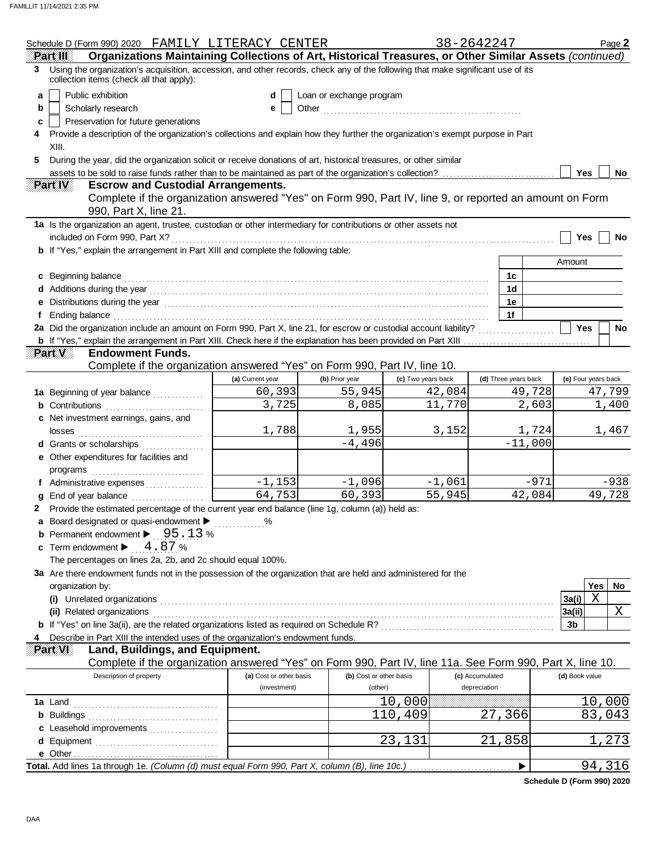|   | Schedule D (Form 990) 2020 FAMILY LITERACY CENTER                                                                                                                                                                              |                         |                          |                    | 38-2642247           | Page 2              |
|---|--------------------------------------------------------------------------------------------------------------------------------------------------------------------------------------------------------------------------------|-------------------------|--------------------------|--------------------|----------------------|---------------------|
|   | Organizations Maintaining Collections of Art, Historical Treasures, or Other Similar Assets (continued)<br><b>Partilli</b>                                                                                                     |                         |                          |                    |                      |                     |
| 3 | Using the organization's acquisition, accession, and other records, check any of the following that make significant use of its<br>collection items (check all that apply):                                                    |                         |                          |                    |                      |                     |
| a | Public exhibition                                                                                                                                                                                                              | d                       | Loan or exchange program |                    |                      |                     |
| b | Scholarly research                                                                                                                                                                                                             | е                       |                          |                    |                      |                     |
| c | Preservation for future generations                                                                                                                                                                                            |                         |                          |                    |                      |                     |
|   | Provide a description of the organization's collections and explain how they further the organization's exempt purpose in Part<br>XIII.                                                                                        |                         |                          |                    |                      |                     |
| 5 |                                                                                                                                                                                                                                |                         |                          |                    |                      |                     |
|   | During the year, did the organization solicit or receive donations of art, historical treasures, or other similar<br>assets to be sold to raise funds rather than to be maintained as part of the organization's collection?   |                         |                          |                    |                      | Yes<br>No           |
|   | <b>Escrow and Custodial Arrangements.</b><br>Partiva                                                                                                                                                                           |                         |                          |                    |                      |                     |
|   | Complete if the organization answered "Yes" on Form 990, Part IV, line 9, or reported an amount on Form                                                                                                                        |                         |                          |                    |                      |                     |
|   | 990, Part X, line 21.                                                                                                                                                                                                          |                         |                          |                    |                      |                     |
|   | 1a Is the organization an agent, trustee, custodian or other intermediary for contributions or other assets not                                                                                                                |                         |                          |                    |                      |                     |
|   | included on Form 990, Part X?                                                                                                                                                                                                  |                         |                          |                    |                      | <b>Yes</b><br>No    |
|   | <b>b</b> If "Yes," explain the arrangement in Part XIII and complete the following table:                                                                                                                                      |                         |                          |                    |                      | Amount              |
|   |                                                                                                                                                                                                                                |                         |                          |                    |                      |                     |
|   | c Beginning balance                                                                                                                                                                                                            |                         |                          |                    | 1c<br>1 <sub>d</sub> |                     |
|   | d Additions during the year contact the control of the set of the set of the set of the set of the set of the set of the set of the set of the set of the set of the set of the set of the set of the set of the set of the se |                         |                          |                    | 1e                   |                     |
|   | e Distributions during the year manufactured contains and the year manufactured with the year manufactured with the set of the set of the set of the set of the set of the set of the set of the set of the set of the set of  |                         |                          |                    | 1f                   |                     |
|   | 2a Did the organization include an amount on Form 990, Part X, line 21, for escrow or custodial account liability?                                                                                                             |                         |                          |                    |                      | <b>Yes</b><br>No    |
|   |                                                                                                                                                                                                                                |                         |                          |                    |                      |                     |
|   | Part V<br><b>Endowment Funds.</b>                                                                                                                                                                                              |                         |                          |                    |                      |                     |
|   | Complete if the organization answered "Yes" on Form 990, Part IV, line 10.                                                                                                                                                     |                         |                          |                    |                      |                     |
|   |                                                                                                                                                                                                                                | (a) Current year        | (b) Prior year           | (c) Two years back | (d) Three years back | (e) Four years back |
|   | 1a Beginning of year balance                                                                                                                                                                                                   | 60,393                  | 55,945                   | 42,084             |                      | 49,728<br>47,799    |
|   |                                                                                                                                                                                                                                | 3,725                   | 8,085                    | 11,770             |                      | 2,603<br>1,400      |
|   | c Net investment earnings, gains, and                                                                                                                                                                                          |                         |                          |                    |                      |                     |
|   |                                                                                                                                                                                                                                | 1,788                   | 1,955                    | 3,152              |                      | 1,724<br>1,467      |
|   | d Grants or scholarships                                                                                                                                                                                                       |                         | $-4,496$                 |                    |                      | $-11,000$           |
|   | e Other expenditures for facilities and                                                                                                                                                                                        |                         |                          |                    |                      |                     |
|   |                                                                                                                                                                                                                                |                         |                          |                    |                      |                     |
|   |                                                                                                                                                                                                                                | $-1,153$                | $-1,096$                 | $-1,061$           |                      | $-971$<br>$-938$    |
|   | End of year balance                                                                                                                                                                                                            | 64,753                  | 60,393                   | 55,945             |                      | 42,084<br>49,728    |
|   | Provide the estimated percentage of the current year end balance (line 1g, column (a)) held as:                                                                                                                                |                         |                          |                    |                      |                     |
|   | <b>a</b> Board designated or quasi-endowment $\blacktriangleright$                                                                                                                                                             |                         |                          |                    |                      |                     |
|   | <b>b</b> Permanent endowment $\triangleright$ 95.13%                                                                                                                                                                           |                         |                          |                    |                      |                     |
|   | c Term endowment $\blacktriangleright$ 4.87%                                                                                                                                                                                   |                         |                          |                    |                      |                     |
|   | The percentages on lines 2a, 2b, and 2c should equal 100%.                                                                                                                                                                     |                         |                          |                    |                      |                     |
|   | 3a Are there endowment funds not in the possession of the organization that are held and administered for the                                                                                                                  |                         |                          |                    |                      |                     |
|   | organization by:                                                                                                                                                                                                               |                         |                          |                    |                      | <b>Yes</b><br>No    |
|   | (i) Unrelated organizations (1) contain the control of the control of the control of the control of the control of the control of the control of the control of the control of the control of the control of the control of th |                         |                          |                    |                      | X<br>3a(i)          |
|   | (ii) Related organizations                                                                                                                                                                                                     |                         |                          |                    |                      | X<br>3a(ii)         |
|   |                                                                                                                                                                                                                                |                         |                          |                    |                      | 3b                  |
|   | Describe in Part XIII the intended uses of the organization's endowment funds.                                                                                                                                                 |                         |                          |                    |                      |                     |
|   | Land, Buildings, and Equipment.<br>Part VI                                                                                                                                                                                     |                         |                          |                    |                      |                     |
|   | Complete if the organization answered "Yes" on Form 990, Part IV, line 11a. See Form 990, Part X, line 10.<br>Description of property                                                                                          | (a) Cost or other basis | (b) Cost or other basis  |                    | (c) Accumulated      | (d) Book value      |
|   |                                                                                                                                                                                                                                | (investment)            | (other)                  |                    | depreciation         |                     |
|   |                                                                                                                                                                                                                                |                         |                          |                    |                      | 10,000              |
|   |                                                                                                                                                                                                                                |                         |                          | 10,000<br>110,409  | 27,366               | 83,043              |
|   |                                                                                                                                                                                                                                |                         |                          |                    |                      |                     |
|   | c Leasehold improvements                                                                                                                                                                                                       |                         |                          | 23,131             | 21,858               | 1,273               |
|   |                                                                                                                                                                                                                                |                         |                          |                    |                      |                     |
|   | Total. Add lines 1a through 1e. (Column (d) must equal Form 990, Part X, column (B), line 10c.)                                                                                                                                |                         |                          |                    |                      | 94,316              |
|   |                                                                                                                                                                                                                                |                         |                          |                    |                      |                     |

**Schedule D (Form 990) 2020**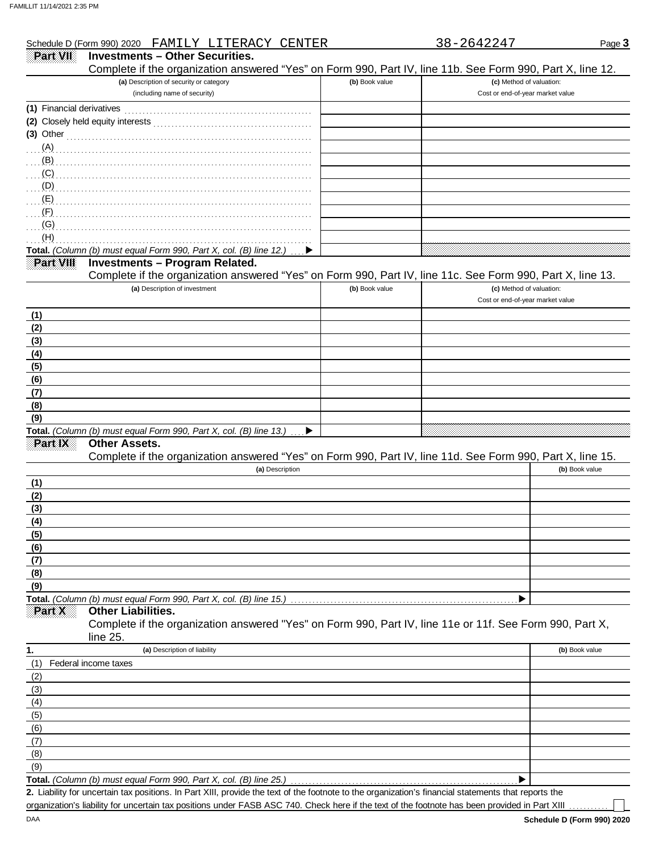| Schedule D (Form 990) 2020 FAMILY LITERACY CENTER<br>Part VII         | <b>Investments - Other Securities.</b>                                                                               |                | 38-2642247 | Page 3                           |
|-----------------------------------------------------------------------|----------------------------------------------------------------------------------------------------------------------|----------------|------------|----------------------------------|
|                                                                       | Complete if the organization answered "Yes" on Form 990, Part IV, line 11b. See Form 990, Part X, line 12.           |                |            |                                  |
|                                                                       | (a) Description of security or category                                                                              | (b) Book value |            | (c) Method of valuation:         |
|                                                                       | (including name of security)                                                                                         |                |            | Cost or end-of-year market value |
| (1) Financial derivatives                                             |                                                                                                                      |                |            |                                  |
|                                                                       | (2) Closely held equity interests                                                                                    |                |            |                                  |
| $(3)$ Other                                                           |                                                                                                                      |                |            |                                  |
| (A)                                                                   |                                                                                                                      |                |            |                                  |
| $\ldots$ (B)                                                          |                                                                                                                      |                |            |                                  |
| (C)                                                                   |                                                                                                                      |                |            |                                  |
| (D)                                                                   |                                                                                                                      |                |            |                                  |
| (E)                                                                   |                                                                                                                      |                |            |                                  |
| (F)                                                                   |                                                                                                                      |                |            |                                  |
| (G)                                                                   |                                                                                                                      |                |            |                                  |
| (H)                                                                   |                                                                                                                      |                |            |                                  |
|                                                                       | Total. (Column (b) must equal Form 990, Part X, col. (B) line 12.)                                                   |                |            |                                  |
| Part VIII                                                             | <b>Investments - Program Related.</b>                                                                                |                |            |                                  |
|                                                                       | Complete if the organization answered "Yes" on Form 990, Part IV, line 11c. See Form 990, Part X, line 13.           |                |            |                                  |
|                                                                       | (a) Description of investment                                                                                        | (b) Book value |            | (c) Method of valuation:         |
|                                                                       |                                                                                                                      |                |            | Cost or end-of-year market value |
| (1)                                                                   |                                                                                                                      |                |            |                                  |
| (2)                                                                   |                                                                                                                      |                |            |                                  |
| (3)                                                                   |                                                                                                                      |                |            |                                  |
| (4)                                                                   |                                                                                                                      |                |            |                                  |
| (5)                                                                   |                                                                                                                      |                |            |                                  |
| (6)                                                                   |                                                                                                                      |                |            |                                  |
|                                                                       |                                                                                                                      |                |            |                                  |
|                                                                       |                                                                                                                      |                |            |                                  |
|                                                                       |                                                                                                                      |                |            |                                  |
|                                                                       |                                                                                                                      |                |            |                                  |
| (7)<br>(8)<br>(9)                                                     | Total. (Column (b) must equal Form 990, Part X, col. (B) line 13.)                                                   |                |            |                                  |
| Part IX                                                               | <b>Other Assets.</b>                                                                                                 |                |            |                                  |
|                                                                       | Complete if the organization answered "Yes" on Form 990, Part IV, line 11d. See Form 990, Part X, line 15.           |                |            |                                  |
|                                                                       | (a) Description                                                                                                      |                |            | (b) Book value                   |
|                                                                       |                                                                                                                      |                |            |                                  |
|                                                                       |                                                                                                                      |                |            |                                  |
|                                                                       |                                                                                                                      |                |            |                                  |
|                                                                       |                                                                                                                      |                |            |                                  |
|                                                                       |                                                                                                                      |                |            |                                  |
|                                                                       |                                                                                                                      |                |            |                                  |
|                                                                       |                                                                                                                      |                |            |                                  |
|                                                                       |                                                                                                                      |                |            |                                  |
|                                                                       |                                                                                                                      |                |            |                                  |
|                                                                       | Total. (Column (b) must equal Form 990, Part X, col. (B) line 15.)<br><b>Other Liabilities.</b>                      |                |            |                                  |
| (1)<br>(2)<br>(3)<br>(4)<br>(5)<br>(6)<br>(7)<br>(8)<br>(9)<br>Part X |                                                                                                                      |                |            |                                  |
|                                                                       | Complete if the organization answered "Yes" on Form 990, Part IV, line 11e or 11f. See Form 990, Part X,<br>line 25. |                |            |                                  |
|                                                                       | (a) Description of liability                                                                                         |                |            | (b) Book value                   |
|                                                                       | Federal income taxes                                                                                                 |                |            |                                  |
|                                                                       |                                                                                                                      |                |            |                                  |
|                                                                       |                                                                                                                      |                |            |                                  |
|                                                                       |                                                                                                                      |                |            |                                  |
|                                                                       |                                                                                                                      |                |            |                                  |
|                                                                       |                                                                                                                      |                |            |                                  |
|                                                                       |                                                                                                                      |                |            |                                  |
| 1.<br>(1)<br>(2)<br>(3)<br>(4)<br>(5)<br>(6)<br>(7)<br>(8)            |                                                                                                                      |                |            |                                  |

**Total.** *(Column (b) must equal Form 990, Part X, col. (B) line 25.)* . .

Liability for uncertain tax positions. In Part XIII, provide the text of the footnote to the organization's financial statements that reports the **2.** organization's liability for uncertain tax positions under FASB ASC 740. Check here if the text of the footnote has been provided in Part XIII

٦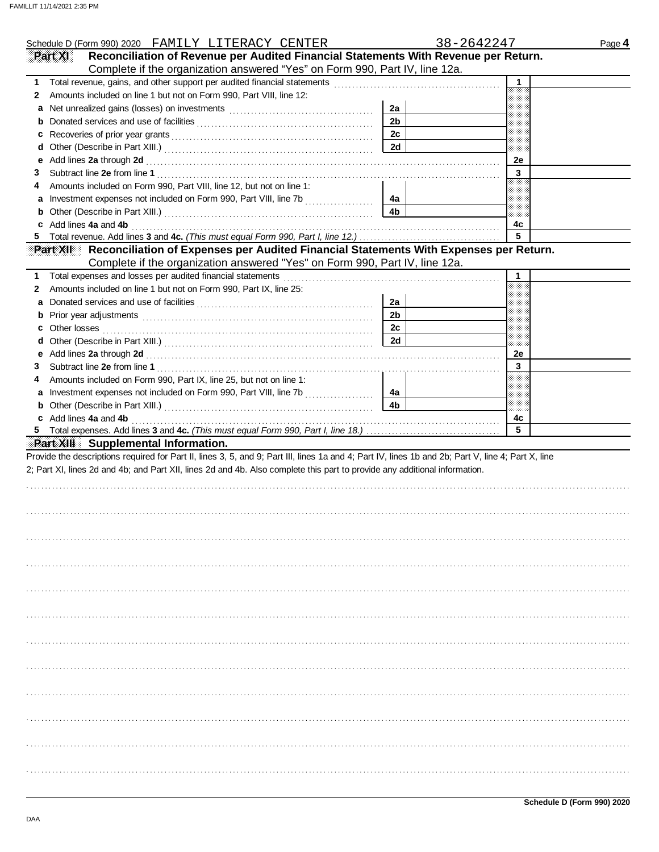|                                                                                                                                                                                                                                                                |                | 38-2642247 | Page 4 |
|----------------------------------------------------------------------------------------------------------------------------------------------------------------------------------------------------------------------------------------------------------------|----------------|------------|--------|
| Reconciliation of Revenue per Audited Financial Statements With Revenue per Return.<br>Part XI                                                                                                                                                                 |                |            |        |
| Complete if the organization answered "Yes" on Form 990, Part IV, line 12a.                                                                                                                                                                                    |                |            |        |
| Total revenue, gains, and other support per audited financial statements<br>1.                                                                                                                                                                                 |                | 1          |        |
| Amounts included on line 1 but not on Form 990, Part VIII, line 12:<br>2                                                                                                                                                                                       |                |            |        |
| Net unrealized gains (losses) on investments [[11, 11] [11] Met unrealized gains (losses) on investments [[11, 11] $\ldots$ [[11] $\ldots$ [[11] $\ldots$ [[11] $\ldots$ [[11] $\ldots$ [[11] $\ldots$ [[11] $\ldots$ [[11] $\ldots$ [[11] $\ldots$ [[11]<br>a | 2a             |            |        |
| b                                                                                                                                                                                                                                                              | 2 <sub>b</sub> |            |        |
| c                                                                                                                                                                                                                                                              | 2c             |            |        |
| d                                                                                                                                                                                                                                                              | 2d             |            |        |
| Add lines 2a through 2d [11] Additional District Property and The Property Additional Property and Property and Property and Property and Property and Property and Property and Property and Property and Property and Proper<br>е                            |                | 2e         |        |
| 3                                                                                                                                                                                                                                                              |                | 3          |        |
| Amounts included on Form 990, Part VIII, line 12, but not on line 1:<br>4                                                                                                                                                                                      |                |            |        |
| Investment expenses not included on Form 990, Part VIII, line 7b<br>а                                                                                                                                                                                          | 4a             |            |        |
| b                                                                                                                                                                                                                                                              | 4b             |            |        |
| c Add lines 4a and 4b                                                                                                                                                                                                                                          |                | 4c         |        |
| 5.                                                                                                                                                                                                                                                             |                | 5          |        |
| Part XII: Reconciliation of Expenses per Audited Financial Statements With Expenses per Return.                                                                                                                                                                |                |            |        |
| Complete if the organization answered "Yes" on Form 990, Part IV, line 12a.                                                                                                                                                                                    |                |            |        |
| Total expenses and losses per audited financial statements<br>1.                                                                                                                                                                                               |                | 1          |        |
| Amounts included on line 1 but not on Form 990, Part IX, line 25:<br>2                                                                                                                                                                                         |                |            |        |
| a                                                                                                                                                                                                                                                              | 2a             |            |        |
| b                                                                                                                                                                                                                                                              | 2 <sub>b</sub> |            |        |
| Other losses <b>contracts Other losses contracts contracts contracts contracts contracts contracts contracts contracts contracts contracts contracts contracts contracts contracts contracts c</b><br>c                                                        | 2c             |            |        |
| d                                                                                                                                                                                                                                                              | 2d             |            |        |
| Add lines 2a through 2d [11] March 2014 [12] March 2014 [12] March 2014 [12] March 2014 [12] March 2014 [12] March 2014 [12] March 2014 [12] March 2014 [12] March 2014 [12] March 2014 [12] March 2014 [12] March 2014 [12] M<br>е                            |                | 2e         |        |
| 3                                                                                                                                                                                                                                                              |                | 3          |        |
| Amounts included on Form 990, Part IX, line 25, but not on line 1:<br>4                                                                                                                                                                                        |                |            |        |
| a                                                                                                                                                                                                                                                              | 4a             |            |        |
|                                                                                                                                                                                                                                                                | 4 <sub>b</sub> |            |        |
|                                                                                                                                                                                                                                                                |                |            |        |
|                                                                                                                                                                                                                                                                |                | 4c         |        |
| c Add lines 4a and 4b                                                                                                                                                                                                                                          |                | 5          |        |
|                                                                                                                                                                                                                                                                |                |            |        |
| Part XIII: Supplemental Information.                                                                                                                                                                                                                           |                |            |        |
| Provide the descriptions required for Part II, lines 3, 5, and 9; Part III, lines 1a and 4; Part IV, lines 1b and 2b; Part V, line 4; Part X, line                                                                                                             |                |            |        |
|                                                                                                                                                                                                                                                                |                |            |        |
| 2; Part XI, lines 2d and 4b; and Part XII, lines 2d and 4b. Also complete this part to provide any additional information.                                                                                                                                     |                |            |        |
|                                                                                                                                                                                                                                                                |                |            |        |
|                                                                                                                                                                                                                                                                |                |            |        |
|                                                                                                                                                                                                                                                                |                |            |        |
|                                                                                                                                                                                                                                                                |                |            |        |
|                                                                                                                                                                                                                                                                |                |            |        |
|                                                                                                                                                                                                                                                                |                |            |        |
|                                                                                                                                                                                                                                                                |                |            |        |
|                                                                                                                                                                                                                                                                |                |            |        |
|                                                                                                                                                                                                                                                                |                |            |        |
|                                                                                                                                                                                                                                                                |                |            |        |
|                                                                                                                                                                                                                                                                |                |            |        |
|                                                                                                                                                                                                                                                                |                |            |        |
|                                                                                                                                                                                                                                                                |                |            |        |
|                                                                                                                                                                                                                                                                |                |            |        |
|                                                                                                                                                                                                                                                                |                |            |        |
|                                                                                                                                                                                                                                                                |                |            |        |
|                                                                                                                                                                                                                                                                |                |            |        |
|                                                                                                                                                                                                                                                                |                |            |        |
|                                                                                                                                                                                                                                                                |                |            |        |
|                                                                                                                                                                                                                                                                |                |            |        |
|                                                                                                                                                                                                                                                                |                |            |        |
|                                                                                                                                                                                                                                                                |                |            |        |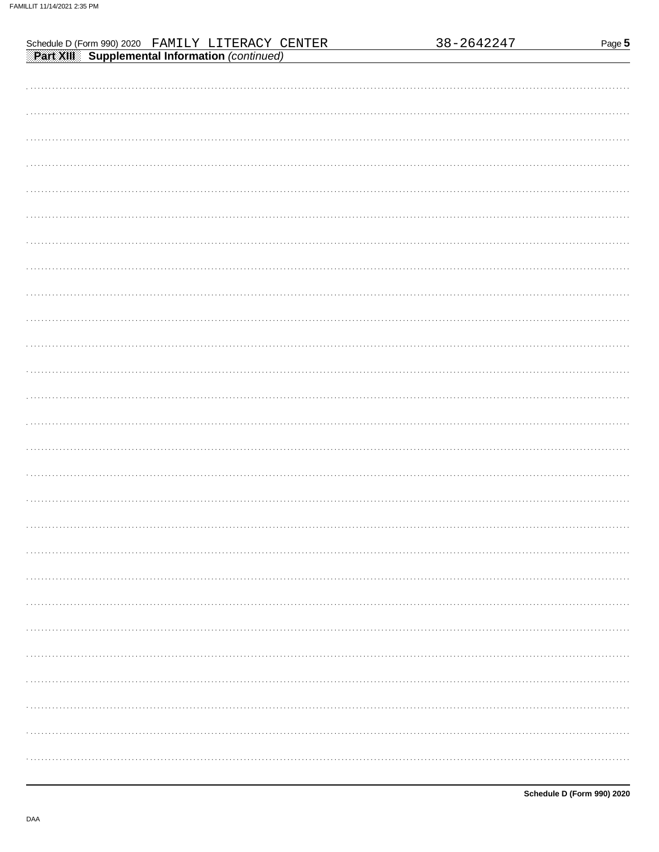| Schedule D (Form 990) 2020 FAMILY LITERACY CENTER<br><b>Part XIII</b> Supplemental Information (continued) | 38-2642247 | Page 5 |
|------------------------------------------------------------------------------------------------------------|------------|--------|
|                                                                                                            |            |        |
|                                                                                                            |            |        |
|                                                                                                            |            |        |
| .                                                                                                          |            |        |
|                                                                                                            |            |        |
| .                                                                                                          |            |        |
|                                                                                                            |            |        |
|                                                                                                            |            |        |
| .                                                                                                          |            |        |
|                                                                                                            |            |        |
|                                                                                                            |            |        |
|                                                                                                            |            |        |
| .                                                                                                          |            |        |
|                                                                                                            |            |        |
|                                                                                                            |            |        |
|                                                                                                            |            |        |
|                                                                                                            |            |        |
|                                                                                                            |            |        |
|                                                                                                            |            |        |
|                                                                                                            |            |        |
|                                                                                                            |            |        |
| .                                                                                                          |            |        |
|                                                                                                            |            |        |
|                                                                                                            |            |        |
|                                                                                                            |            |        |
| .                                                                                                          |            |        |
|                                                                                                            |            |        |
|                                                                                                            |            |        |
|                                                                                                            |            |        |
|                                                                                                            |            |        |
|                                                                                                            |            |        |
|                                                                                                            |            |        |
|                                                                                                            |            |        |
|                                                                                                            |            |        |
|                                                                                                            |            |        |
|                                                                                                            |            |        |
|                                                                                                            |            |        |
|                                                                                                            |            |        |
|                                                                                                            |            |        |
|                                                                                                            |            |        |
|                                                                                                            |            |        |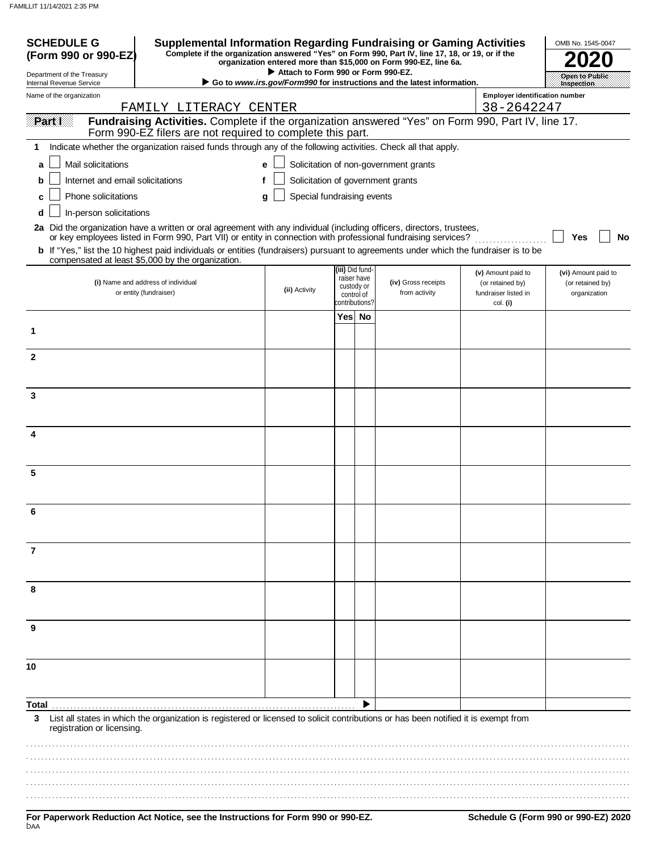| <b>SCHEDULE G</b>                                                                                                                                                                           | <b>Supplemental Information Regarding Fundraising or Gaming Activities</b>                                                                                                                                                               |                                    |  |                              |                                                                        |                                          | OMB No. 1545-0047                   |
|---------------------------------------------------------------------------------------------------------------------------------------------------------------------------------------------|------------------------------------------------------------------------------------------------------------------------------------------------------------------------------------------------------------------------------------------|------------------------------------|--|------------------------------|------------------------------------------------------------------------|------------------------------------------|-------------------------------------|
| Complete if the organization answered "Yes" on Form 990, Part IV, line 17, 18, or 19, or if the<br>(Form 990 or 990-EZ)<br>organization entered more than \$15,000 on Form 990-EZ, line 6a. |                                                                                                                                                                                                                                          |                                    |  |                              |                                                                        |                                          |                                     |
| Department of the Treasury<br>Internal Revenue Service                                                                                                                                      |                                                                                                                                                                                                                                          | Attach to Form 990 or Form 990-EZ. |  |                              | Go to www.irs.gov/Form990 for instructions and the latest information. |                                          | Open to Public<br><b>Inspection</b> |
| Name of the organization                                                                                                                                                                    |                                                                                                                                                                                                                                          |                                    |  |                              |                                                                        | <b>Employer identification number</b>    |                                     |
|                                                                                                                                                                                             | FAMILY LITERACY CENTER                                                                                                                                                                                                                   |                                    |  |                              |                                                                        | 38-2642247                               |                                     |
| Part I                                                                                                                                                                                      | Fundraising Activities. Complete if the organization answered "Yes" on Form 990, Part IV, line 17.<br>Form 990-EZ filers are not required to complete this part.                                                                         |                                    |  |                              |                                                                        |                                          |                                     |
| 1                                                                                                                                                                                           | Indicate whether the organization raised funds through any of the following activities. Check all that apply.                                                                                                                            |                                    |  |                              |                                                                        |                                          |                                     |
| Mail solicitations<br>a                                                                                                                                                                     |                                                                                                                                                                                                                                          | e.                                 |  |                              | Solicitation of non-government grants                                  |                                          |                                     |
| Internet and email solicitations<br>b                                                                                                                                                       |                                                                                                                                                                                                                                          |                                    |  |                              | Solicitation of government grants                                      |                                          |                                     |
| Phone solicitations<br>c                                                                                                                                                                    |                                                                                                                                                                                                                                          | Special fundraising events<br>g    |  |                              |                                                                        |                                          |                                     |
| In-person solicitations<br>d                                                                                                                                                                |                                                                                                                                                                                                                                          |                                    |  |                              |                                                                        |                                          |                                     |
|                                                                                                                                                                                             | 2a Did the organization have a written or oral agreement with any individual (including officers, directors, trustees,<br>or key employees listed in Form 990, Part VII) or entity in connection with professional fundraising services? |                                    |  |                              |                                                                        |                                          | Yes<br>No                           |
|                                                                                                                                                                                             | b If "Yes," list the 10 highest paid individuals or entities (fundraisers) pursuant to agreements under which the fundraiser is to be<br>compensated at least \$5,000 by the organization.                                               |                                    |  |                              |                                                                        |                                          |                                     |
|                                                                                                                                                                                             |                                                                                                                                                                                                                                          |                                    |  | (iii) Did fund-              |                                                                        | (v) Amount paid to                       | (vi) Amount paid to                 |
|                                                                                                                                                                                             | (i) Name and address of individual<br>or entity (fundraiser)                                                                                                                                                                             | (ii) Activity                      |  | raiser have<br>custody or    | (iv) Gross receipts<br>from activity                                   | (or retained by)<br>fundraiser listed in | (or retained by)<br>organization    |
|                                                                                                                                                                                             |                                                                                                                                                                                                                                          |                                    |  | control of<br>contributions? |                                                                        | col. (i)                                 |                                     |
|                                                                                                                                                                                             |                                                                                                                                                                                                                                          |                                    |  | Yes No                       |                                                                        |                                          |                                     |
| 1                                                                                                                                                                                           |                                                                                                                                                                                                                                          |                                    |  |                              |                                                                        |                                          |                                     |
| $\mathbf{2}$                                                                                                                                                                                |                                                                                                                                                                                                                                          |                                    |  |                              |                                                                        |                                          |                                     |
|                                                                                                                                                                                             |                                                                                                                                                                                                                                          |                                    |  |                              |                                                                        |                                          |                                     |
| 3                                                                                                                                                                                           |                                                                                                                                                                                                                                          |                                    |  |                              |                                                                        |                                          |                                     |
|                                                                                                                                                                                             |                                                                                                                                                                                                                                          |                                    |  |                              |                                                                        |                                          |                                     |
|                                                                                                                                                                                             |                                                                                                                                                                                                                                          |                                    |  |                              |                                                                        |                                          |                                     |
| 4                                                                                                                                                                                           |                                                                                                                                                                                                                                          |                                    |  |                              |                                                                        |                                          |                                     |
|                                                                                                                                                                                             |                                                                                                                                                                                                                                          |                                    |  |                              |                                                                        |                                          |                                     |
| 5                                                                                                                                                                                           |                                                                                                                                                                                                                                          |                                    |  |                              |                                                                        |                                          |                                     |
|                                                                                                                                                                                             |                                                                                                                                                                                                                                          |                                    |  |                              |                                                                        |                                          |                                     |
| 6                                                                                                                                                                                           |                                                                                                                                                                                                                                          |                                    |  |                              |                                                                        |                                          |                                     |
|                                                                                                                                                                                             |                                                                                                                                                                                                                                          |                                    |  |                              |                                                                        |                                          |                                     |
|                                                                                                                                                                                             |                                                                                                                                                                                                                                          |                                    |  |                              |                                                                        |                                          |                                     |
| 7                                                                                                                                                                                           |                                                                                                                                                                                                                                          |                                    |  |                              |                                                                        |                                          |                                     |
|                                                                                                                                                                                             |                                                                                                                                                                                                                                          |                                    |  |                              |                                                                        |                                          |                                     |
| 8                                                                                                                                                                                           |                                                                                                                                                                                                                                          |                                    |  |                              |                                                                        |                                          |                                     |
|                                                                                                                                                                                             |                                                                                                                                                                                                                                          |                                    |  |                              |                                                                        |                                          |                                     |
|                                                                                                                                                                                             |                                                                                                                                                                                                                                          |                                    |  |                              |                                                                        |                                          |                                     |
| 9                                                                                                                                                                                           |                                                                                                                                                                                                                                          |                                    |  |                              |                                                                        |                                          |                                     |
|                                                                                                                                                                                             |                                                                                                                                                                                                                                          |                                    |  |                              |                                                                        |                                          |                                     |
| 10                                                                                                                                                                                          |                                                                                                                                                                                                                                          |                                    |  |                              |                                                                        |                                          |                                     |
|                                                                                                                                                                                             |                                                                                                                                                                                                                                          |                                    |  |                              |                                                                        |                                          |                                     |
| Total                                                                                                                                                                                       |                                                                                                                                                                                                                                          |                                    |  |                              |                                                                        |                                          |                                     |
| 3<br>registration or licensing.                                                                                                                                                             | List all states in which the organization is registered or licensed to solicit contributions or has been notified it is exempt from                                                                                                      |                                    |  |                              |                                                                        |                                          |                                     |
|                                                                                                                                                                                             |                                                                                                                                                                                                                                          |                                    |  |                              |                                                                        |                                          |                                     |
|                                                                                                                                                                                             |                                                                                                                                                                                                                                          |                                    |  |                              |                                                                        |                                          |                                     |
|                                                                                                                                                                                             |                                                                                                                                                                                                                                          |                                    |  |                              |                                                                        |                                          |                                     |
|                                                                                                                                                                                             |                                                                                                                                                                                                                                          |                                    |  |                              |                                                                        |                                          |                                     |
|                                                                                                                                                                                             |                                                                                                                                                                                                                                          |                                    |  |                              |                                                                        |                                          |                                     |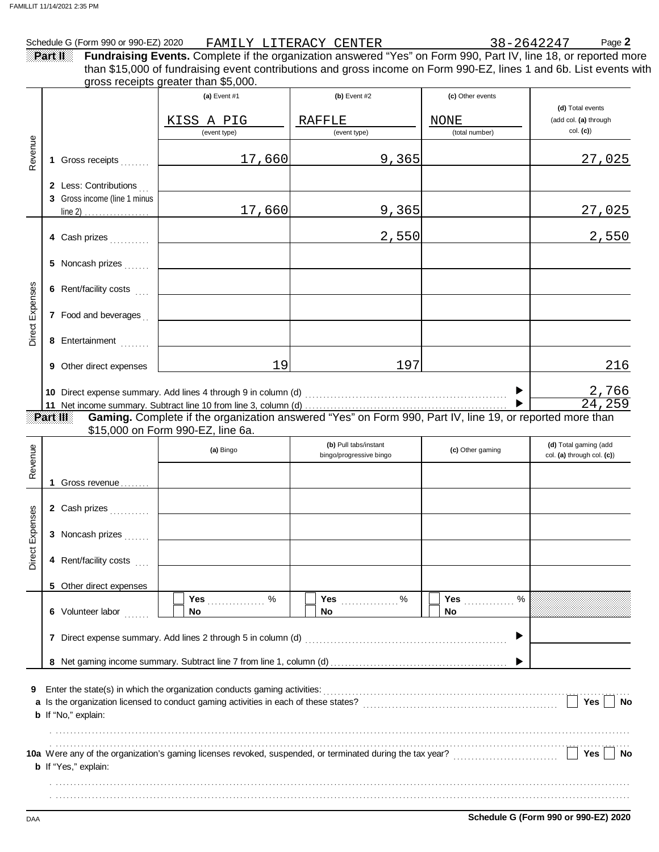| $-$ 990 or 990. F.Z. $-$<br>2020<br>Schedule (<br>⊶ (Form 990 er 1 | H'∆M | $\pi$ $\pi$<br>- 0.5<br>----- | את דואת<br>JILK | ノム「<br>.<br>-443 | Page. |
|--------------------------------------------------------------------|------|-------------------------------|-----------------|------------------|-------|
|                                                                    |      |                               |                 |                  |       |

| Part II | <b>Fundraising Events.</b> Complete if the organization answered "Yes" on Form 990, Part IV, line 18, or reported more |  |  |
|---------|------------------------------------------------------------------------------------------------------------------------|--|--|
|         | than \$15,000 of fundraising event contributions and gross income on Form 990-EZ, lines 1 and 6b. List events with     |  |  |
|         | gross receipts greater than \$5,000.                                                                                   |  |  |
|         |                                                                                                                        |  |  |

|                 |   |                              | (a) Event $#1$                                                           | $(b)$ Event #2                                                                                            | (c) Other events              |                                                     |
|-----------------|---|------------------------------|--------------------------------------------------------------------------|-----------------------------------------------------------------------------------------------------------|-------------------------------|-----------------------------------------------------|
|                 |   |                              |                                                                          |                                                                                                           |                               | (d) Total events                                    |
|                 |   |                              | KISS A PIG<br>(event type)                                               | <b>RAFFLE</b><br>(event type)                                                                             | <b>NONE</b><br>(total number) | (add col. (a) through<br>col. (c)                   |
|                 |   |                              |                                                                          |                                                                                                           |                               |                                                     |
| Revenue         |   | 1 Gross receipts             | 17,660                                                                   | 9,365                                                                                                     |                               | 27,025                                              |
|                 |   |                              |                                                                          |                                                                                                           |                               |                                                     |
|                 |   | 2 Less: Contributions        |                                                                          |                                                                                                           |                               |                                                     |
|                 |   | 3 Gross income (line 1 minus | 17,660                                                                   | 9,365                                                                                                     |                               | 27,025                                              |
|                 |   |                              |                                                                          |                                                                                                           |                               |                                                     |
|                 |   | 4 Cash prizes                |                                                                          | 2,550                                                                                                     |                               | 2,550                                               |
|                 |   |                              |                                                                          |                                                                                                           |                               |                                                     |
|                 |   | 5 Noncash prizes             |                                                                          |                                                                                                           |                               |                                                     |
|                 |   | 6 Rent/facility costs        |                                                                          |                                                                                                           |                               |                                                     |
| Direct Expenses |   |                              |                                                                          |                                                                                                           |                               |                                                     |
|                 |   | 7 Food and beverages         |                                                                          |                                                                                                           |                               |                                                     |
|                 |   | 8 Entertainment              |                                                                          |                                                                                                           |                               |                                                     |
|                 |   |                              |                                                                          |                                                                                                           |                               |                                                     |
|                 | 9 | Other direct expenses        | 19                                                                       | 197                                                                                                       |                               | 216                                                 |
|                 |   |                              |                                                                          |                                                                                                           |                               |                                                     |
|                 |   |                              |                                                                          |                                                                                                           |                               | $\frac{2,766}{24,259}$                              |
|                 |   | Part III                     |                                                                          | Gaming. Complete if the organization answered "Yes" on Form 990, Part IV, line 19, or reported more than  |                               |                                                     |
|                 |   |                              | \$15,000 on Form 990-EZ, line 6a.                                        |                                                                                                           |                               |                                                     |
|                 |   |                              | (a) Bingo                                                                | (b) Pull tabs/instant<br>bingo/progressive bingo                                                          | (c) Other gaming              | (d) Total gaming (add<br>col. (a) through col. (c)) |
| Revenue         |   |                              |                                                                          |                                                                                                           |                               |                                                     |
|                 | 1 | Gross revenue                |                                                                          |                                                                                                           |                               |                                                     |
|                 |   |                              |                                                                          |                                                                                                           |                               |                                                     |
|                 |   | 2 Cash prizes                |                                                                          |                                                                                                           |                               |                                                     |
|                 |   | 3 Noncash prizes             |                                                                          |                                                                                                           |                               |                                                     |
| Direct Expenses |   |                              |                                                                          |                                                                                                           |                               |                                                     |
|                 |   | 4 Rent/facility costs        |                                                                          |                                                                                                           |                               |                                                     |
|                 |   | 5 Other direct expenses      |                                                                          |                                                                                                           |                               |                                                     |
|                 |   |                              | %<br>Yes                                                                 | $\%$<br>Yes                                                                                               | <b>Yes</b><br>%               |                                                     |
|                 |   | 6 Volunteer labor            | No                                                                       | No                                                                                                        | No                            |                                                     |
|                 |   |                              |                                                                          |                                                                                                           |                               |                                                     |
|                 |   |                              |                                                                          |                                                                                                           |                               |                                                     |
|                 |   |                              |                                                                          |                                                                                                           |                               |                                                     |
|                 |   |                              |                                                                          |                                                                                                           |                               |                                                     |
| 9               |   |                              | Enter the state(s) in which the organization conducts gaming activities: |                                                                                                           |                               | Yes<br>No                                           |
|                 |   | <b>b</b> If "No," explain:   |                                                                          |                                                                                                           |                               |                                                     |
|                 |   |                              |                                                                          |                                                                                                           |                               |                                                     |
|                 |   |                              |                                                                          |                                                                                                           |                               |                                                     |
|                 |   | <b>b</b> If "Yes," explain:  |                                                                          | 10a Were any of the organization's gaming licenses revoked, suspended, or terminated during the tax year? |                               | Yes<br>No                                           |
|                 |   |                              |                                                                          |                                                                                                           |                               |                                                     |
|                 |   |                              |                                                                          |                                                                                                           |                               |                                                     |
|                 |   |                              |                                                                          |                                                                                                           |                               | Schedule G (Form 990 or 990-EZ) 2020                |
| DAA             |   |                              |                                                                          |                                                                                                           |                               |                                                     |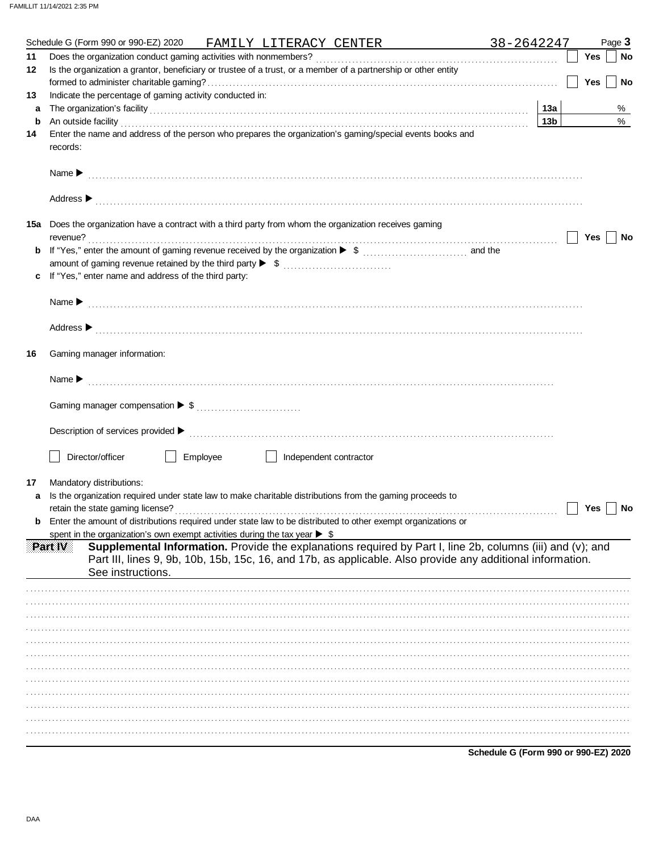|    | Schedule G (Form 990 or 990-EZ) 2020<br>FAMILY LITERACY CENTER                                                                                                                                                                       | 38-2642247      |            | Page 3 |           |
|----|--------------------------------------------------------------------------------------------------------------------------------------------------------------------------------------------------------------------------------------|-----------------|------------|--------|-----------|
| 11 |                                                                                                                                                                                                                                      |                 | Yes        |        | No        |
| 12 | Is the organization a grantor, beneficiary or trustee of a trust, or a member of a partnership or other entity                                                                                                                       |                 |            |        |           |
|    |                                                                                                                                                                                                                                      |                 | Yes        |        | <b>No</b> |
| 13 | Indicate the percentage of gaming activity conducted in:                                                                                                                                                                             |                 |            |        |           |
| a  | The organization's facility [13a]                                                                                                                                                                                                    |                 |            |        | %         |
| b  | An outside facility <b>contract and the contract of a contract of a contract of a contract of a contract of a contract of a contract of a contract of a contract of a contract of a contract of a contract of a contract of a co</b> | 13 <sub>b</sub> |            |        | $\%$      |
| 14 | Enter the name and address of the person who prepares the organization's gaming/special events books and                                                                                                                             |                 |            |        |           |
|    | records:                                                                                                                                                                                                                             |                 |            |        |           |
|    |                                                                                                                                                                                                                                      |                 |            |        |           |
|    |                                                                                                                                                                                                                                      |                 |            |        |           |
|    |                                                                                                                                                                                                                                      |                 |            |        |           |
|    |                                                                                                                                                                                                                                      |                 |            |        |           |
|    |                                                                                                                                                                                                                                      |                 |            |        |           |
|    | 15a Does the organization have a contract with a third party from whom the organization receives gaming                                                                                                                              |                 |            |        |           |
|    | revenue?                                                                                                                                                                                                                             |                 |            |        | No        |
|    |                                                                                                                                                                                                                                      |                 |            |        |           |
|    |                                                                                                                                                                                                                                      |                 |            |        |           |
| c  | If "Yes," enter name and address of the third party:                                                                                                                                                                                 |                 |            |        |           |
|    |                                                                                                                                                                                                                                      |                 |            |        |           |
|    |                                                                                                                                                                                                                                      |                 |            |        |           |
|    |                                                                                                                                                                                                                                      |                 |            |        |           |
|    |                                                                                                                                                                                                                                      |                 |            |        |           |
|    |                                                                                                                                                                                                                                      |                 |            |        |           |
| 16 | Gaming manager information:                                                                                                                                                                                                          |                 |            |        |           |
|    |                                                                                                                                                                                                                                      |                 |            |        |           |
|    |                                                                                                                                                                                                                                      |                 |            |        |           |
|    |                                                                                                                                                                                                                                      |                 |            |        |           |
|    |                                                                                                                                                                                                                                      |                 |            |        |           |
|    |                                                                                                                                                                                                                                      |                 |            |        |           |
|    |                                                                                                                                                                                                                                      |                 |            |        |           |
|    |                                                                                                                                                                                                                                      |                 |            |        |           |
|    | Director/officer<br>Employee<br>    Independent contractor                                                                                                                                                                           |                 |            |        |           |
|    |                                                                                                                                                                                                                                      |                 |            |        |           |
| 17 | Mandatory distributions:                                                                                                                                                                                                             |                 |            |        |           |
| a  | Is the organization required under state law to make charitable distributions from the gaming proceeds to                                                                                                                            |                 |            |        |           |
|    |                                                                                                                                                                                                                                      |                 | <b>Yes</b> |        | <b>No</b> |
|    | Enter the amount of distributions required under state law to be distributed to other exempt organizations or                                                                                                                        |                 |            |        |           |
|    | spent in the organization's own exempt activities during the tax year $\blacktriangleright$ \$                                                                                                                                       |                 |            |        |           |
|    | Supplemental Information. Provide the explanations required by Part I, line 2b, columns (iii) and (v); and<br>Part IV                                                                                                                |                 |            |        |           |
|    | Part III, lines 9, 9b, 10b, 15b, 15c, 16, and 17b, as applicable. Also provide any additional information.                                                                                                                           |                 |            |        |           |
|    | See instructions.                                                                                                                                                                                                                    |                 |            |        |           |
|    |                                                                                                                                                                                                                                      |                 |            |        |           |
|    |                                                                                                                                                                                                                                      |                 |            |        |           |
|    |                                                                                                                                                                                                                                      |                 |            |        |           |
|    |                                                                                                                                                                                                                                      |                 |            |        |           |
|    |                                                                                                                                                                                                                                      |                 |            |        |           |
|    |                                                                                                                                                                                                                                      |                 |            |        |           |
|    |                                                                                                                                                                                                                                      |                 |            |        |           |
|    |                                                                                                                                                                                                                                      |                 |            |        |           |
|    |                                                                                                                                                                                                                                      |                 |            |        |           |
|    |                                                                                                                                                                                                                                      |                 |            |        |           |
|    |                                                                                                                                                                                                                                      |                 |            |        |           |
|    |                                                                                                                                                                                                                                      |                 |            |        |           |
|    |                                                                                                                                                                                                                                      |                 |            |        |           |
|    |                                                                                                                                                                                                                                      |                 |            |        |           |

Schedule G (Form 990 or 990-EZ) 2020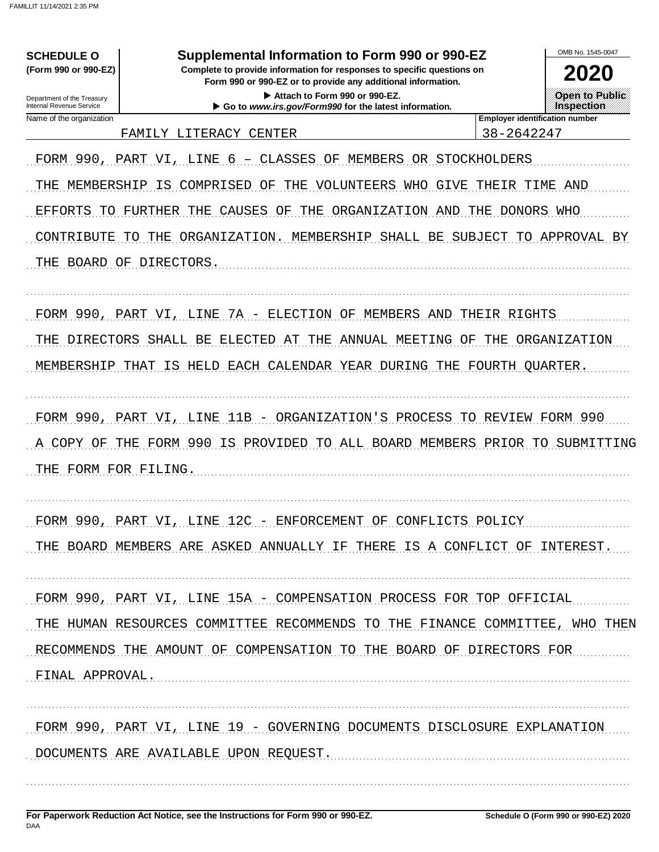| <b>SCHEDULE O</b><br>(Form 990 or 990-EZ)<br>Department of the Treasury<br>Internal Revenue Service | Supplemental Information to Form 990 or 990-EZ<br>Complete to provide information for responses to specific questions on<br>Form 990 or 990-EZ or to provide any additional information.<br>Attach to Form 990 or 990-EZ.<br>Go to www.irs.gov/Form990 for the latest information. | OMB No. 1545-0047<br><b>2020</b><br><b>Open to Public</b><br>Inspection |  |
|-----------------------------------------------------------------------------------------------------|------------------------------------------------------------------------------------------------------------------------------------------------------------------------------------------------------------------------------------------------------------------------------------|-------------------------------------------------------------------------|--|
| Name of the organization                                                                            | FAMILY LITERACY<br>CENTER                                                                                                                                                                                                                                                          | <b>Employer identification number</b><br>38-2642247                     |  |
| FORM 990, PART                                                                                      | CLASSES OF MEMBERS<br>LINE<br>6<br>VI                                                                                                                                                                                                                                              | OR STOCKHOLDERS                                                         |  |
| THE MEMBERSHIP                                                                                      | COMPRISED<br>ΙS<br>ΟF<br>THE<br>VOLUNTEERS<br><b>WHO</b>                                                                                                                                                                                                                           | GIVE<br>THEIR TIME AND                                                  |  |
| EFFORTS TO                                                                                          | CAUSES<br>THE<br>ORGANIZATION AND<br>FURTHER<br>THE<br>OF                                                                                                                                                                                                                          | THE<br>DONORS WHO                                                       |  |
| CONTRIBUTE<br>TO                                                                                    | ORGANIZATION.<br>MEMBERSHIP SHALL BE SUBJECT<br>THE                                                                                                                                                                                                                                | TO APPROVAL BY                                                          |  |
| THE BOARD OF DIRECTORS                                                                              |                                                                                                                                                                                                                                                                                    |                                                                         |  |
| FORM 990, PART VI,                                                                                  | 7A - ELECTION OF<br>MEMBERS AND<br>LINE                                                                                                                                                                                                                                            | THEIR RIGHTS                                                            |  |
| THE DIRECTORS                                                                                       | THE<br>SHALL BE ELECTED<br>AT<br>ANNUAL MEETING                                                                                                                                                                                                                                    | OF<br>THE<br>ORGANIZATION                                               |  |
| MEMBERSHIP THAT                                                                                     | IS HELD EACH CALENDAR YEAR DURING THE                                                                                                                                                                                                                                              | FOURTH QUARTER.                                                         |  |
|                                                                                                     |                                                                                                                                                                                                                                                                                    |                                                                         |  |
| FORM 990,<br>PART                                                                                   | LINE 11B - ORGANIZATION'S PROCESS TO<br>VI,                                                                                                                                                                                                                                        | REVIEW FORM 990                                                         |  |
| A COPY<br>THE<br>OF.                                                                                | FORM 990<br>IS PROVIDED TO ALL BOARD MEMBERS                                                                                                                                                                                                                                       | PRIOR<br>TO SUBMITTING                                                  |  |
| THE FORM FOR FILING                                                                                 |                                                                                                                                                                                                                                                                                    |                                                                         |  |
|                                                                                                     |                                                                                                                                                                                                                                                                                    |                                                                         |  |
|                                                                                                     | FORM 990, PART VI, LINE 12C - ENFORCEMENT OF CONFLICTS POLICY                                                                                                                                                                                                                      |                                                                         |  |
|                                                                                                     | THE BOARD MEMBERS ARE ASKED ANNUALLY IF THERE IS A CONFLICT OF INTEREST.                                                                                                                                                                                                           |                                                                         |  |
|                                                                                                     |                                                                                                                                                                                                                                                                                    |                                                                         |  |
|                                                                                                     | FORM 990, PART VI, LINE 15A - COMPENSATION PROCESS FOR TOP OFFICIAL                                                                                                                                                                                                                |                                                                         |  |
|                                                                                                     | THE HUMAN RESOURCES COMMITTEE RECOMMENDS TO THE FINANCE COMMITTEE, WHO THEN                                                                                                                                                                                                        |                                                                         |  |
|                                                                                                     | RECOMMENDS THE AMOUNT OF COMPENSATION TO THE BOARD OF DIRECTORS FOR                                                                                                                                                                                                                |                                                                         |  |
| FINAL APPROVAL.                                                                                     |                                                                                                                                                                                                                                                                                    |                                                                         |  |
|                                                                                                     |                                                                                                                                                                                                                                                                                    |                                                                         |  |
|                                                                                                     | FORM 990, PART VI, LINE 19 - GOVERNING DOCUMENTS DISCLOSURE EXPLANATION                                                                                                                                                                                                            |                                                                         |  |
|                                                                                                     | DOCUMENTS ARE AVAILABLE UPON REQUEST.                                                                                                                                                                                                                                              |                                                                         |  |
|                                                                                                     |                                                                                                                                                                                                                                                                                    |                                                                         |  |
|                                                                                                     |                                                                                                                                                                                                                                                                                    |                                                                         |  |